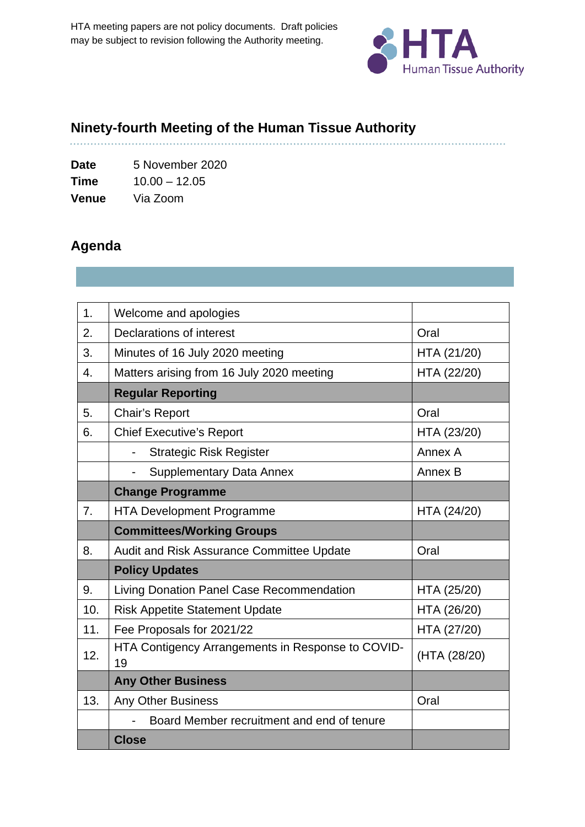

# **Ninety-fourth Meeting of the Human Tissue Authority**

**Date** 5 November 2020 **Time** 10.00 – 12.05 **Venue** Via Zoom

# **Agenda**

| 1.  | Welcome and apologies                                       |              |
|-----|-------------------------------------------------------------|--------------|
| 2.  | Declarations of interest                                    | Oral         |
| 3.  | Minutes of 16 July 2020 meeting                             | HTA (21/20)  |
| 4.  | Matters arising from 16 July 2020 meeting                   | HTA (22/20)  |
|     | <b>Regular Reporting</b>                                    |              |
| 5.  | <b>Chair's Report</b>                                       | Oral         |
| 6.  | <b>Chief Executive's Report</b>                             | HTA (23/20)  |
|     | <b>Strategic Risk Register</b><br>$\overline{\phantom{0}}$  | Annex A      |
|     | <b>Supplementary Data Annex</b><br>$\overline{\phantom{a}}$ | Annex B      |
|     | <b>Change Programme</b>                                     |              |
| 7.  | <b>HTA Development Programme</b>                            | HTA (24/20)  |
|     |                                                             |              |
|     | <b>Committees/Working Groups</b>                            |              |
| 8.  | Audit and Risk Assurance Committee Update                   | Oral         |
|     | <b>Policy Updates</b>                                       |              |
| 9.  | Living Donation Panel Case Recommendation                   | HTA (25/20)  |
| 10. | <b>Risk Appetite Statement Update</b>                       | HTA (26/20)  |
| 11. | Fee Proposals for 2021/22                                   | HTA (27/20)  |
| 12. | HTA Contigency Arrangements in Response to COVID-<br>19     | (HTA (28/20) |
|     | <b>Any Other Business</b>                                   |              |
| 13. | Any Other Business                                          | Oral         |
|     | Board Member recruitment and end of tenure                  |              |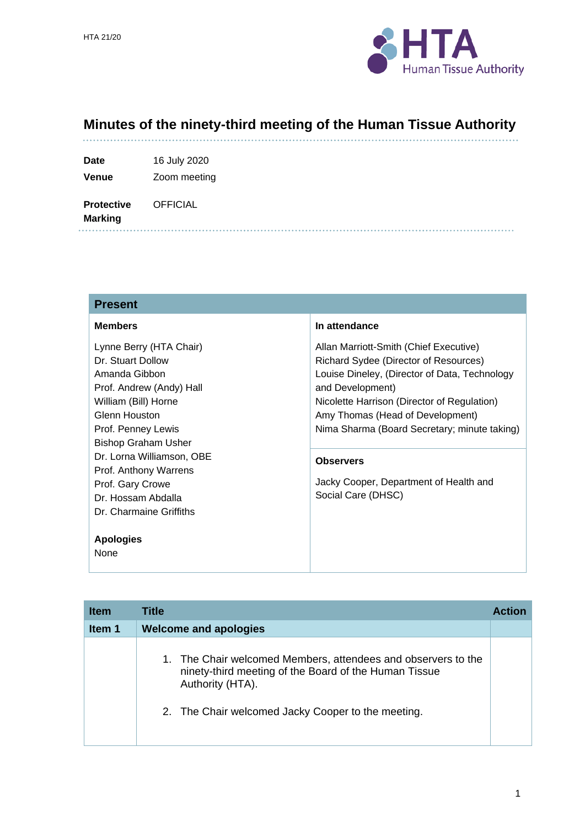

#### **Minutes of the ninety-third meeting of the Human Tissue Authority**

| <b>Date</b> | 16 July 2020 |
|-------------|--------------|
|             |              |

**Venue** Zoom meeting

**Protective OFFICIAL** 

**Marking** 

#### **Present**

| <b>Members</b>             | In attendance                                 |
|----------------------------|-----------------------------------------------|
| Lynne Berry (HTA Chair)    | Allan Marriott-Smith (Chief Executive)        |
| Dr. Stuart Dollow          | Richard Sydee (Director of Resources)         |
| Amanda Gibbon              | Louise Dineley, (Director of Data, Technology |
| Prof. Andrew (Andy) Hall   | and Development)                              |
| William (Bill) Horne       | Nicolette Harrison (Director of Regulation)   |
| Glenn Houston              | Amy Thomas (Head of Development)              |
| Prof. Penney Lewis         | Nima Sharma (Board Secretary; minute taking)  |
| <b>Bishop Graham Usher</b> |                                               |
| Dr. Lorna Williamson, OBE  | <b>Observers</b>                              |
| Prof. Anthony Warrens      |                                               |
| Prof. Gary Crowe           | Jacky Cooper, Department of Health and        |
| Dr. Hossam Abdalla         | Social Care (DHSC)                            |
| Dr. Charmaine Griffiths    |                                               |
|                            |                                               |
| <b>Apologies</b>           |                                               |
| None                       |                                               |

| <b>Item</b> | Title                                                                                                                                                                                            | <b>Action</b> |
|-------------|--------------------------------------------------------------------------------------------------------------------------------------------------------------------------------------------------|---------------|
| Item 1      | <b>Welcome and apologies</b>                                                                                                                                                                     |               |
|             | 1. The Chair welcomed Members, attendees and observers to the<br>ninety-third meeting of the Board of the Human Tissue<br>Authority (HTA).<br>2. The Chair welcomed Jacky Cooper to the meeting. |               |
|             |                                                                                                                                                                                                  |               |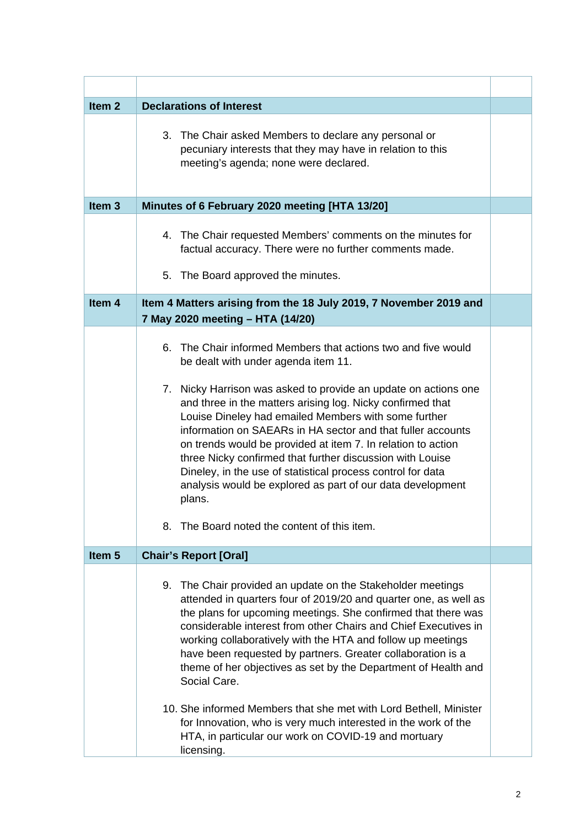| Item <sub>2</sub> | <b>Declarations of Interest</b>                                                                                                                                                                                                                                                                                                                                                                                                                                                                                                                                                                                                                                                                     |  |
|-------------------|-----------------------------------------------------------------------------------------------------------------------------------------------------------------------------------------------------------------------------------------------------------------------------------------------------------------------------------------------------------------------------------------------------------------------------------------------------------------------------------------------------------------------------------------------------------------------------------------------------------------------------------------------------------------------------------------------------|--|
|                   | 3. The Chair asked Members to declare any personal or<br>pecuniary interests that they may have in relation to this<br>meeting's agenda; none were declared.                                                                                                                                                                                                                                                                                                                                                                                                                                                                                                                                        |  |
| Item <sub>3</sub> | Minutes of 6 February 2020 meeting [HTA 13/20]                                                                                                                                                                                                                                                                                                                                                                                                                                                                                                                                                                                                                                                      |  |
|                   | 4. The Chair requested Members' comments on the minutes for<br>factual accuracy. There were no further comments made.<br>The Board approved the minutes.<br>5.                                                                                                                                                                                                                                                                                                                                                                                                                                                                                                                                      |  |
| Item 4            | Item 4 Matters arising from the 18 July 2019, 7 November 2019 and<br>7 May 2020 meeting - HTA (14/20)                                                                                                                                                                                                                                                                                                                                                                                                                                                                                                                                                                                               |  |
|                   | The Chair informed Members that actions two and five would<br>6.<br>be dealt with under agenda item 11.<br>7. Nicky Harrison was asked to provide an update on actions one<br>and three in the matters arising log. Nicky confirmed that<br>Louise Dineley had emailed Members with some further<br>information on SAEARs in HA sector and that fuller accounts<br>on trends would be provided at item 7. In relation to action<br>three Nicky confirmed that further discussion with Louise<br>Dineley, in the use of statistical process control for data<br>analysis would be explored as part of our data development<br>plans.<br>The Board noted the content of this item.<br>8.              |  |
| Item <sub>5</sub> | <b>Chair's Report [Oral]</b>                                                                                                                                                                                                                                                                                                                                                                                                                                                                                                                                                                                                                                                                        |  |
|                   | The Chair provided an update on the Stakeholder meetings<br>9.<br>attended in quarters four of 2019/20 and quarter one, as well as<br>the plans for upcoming meetings. She confirmed that there was<br>considerable interest from other Chairs and Chief Executives in<br>working collaboratively with the HTA and follow up meetings<br>have been requested by partners. Greater collaboration is a<br>theme of her objectives as set by the Department of Health and<br>Social Care.<br>10. She informed Members that she met with Lord Bethell, Minister<br>for Innovation, who is very much interested in the work of the<br>HTA, in particular our work on COVID-19 and mortuary<br>licensing. |  |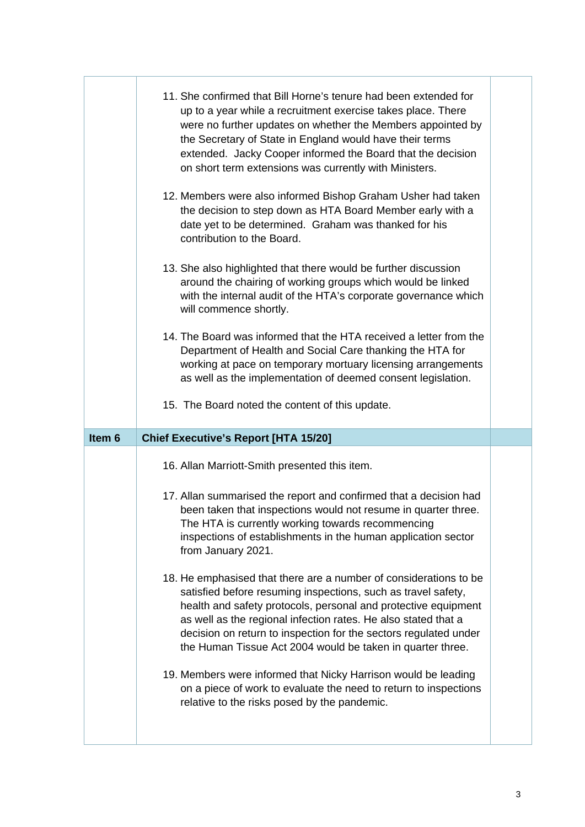|                   | 11. She confirmed that Bill Horne's tenure had been extended for<br>up to a year while a recruitment exercise takes place. There<br>were no further updates on whether the Members appointed by<br>the Secretary of State in England would have their terms<br>extended. Jacky Cooper informed the Board that the decision<br>on short term extensions was currently with Ministers.                     |  |
|-------------------|----------------------------------------------------------------------------------------------------------------------------------------------------------------------------------------------------------------------------------------------------------------------------------------------------------------------------------------------------------------------------------------------------------|--|
|                   | 12. Members were also informed Bishop Graham Usher had taken<br>the decision to step down as HTA Board Member early with a<br>date yet to be determined. Graham was thanked for his<br>contribution to the Board.                                                                                                                                                                                        |  |
|                   | 13. She also highlighted that there would be further discussion<br>around the chairing of working groups which would be linked<br>with the internal audit of the HTA's corporate governance which<br>will commence shortly.                                                                                                                                                                              |  |
|                   | 14. The Board was informed that the HTA received a letter from the<br>Department of Health and Social Care thanking the HTA for<br>working at pace on temporary mortuary licensing arrangements<br>as well as the implementation of deemed consent legislation.                                                                                                                                          |  |
|                   | 15. The Board noted the content of this update.                                                                                                                                                                                                                                                                                                                                                          |  |
|                   |                                                                                                                                                                                                                                                                                                                                                                                                          |  |
| Item <sub>6</sub> | <b>Chief Executive's Report [HTA 15/20]</b>                                                                                                                                                                                                                                                                                                                                                              |  |
|                   | 16. Allan Marriott-Smith presented this item.                                                                                                                                                                                                                                                                                                                                                            |  |
|                   | 17. Allan summarised the report and confirmed that a decision had<br>been taken that inspections would not resume in quarter three.<br>The HTA is currently working towards recommencing<br>inspections of establishments in the human application sector<br>from January 2021.                                                                                                                          |  |
|                   | 18. He emphasised that there are a number of considerations to be<br>satisfied before resuming inspections, such as travel safety,<br>health and safety protocols, personal and protective equipment<br>as well as the regional infection rates. He also stated that a<br>decision on return to inspection for the sectors regulated under<br>the Human Tissue Act 2004 would be taken in quarter three. |  |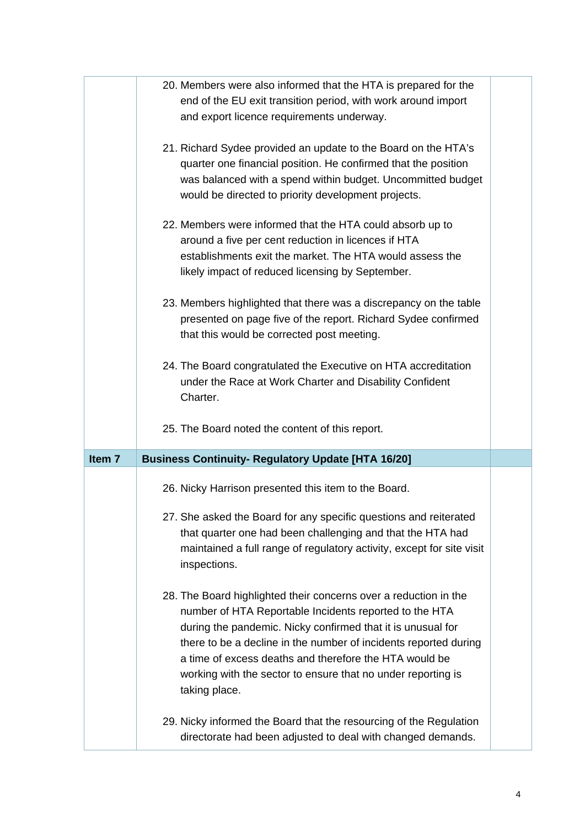|                   | 20. Members were also informed that the HTA is prepared for the                                                                                                                                                                                                                                                                                                                                          |  |
|-------------------|----------------------------------------------------------------------------------------------------------------------------------------------------------------------------------------------------------------------------------------------------------------------------------------------------------------------------------------------------------------------------------------------------------|--|
|                   | end of the EU exit transition period, with work around import                                                                                                                                                                                                                                                                                                                                            |  |
|                   | and export licence requirements underway.                                                                                                                                                                                                                                                                                                                                                                |  |
|                   | 21. Richard Sydee provided an update to the Board on the HTA's<br>quarter one financial position. He confirmed that the position<br>was balanced with a spend within budget. Uncommitted budget<br>would be directed to priority development projects.                                                                                                                                                   |  |
|                   | 22. Members were informed that the HTA could absorb up to<br>around a five per cent reduction in licences if HTA<br>establishments exit the market. The HTA would assess the<br>likely impact of reduced licensing by September.                                                                                                                                                                         |  |
|                   | 23. Members highlighted that there was a discrepancy on the table<br>presented on page five of the report. Richard Sydee confirmed<br>that this would be corrected post meeting.                                                                                                                                                                                                                         |  |
|                   | 24. The Board congratulated the Executive on HTA accreditation<br>under the Race at Work Charter and Disability Confident<br>Charter.                                                                                                                                                                                                                                                                    |  |
|                   | 25. The Board noted the content of this report.                                                                                                                                                                                                                                                                                                                                                          |  |
| Item <sub>7</sub> | <b>Business Continuity- Regulatory Update [HTA 16/20]</b>                                                                                                                                                                                                                                                                                                                                                |  |
|                   |                                                                                                                                                                                                                                                                                                                                                                                                          |  |
|                   | 26. Nicky Harrison presented this item to the Board.                                                                                                                                                                                                                                                                                                                                                     |  |
|                   | 27. She asked the Board for any specific questions and reiterated<br>that quarter one had been challenging and that the HTA had<br>maintained a full range of regulatory activity, except for site visit<br>inspections.                                                                                                                                                                                 |  |
|                   | 28. The Board highlighted their concerns over a reduction in the<br>number of HTA Reportable Incidents reported to the HTA<br>during the pandemic. Nicky confirmed that it is unusual for<br>there to be a decline in the number of incidents reported during<br>a time of excess deaths and therefore the HTA would be<br>working with the sector to ensure that no under reporting is<br>taking place. |  |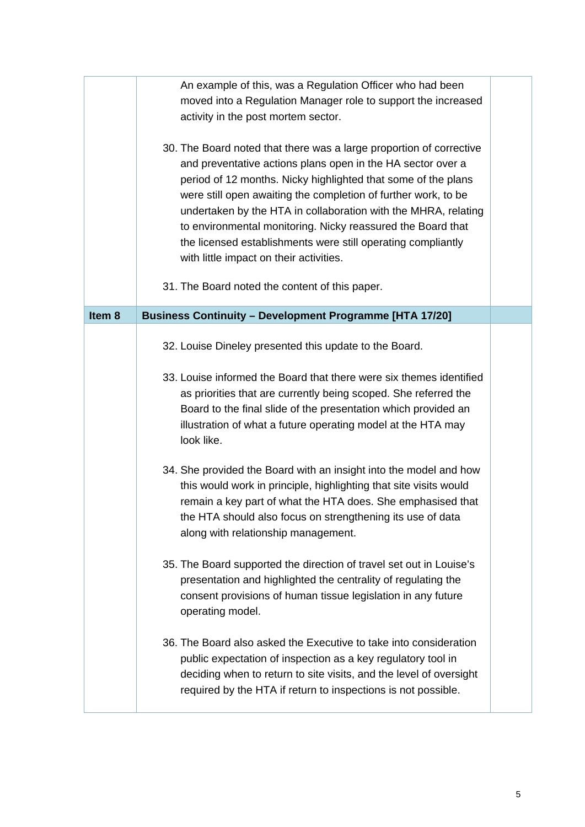|                   | An example of this, was a Regulation Officer who had been<br>moved into a Regulation Manager role to support the increased<br>activity in the post mortem sector.                                                                                                                                                                                                                                                                                                                                                 |  |
|-------------------|-------------------------------------------------------------------------------------------------------------------------------------------------------------------------------------------------------------------------------------------------------------------------------------------------------------------------------------------------------------------------------------------------------------------------------------------------------------------------------------------------------------------|--|
|                   | 30. The Board noted that there was a large proportion of corrective<br>and preventative actions plans open in the HA sector over a<br>period of 12 months. Nicky highlighted that some of the plans<br>were still open awaiting the completion of further work, to be<br>undertaken by the HTA in collaboration with the MHRA, relating<br>to environmental monitoring. Nicky reassured the Board that<br>the licensed establishments were still operating compliantly<br>with little impact on their activities. |  |
|                   | 31. The Board noted the content of this paper.                                                                                                                                                                                                                                                                                                                                                                                                                                                                    |  |
| Item <sub>8</sub> | <b>Business Continuity - Development Programme [HTA 17/20]</b>                                                                                                                                                                                                                                                                                                                                                                                                                                                    |  |
|                   | 32. Louise Dineley presented this update to the Board.                                                                                                                                                                                                                                                                                                                                                                                                                                                            |  |
|                   | 33. Louise informed the Board that there were six themes identified<br>as priorities that are currently being scoped. She referred the<br>Board to the final slide of the presentation which provided an<br>illustration of what a future operating model at the HTA may<br>look like.                                                                                                                                                                                                                            |  |
|                   | 34. She provided the Board with an insight into the model and how<br>this would work in principle, highlighting that site visits would<br>remain a key part of what the HTA does. She emphasised that<br>the HTA should also focus on strengthening its use of data<br>along with relationship management.                                                                                                                                                                                                        |  |
|                   | 35. The Board supported the direction of travel set out in Louise's<br>presentation and highlighted the centrality of regulating the<br>consent provisions of human tissue legislation in any future<br>operating model.                                                                                                                                                                                                                                                                                          |  |
|                   | 36. The Board also asked the Executive to take into consideration<br>public expectation of inspection as a key regulatory tool in<br>deciding when to return to site visits, and the level of oversight<br>required by the HTA if return to inspections is not possible.                                                                                                                                                                                                                                          |  |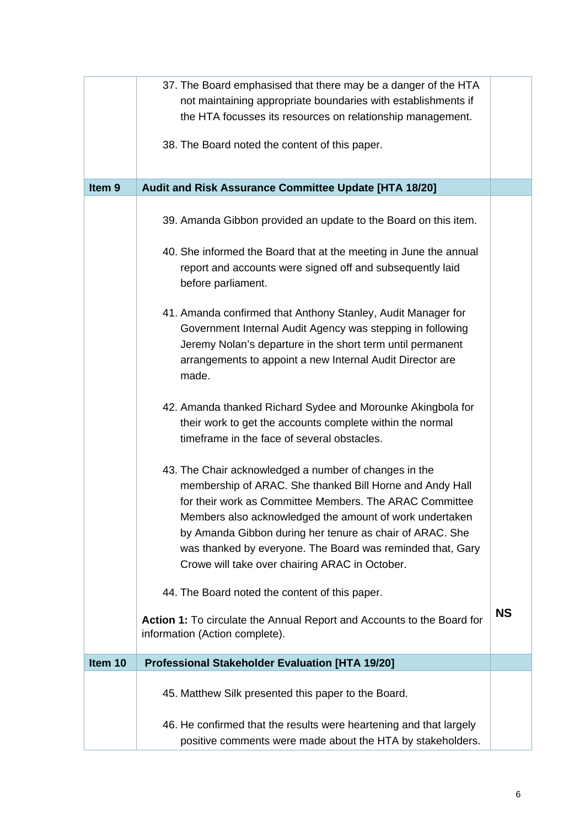|                   | 37. The Board emphasised that there may be a danger of the HTA                                                                                                                                                                                                                                                                                                                                                      |           |
|-------------------|---------------------------------------------------------------------------------------------------------------------------------------------------------------------------------------------------------------------------------------------------------------------------------------------------------------------------------------------------------------------------------------------------------------------|-----------|
|                   | not maintaining appropriate boundaries with establishments if<br>the HTA focusses its resources on relationship management.                                                                                                                                                                                                                                                                                         |           |
|                   |                                                                                                                                                                                                                                                                                                                                                                                                                     |           |
|                   | 38. The Board noted the content of this paper.                                                                                                                                                                                                                                                                                                                                                                      |           |
|                   |                                                                                                                                                                                                                                                                                                                                                                                                                     |           |
| Item <sub>9</sub> | Audit and Risk Assurance Committee Update [HTA 18/20]                                                                                                                                                                                                                                                                                                                                                               |           |
|                   | 39. Amanda Gibbon provided an update to the Board on this item.                                                                                                                                                                                                                                                                                                                                                     |           |
|                   | 40. She informed the Board that at the meeting in June the annual<br>report and accounts were signed off and subsequently laid<br>before parliament.                                                                                                                                                                                                                                                                |           |
|                   | 41. Amanda confirmed that Anthony Stanley, Audit Manager for<br>Government Internal Audit Agency was stepping in following<br>Jeremy Nolan's departure in the short term until permanent<br>arrangements to appoint a new Internal Audit Director are<br>made.                                                                                                                                                      |           |
|                   | 42. Amanda thanked Richard Sydee and Morounke Akingbola for<br>their work to get the accounts complete within the normal<br>timeframe in the face of several obstacles.                                                                                                                                                                                                                                             |           |
|                   | 43. The Chair acknowledged a number of changes in the<br>membership of ARAC. She thanked Bill Horne and Andy Hall<br>for their work as Committee Members. The ARAC Committee<br>Members also acknowledged the amount of work undertaken<br>by Amanda Gibbon during her tenure as chair of ARAC. She<br>was thanked by everyone. The Board was reminded that, Gary<br>Crowe will take over chairing ARAC in October. |           |
|                   | 44. The Board noted the content of this paper.                                                                                                                                                                                                                                                                                                                                                                      |           |
|                   | Action 1: To circulate the Annual Report and Accounts to the Board for<br>information (Action complete).                                                                                                                                                                                                                                                                                                            | <b>NS</b> |
| Item 10           | <b>Professional Stakeholder Evaluation [HTA 19/20]</b>                                                                                                                                                                                                                                                                                                                                                              |           |
|                   | 45. Matthew Silk presented this paper to the Board.                                                                                                                                                                                                                                                                                                                                                                 |           |
|                   | 46. He confirmed that the results were heartening and that largely<br>positive comments were made about the HTA by stakeholders.                                                                                                                                                                                                                                                                                    |           |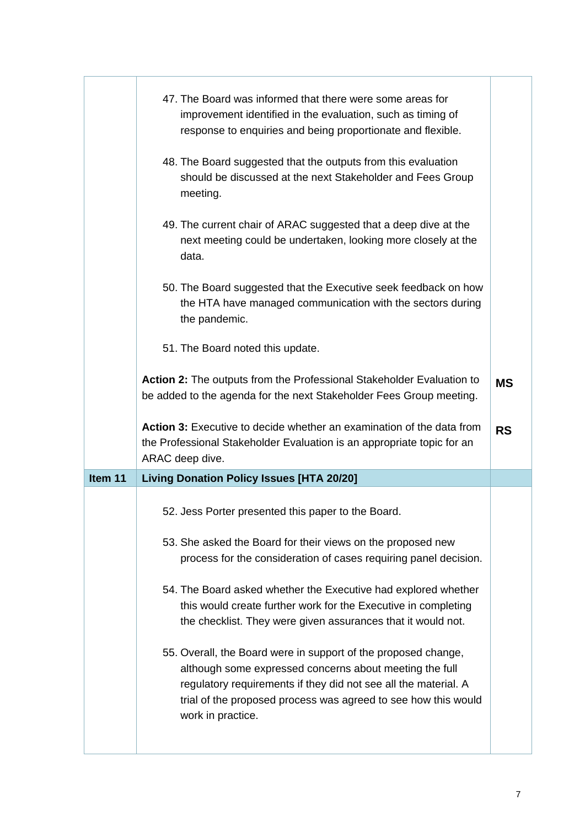|         | 47. The Board was informed that there were some areas for<br>improvement identified in the evaluation, such as timing of<br>response to enquiries and being proportionate and flexible.<br>48. The Board suggested that the outputs from this evaluation<br>should be discussed at the next Stakeholder and Fees Group<br>meeting.<br>49. The current chair of ARAC suggested that a deep dive at the<br>next meeting could be undertaken, looking more closely at the<br>data. |           |
|---------|---------------------------------------------------------------------------------------------------------------------------------------------------------------------------------------------------------------------------------------------------------------------------------------------------------------------------------------------------------------------------------------------------------------------------------------------------------------------------------|-----------|
|         | 50. The Board suggested that the Executive seek feedback on how<br>the HTA have managed communication with the sectors during<br>the pandemic.                                                                                                                                                                                                                                                                                                                                  |           |
|         | 51. The Board noted this update.                                                                                                                                                                                                                                                                                                                                                                                                                                                |           |
|         | Action 2: The outputs from the Professional Stakeholder Evaluation to<br>be added to the agenda for the next Stakeholder Fees Group meeting.                                                                                                                                                                                                                                                                                                                                    | <b>MS</b> |
|         | Action 3: Executive to decide whether an examination of the data from<br>the Professional Stakeholder Evaluation is an appropriate topic for an                                                                                                                                                                                                                                                                                                                                 | <b>RS</b> |
|         | ARAC deep dive.                                                                                                                                                                                                                                                                                                                                                                                                                                                                 |           |
| Item 11 | <b>Living Donation Policy Issues [HTA 20/20]</b>                                                                                                                                                                                                                                                                                                                                                                                                                                |           |
|         | 52. Jess Porter presented this paper to the Board.                                                                                                                                                                                                                                                                                                                                                                                                                              |           |
|         | 53. She asked the Board for their views on the proposed new<br>process for the consideration of cases requiring panel decision.                                                                                                                                                                                                                                                                                                                                                 |           |
|         | 54. The Board asked whether the Executive had explored whether<br>this would create further work for the Executive in completing<br>the checklist. They were given assurances that it would not.                                                                                                                                                                                                                                                                                |           |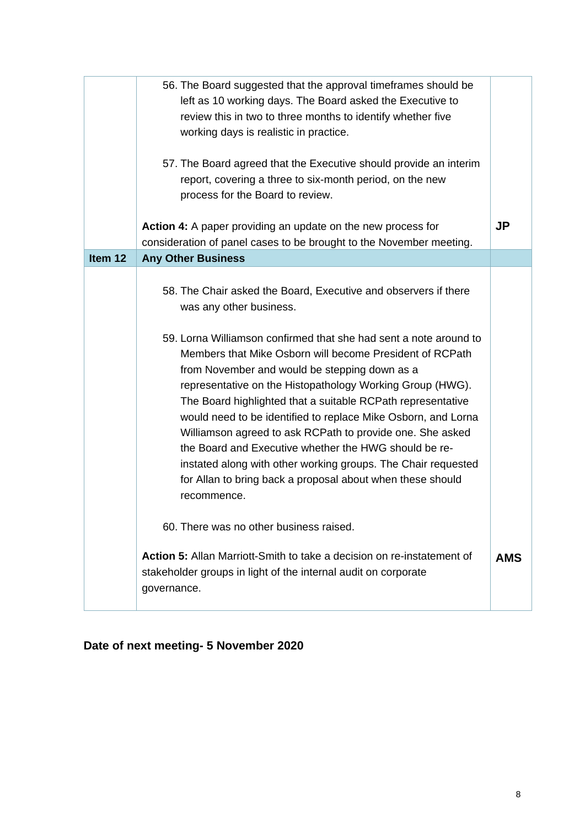|         | 56. The Board suggested that the approval time frames should be<br>left as 10 working days. The Board asked the Executive to<br>review this in two to three months to identify whether five<br>working days is realistic in practice.                                                                                                                                                                                                                                                                                                                                                                                                                                                                                                         |            |
|---------|-----------------------------------------------------------------------------------------------------------------------------------------------------------------------------------------------------------------------------------------------------------------------------------------------------------------------------------------------------------------------------------------------------------------------------------------------------------------------------------------------------------------------------------------------------------------------------------------------------------------------------------------------------------------------------------------------------------------------------------------------|------------|
|         | 57. The Board agreed that the Executive should provide an interim<br>report, covering a three to six-month period, on the new<br>process for the Board to review.                                                                                                                                                                                                                                                                                                                                                                                                                                                                                                                                                                             |            |
|         | Action 4: A paper providing an update on the new process for<br>consideration of panel cases to be brought to the November meeting.                                                                                                                                                                                                                                                                                                                                                                                                                                                                                                                                                                                                           | <b>JP</b>  |
| Item 12 | <b>Any Other Business</b>                                                                                                                                                                                                                                                                                                                                                                                                                                                                                                                                                                                                                                                                                                                     |            |
|         | 58. The Chair asked the Board, Executive and observers if there<br>was any other business.<br>59. Lorna Williamson confirmed that she had sent a note around to<br>Members that Mike Osborn will become President of RCPath<br>from November and would be stepping down as a<br>representative on the Histopathology Working Group (HWG).<br>The Board highlighted that a suitable RCPath representative<br>would need to be identified to replace Mike Osborn, and Lorna<br>Williamson agreed to ask RCPath to provide one. She asked<br>the Board and Executive whether the HWG should be re-<br>instated along with other working groups. The Chair requested<br>for Allan to bring back a proposal about when these should<br>recommence. |            |
|         | 60. There was no other business raised.<br>Action 5: Allan Marriott-Smith to take a decision on re-instatement of<br>stakeholder groups in light of the internal audit on corporate                                                                                                                                                                                                                                                                                                                                                                                                                                                                                                                                                           | <b>AMS</b> |
|         | governance.                                                                                                                                                                                                                                                                                                                                                                                                                                                                                                                                                                                                                                                                                                                                   |            |

# **Date of next meeting- 5 November 2020**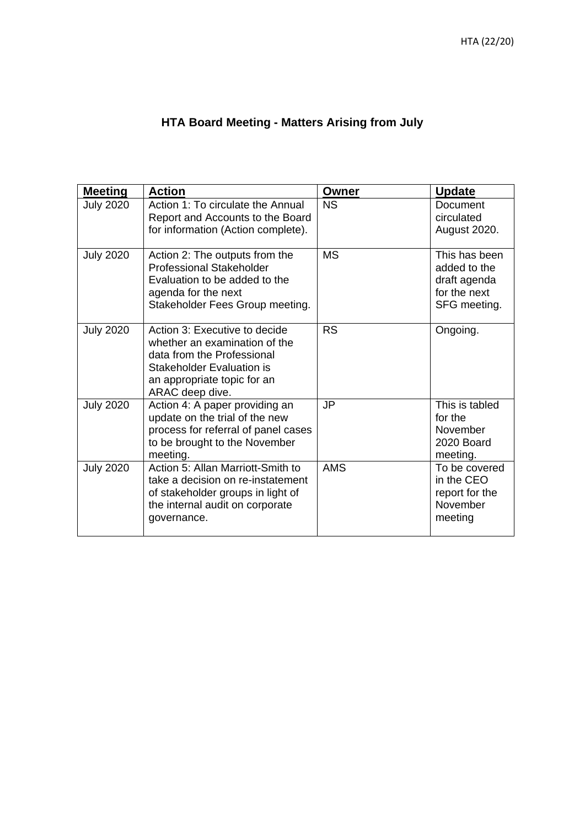# **HTA Board Meeting - Matters Arising from July**

| <b>Meeting</b>   | <b>Action</b>                                                                                                                                                               | Owner      | <b>Update</b>                                                                 |
|------------------|-----------------------------------------------------------------------------------------------------------------------------------------------------------------------------|------------|-------------------------------------------------------------------------------|
| <b>July 2020</b> | Action 1: To circulate the Annual<br>Report and Accounts to the Board<br>for information (Action complete).                                                                 | <b>NS</b>  | <b>Document</b><br>circulated<br><b>August 2020.</b>                          |
| <b>July 2020</b> | Action 2: The outputs from the<br><b>Professional Stakeholder</b><br>Evaluation to be added to the<br>agenda for the next<br>Stakeholder Fees Group meeting.                | <b>MS</b>  | This has been<br>added to the<br>draft agenda<br>for the next<br>SFG meeting. |
| <b>July 2020</b> | Action 3: Executive to decide<br>whether an examination of the<br>data from the Professional<br>Stakeholder Evaluation is<br>an appropriate topic for an<br>ARAC deep dive. | <b>RS</b>  | Ongoing.                                                                      |
| <b>July 2020</b> | Action 4: A paper providing an<br>update on the trial of the new<br>process for referral of panel cases<br>to be brought to the November<br>meeting.                        | JP         | This is tabled<br>for the<br>November<br>2020 Board<br>meeting.               |
| <b>July 2020</b> | Action 5: Allan Marriott-Smith to<br>take a decision on re-instatement<br>of stakeholder groups in light of<br>the internal audit on corporate<br>governance.               | <b>AMS</b> | To be covered<br>in the CEO<br>report for the<br>November<br>meeting          |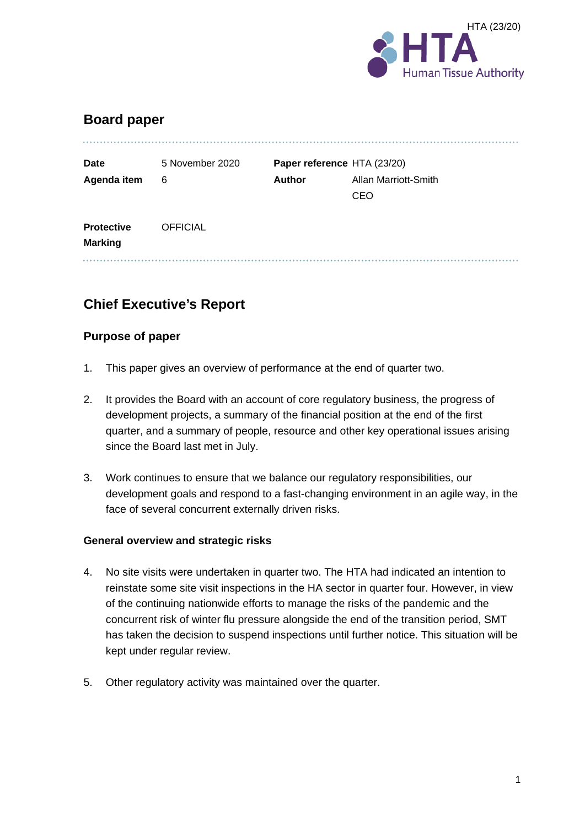

# **Board paper**

| <b>Date</b>                         | 5 November 2020 |               | Paper reference HTA (23/20) |  |
|-------------------------------------|-----------------|---------------|-----------------------------|--|
| Agenda item                         | 6               | <b>Author</b> | Allan Marriott-Smith        |  |
|                                     |                 |               | <b>CEO</b>                  |  |
| <b>Protective</b><br><b>Marking</b> | <b>OFFICIAL</b> |               |                             |  |

# **Chief Executive's Report**

#### **Purpose of paper**

- 1. This paper gives an overview of performance at the end of quarter two.
- 2. It provides the Board with an account of core regulatory business, the progress of development projects, a summary of the financial position at the end of the first quarter, and a summary of people, resource and other key operational issues arising since the Board last met in July.
- 3. Work continues to ensure that we balance our regulatory responsibilities, our development goals and respond to a fast-changing environment in an agile way, in the face of several concurrent externally driven risks.

#### **General overview and strategic risks**

- 4. No site visits were undertaken in quarter two. The HTA had indicated an intention to reinstate some site visit inspections in the HA sector in quarter four. However, in view of the continuing nationwide efforts to manage the risks of the pandemic and the concurrent risk of winter flu pressure alongside the end of the transition period, SMT has taken the decision to suspend inspections until further notice. This situation will be kept under regular review.
- 5. Other regulatory activity was maintained over the quarter.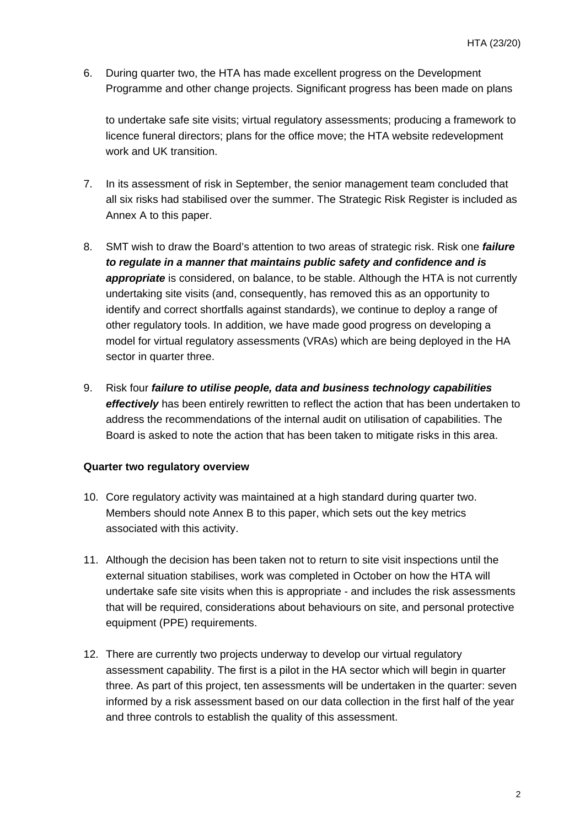6. During quarter two, the HTA has made excellent progress on the Development Programme and other change projects. Significant progress has been made on plans

to undertake safe site visits; virtual regulatory assessments; producing a framework to licence funeral directors; plans for the office move; the HTA website redevelopment work and UK transition.

- 7. In its assessment of risk in September, the senior management team concluded that all six risks had stabilised over the summer. The Strategic Risk Register is included as Annex A to this paper.
- 8. SMT wish to draw the Board's attention to two areas of strategic risk. Risk one *failure to regulate in a manner that maintains public safety and confidence and is*  **appropriate** is considered, on balance, to be stable. Although the HTA is not currently undertaking site visits (and, consequently, has removed this as an opportunity to identify and correct shortfalls against standards), we continue to deploy a range of other regulatory tools. In addition, we have made good progress on developing a model for virtual regulatory assessments (VRAs) which are being deployed in the HA sector in quarter three.
- 9. Risk four *failure to utilise people, data and business technology capabilities effectively* has been entirely rewritten to reflect the action that has been undertaken to address the recommendations of the internal audit on utilisation of capabilities. The Board is asked to note the action that has been taken to mitigate risks in this area.

#### **Quarter two regulatory overview**

- 10. Core regulatory activity was maintained at a high standard during quarter two. Members should note Annex B to this paper, which sets out the key metrics associated with this activity.
- 11. Although the decision has been taken not to return to site visit inspections until the external situation stabilises, work was completed in October on how the HTA will undertake safe site visits when this is appropriate - and includes the risk assessments that will be required, considerations about behaviours on site, and personal protective equipment (PPE) requirements.
- 12. There are currently two projects underway to develop our virtual regulatory assessment capability. The first is a pilot in the HA sector which will begin in quarter three. As part of this project, ten assessments will be undertaken in the quarter: seven informed by a risk assessment based on our data collection in the first half of the year and three controls to establish the quality of this assessment.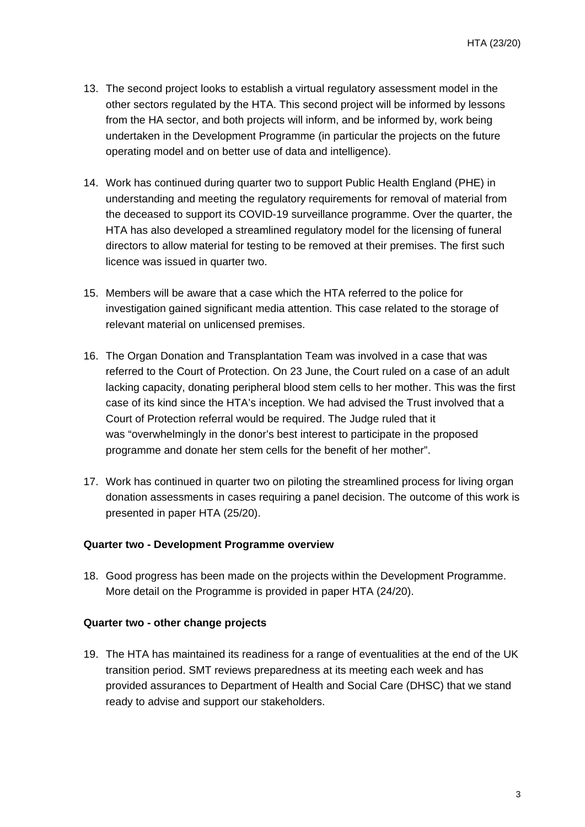- 13. The second project looks to establish a virtual regulatory assessment model in the other sectors regulated by the HTA. This second project will be informed by lessons from the HA sector, and both projects will inform, and be informed by, work being undertaken in the Development Programme (in particular the projects on the future operating model and on better use of data and intelligence).
- 14. Work has continued during quarter two to support Public Health England (PHE) in understanding and meeting the regulatory requirements for removal of material from the deceased to support its COVID-19 surveillance programme. Over the quarter, the HTA has also developed a streamlined regulatory model for the licensing of funeral directors to allow material for testing to be removed at their premises. The first such licence was issued in quarter two.
- 15. Members will be aware that a case which the HTA referred to the police for investigation gained significant media attention. This case related to the storage of relevant material on unlicensed premises.
- 16. The Organ Donation and Transplantation Team was involved in a case that was referred to the Court of Protection. On 23 June, the Court ruled on a case of an adult lacking capacity, donating peripheral blood stem cells to her mother. This was the first case of its kind since the HTA's inception. We had advised the Trust involved that a Court of Protection referral would be required. The Judge ruled that it was "overwhelmingly in the donor's best interest to participate in the proposed programme and donate her stem cells for the benefit of her mother".
- 17. Work has continued in quarter two on piloting the streamlined process for living organ donation assessments in cases requiring a panel decision. The outcome of this work is presented in paper HTA (25/20).

#### **Quarter two - Development Programme overview**

18. Good progress has been made on the projects within the Development Programme. More detail on the Programme is provided in paper HTA (24/20).

#### **Quarter two - other change projects**

19. The HTA has maintained its readiness for a range of eventualities at the end of the UK transition period. SMT reviews preparedness at its meeting each week and has provided assurances to Department of Health and Social Care (DHSC) that we stand ready to advise and support our stakeholders.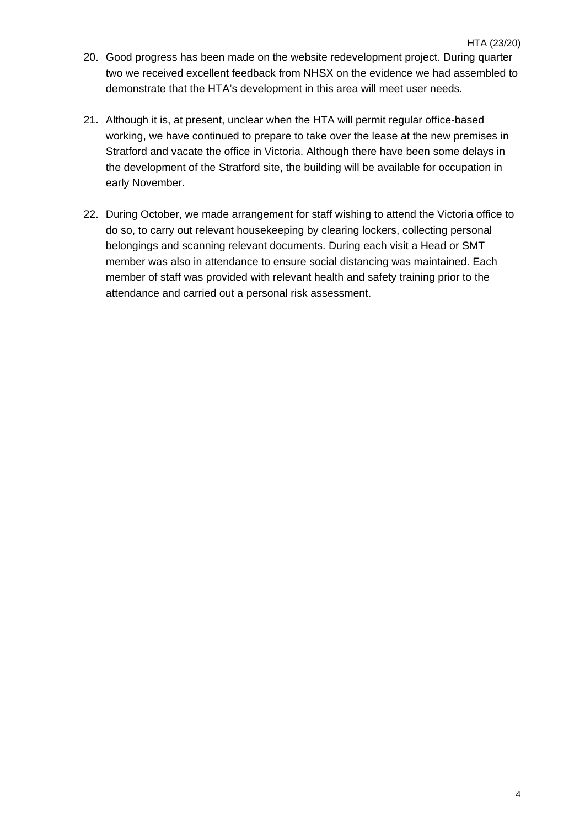- 20. Good progress has been made on the website redevelopment project. During quarter two we received excellent feedback from NHSX on the evidence we had assembled to demonstrate that the HTA's development in this area will meet user needs.
- 21. Although it is, at present, unclear when the HTA will permit regular office-based working, we have continued to prepare to take over the lease at the new premises in Stratford and vacate the office in Victoria. Although there have been some delays in the development of the Stratford site, the building will be available for occupation in early November.
- 22. During October, we made arrangement for staff wishing to attend the Victoria office to do so, to carry out relevant housekeeping by clearing lockers, collecting personal belongings and scanning relevant documents. During each visit a Head or SMT member was also in attendance to ensure social distancing was maintained. Each member of staff was provided with relevant health and safety training prior to the attendance and carried out a personal risk assessment.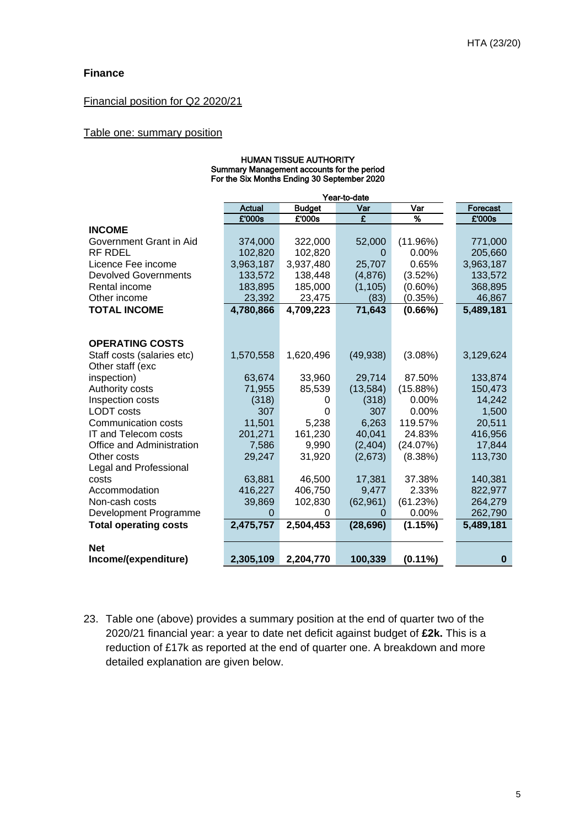#### **Finance**

#### Financial position for Q2 2020/21

#### Table one: summary position

| ווטווווטה בטטטוו וועמונו<br>Summary Management accounts for the period<br>For the Six Months Ending 30 September 2020 |               |               |              |            |           |  |  |  |  |  |  |
|-----------------------------------------------------------------------------------------------------------------------|---------------|---------------|--------------|------------|-----------|--|--|--|--|--|--|
|                                                                                                                       |               |               |              |            |           |  |  |  |  |  |  |
|                                                                                                                       |               |               | Year-to-date |            |           |  |  |  |  |  |  |
|                                                                                                                       | <b>Actual</b> | <b>Budget</b> | Var          | Var        | Forecast  |  |  |  |  |  |  |
|                                                                                                                       | £'000s        | £'000s        | £            | %          | £'000s    |  |  |  |  |  |  |
| <b>INCOME</b>                                                                                                         |               |               |              |            |           |  |  |  |  |  |  |
| Government Grant in Aid                                                                                               | 374,000       | 322,000       | 52,000       | (11.96%)   | 771,000   |  |  |  |  |  |  |
| <b>RF RDEL</b>                                                                                                        | 102,820       | 102,820       | 0            | 0.00%      | 205,660   |  |  |  |  |  |  |
| Licence Fee income                                                                                                    | 3,963,187     | 3,937,480     | 25,707       | 0.65%      | 3,963,187 |  |  |  |  |  |  |
| <b>Devolved Governments</b>                                                                                           | 133,572       | 138,448       | (4,876)      | (3.52%)    | 133,572   |  |  |  |  |  |  |
| Rental income                                                                                                         | 183,895       | 185,000       | (1, 105)     | $(0.60\%)$ | 368,895   |  |  |  |  |  |  |
| Other income                                                                                                          | 23,392        | 23,475        | (83)         | (0.35%)    | 46,867    |  |  |  |  |  |  |
| <b>TOTAL INCOME</b>                                                                                                   | 4,780,866     | 4,709,223     | 71,643       | $(0.66\%)$ | 5,489,181 |  |  |  |  |  |  |
|                                                                                                                       |               |               |              |            |           |  |  |  |  |  |  |
|                                                                                                                       |               |               |              |            |           |  |  |  |  |  |  |
| <b>OPERATING COSTS</b>                                                                                                |               |               |              |            |           |  |  |  |  |  |  |
| Staff costs (salaries etc)                                                                                            | 1,570,558     | 1,620,496     | (49, 938)    | $(3.08\%)$ | 3,129,624 |  |  |  |  |  |  |
| Other staff (exc                                                                                                      |               |               |              |            |           |  |  |  |  |  |  |
| inspection)                                                                                                           | 63,674        | 33,960        | 29,714       | 87.50%     | 133,874   |  |  |  |  |  |  |
| Authority costs                                                                                                       | 71,955        | 85,539        | (13, 584)    | (15.88%)   | 150,473   |  |  |  |  |  |  |
| Inspection costs                                                                                                      | (318)         | 0             | (318)        | 0.00%      | 14,242    |  |  |  |  |  |  |
| <b>LODT</b> costs                                                                                                     | 307           | 0             | 307          | $0.00\%$   | 1,500     |  |  |  |  |  |  |
| Communication costs                                                                                                   | 11,501        | 5,238         | 6,263        | 119.57%    | 20,511    |  |  |  |  |  |  |
| IT and Telecom costs                                                                                                  | 201,271       | 161,230       | 40,041       | 24.83%     | 416,956   |  |  |  |  |  |  |
| Office and Administration                                                                                             | 7,586         | 9,990         | (2, 404)     | (24.07%)   | 17,844    |  |  |  |  |  |  |
| Other costs                                                                                                           | 29,247        | 31,920        | (2,673)      | (8.38%)    | 113,730   |  |  |  |  |  |  |
| Legal and Professional                                                                                                |               |               |              |            |           |  |  |  |  |  |  |
| costs                                                                                                                 | 63,881        | 46,500        | 17,381       | 37.38%     | 140,381   |  |  |  |  |  |  |
| Accommodation                                                                                                         | 416,227       | 406,750       | 9,477        | 2.33%      | 822,977   |  |  |  |  |  |  |
| Non-cash costs                                                                                                        | 39,869        | 102,830       | (62, 961)    | (61.23%)   | 264,279   |  |  |  |  |  |  |
| Development Programme                                                                                                 | $\Omega$      | 0             | 0            | 0.00%      | 262,790   |  |  |  |  |  |  |
| <b>Total operating costs</b>                                                                                          | 2,475,757     | 2,504,453     | (28, 696)    | (1.15%)    | 5,489,181 |  |  |  |  |  |  |
|                                                                                                                       |               |               |              |            |           |  |  |  |  |  |  |
| <b>Net</b>                                                                                                            |               |               |              |            |           |  |  |  |  |  |  |
| Income/(expenditure)                                                                                                  | 2,305,109     | 2,204,770     | 100,339      | $(0.11\%)$ | 0         |  |  |  |  |  |  |

HUMAN TISSUE AUTHORITY

23. Table one (above) provides a summary position at the end of quarter two of the 2020/21 financial year: a year to date net deficit against budget of **£2k.** This is a reduction of £17k as reported at the end of quarter one. A breakdown and more detailed explanation are given below.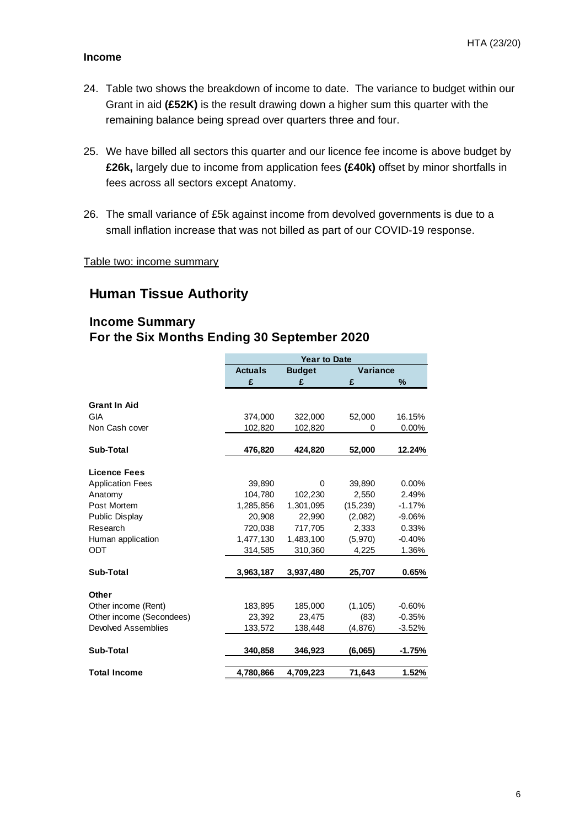#### **Income**

- 24. Table two shows the breakdown of income to date. The variance to budget within our Grant in aid **(£52K)** is the result drawing down a higher sum this quarter with the remaining balance being spread over quarters three and four.
- 25. We have billed all sectors this quarter and our licence fee income is above budget by **£26k,** largely due to income from application fees **(£40k)** offset by minor shortfalls in fees across all sectors except Anatomy.
- 26. The small variance of £5k against income from devolved governments is due to a small inflation increase that was not billed as part of our COVID-19 response.

Table two: income summary

### **Human Tissue Authority**

#### **Income Summary For the Six Months Ending 30 September 2020**

|                          |                | <b>Year to Date</b> |                 |          |
|--------------------------|----------------|---------------------|-----------------|----------|
|                          | <b>Actuals</b> | <b>Budget</b>       | <b>Variance</b> |          |
|                          | £              | £                   | £               | %        |
|                          |                |                     |                 |          |
| <b>Grant In Aid</b>      |                |                     |                 |          |
| <b>GIA</b>               | 374,000        | 322,000             | 52,000          | 16.15%   |
| Non Cash cover           | 102,820        | 102,820             | 0               | $0.00\%$ |
| Sub-Total                | 476,820        | 424,820             | 52,000          | 12.24%   |
| <b>Licence Fees</b>      |                |                     |                 |          |
| <b>Application Fees</b>  | 39,890         | 0                   | 39,890          | $0.00\%$ |
| Anatomy                  | 104,780        | 102,230             | 2.550           | 2.49%    |
| Post Mortem              | 1,285,856      | 1,301,095           | (15, 239)       | $-1.17%$ |
| Public Display           | 20.908         | 22,990              | (2,082)         | $-9.06%$ |
| Research                 | 720,038        | 717,705             | 2,333           | 0.33%    |
| Human application        | 1,477,130      | 1,483,100           | (5,970)         | $-0.40%$ |
| ODT                      | 314,585        | 310,360             | 4,225           | 1.36%    |
| Sub-Total                | 3,963,187      | 3,937,480           | 25,707          | 0.65%    |
| Other                    |                |                     |                 |          |
| Other income (Rent)      | 183,895        | 185,000             | (1, 105)        | $-0.60%$ |
| Other income (Secondees) | 23,392         | 23,475              | (83)            | $-0.35%$ |
| Devolved Assemblies      | 133,572        | 138,448             | (4, 876)        | $-3.52%$ |
| Sub-Total                | 340,858        | 346,923             | (6,065)         | $-1.75%$ |
| <b>Total Income</b>      | 4,780,866      | 4,709,223           | 71,643          | 1.52%    |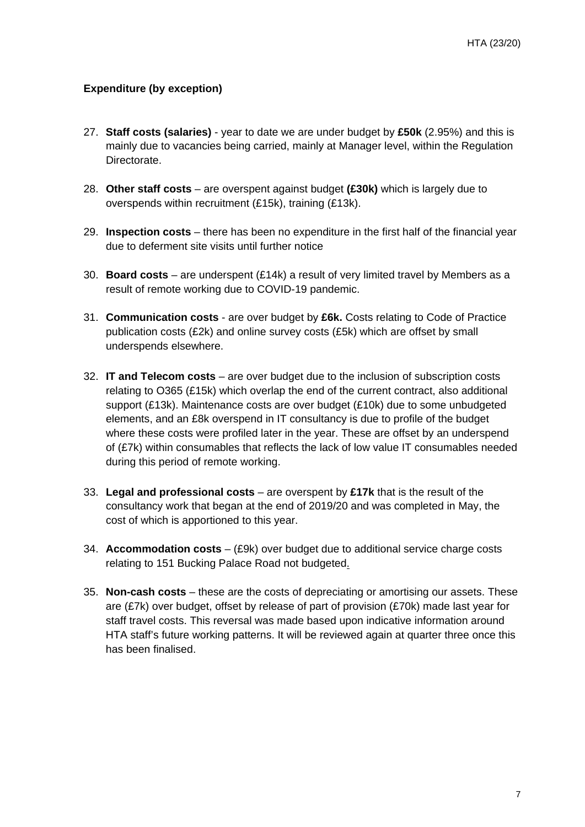#### **Expenditure (by exception)**

- 27. **Staff costs (salaries)** year to date we are under budget by **£50k** (2.95%) and this is mainly due to vacancies being carried, mainly at Manager level, within the Regulation Directorate.
- 28. **Other staff costs** are overspent against budget **(£30k)** which is largely due to overspends within recruitment (£15k), training (£13k).
- 29. **Inspection costs** there has been no expenditure in the first half of the financial year due to deferment site visits until further notice
- 30. **Board costs** are underspent (£14k) a result of very limited travel by Members as a result of remote working due to COVID-19 pandemic.
- 31. **Communication costs** are over budget by **£6k.** Costs relating to Code of Practice publication costs (£2k) and online survey costs (£5k) which are offset by small underspends elsewhere.
- 32. **IT and Telecom costs** are over budget due to the inclusion of subscription costs relating to O365 (£15k) which overlap the end of the current contract, also additional support (£13k). Maintenance costs are over budget (£10k) due to some unbudgeted elements, and an £8k overspend in IT consultancy is due to profile of the budget where these costs were profiled later in the year. These are offset by an underspend of (£7k) within consumables that reflects the lack of low value IT consumables needed during this period of remote working.
- 33. **Legal and professional costs** are overspent by **£17k** that is the result of the consultancy work that began at the end of 2019/20 and was completed in May, the cost of which is apportioned to this year.
- 34. **Accommodation costs** (£9k) over budget due to additional service charge costs relating to 151 Bucking Palace Road not budgeted.
- 35. **Non-cash costs** these are the costs of depreciating or amortising our assets. These are (£7k) over budget, offset by release of part of provision (£70k) made last year for staff travel costs. This reversal was made based upon indicative information around HTA staff's future working patterns. It will be reviewed again at quarter three once this has been finalised.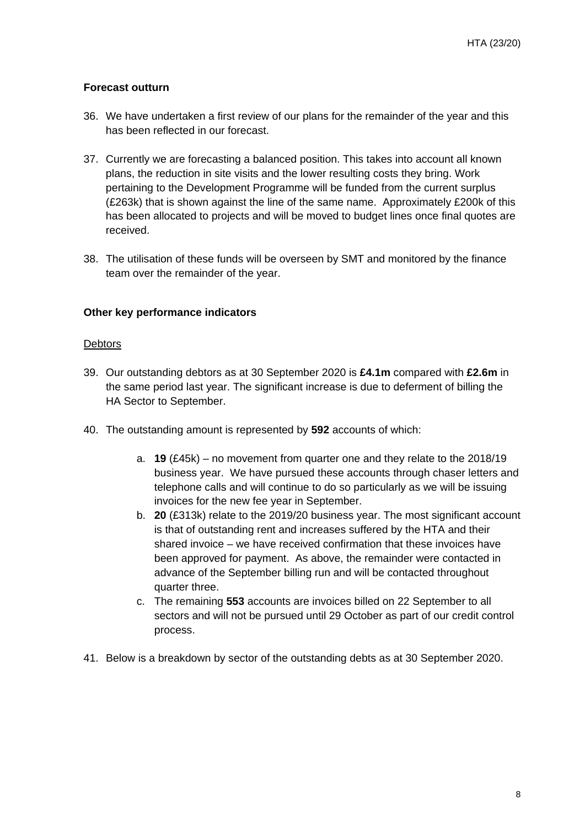#### **Forecast outturn**

- 36. We have undertaken a first review of our plans for the remainder of the year and this has been reflected in our forecast.
- 37. Currently we are forecasting a balanced position. This takes into account all known plans, the reduction in site visits and the lower resulting costs they bring. Work pertaining to the Development Programme will be funded from the current surplus (£263k) that is shown against the line of the same name. Approximately £200k of this has been allocated to projects and will be moved to budget lines once final quotes are received.
- 38. The utilisation of these funds will be overseen by SMT and monitored by the finance team over the remainder of the year.

#### **Other key performance indicators**

#### **Debtors**

- 39. Our outstanding debtors as at 30 September 2020 is **£4.1m** compared with **£2.6m** in the same period last year. The significant increase is due to deferment of billing the HA Sector to September.
- 40. The outstanding amount is represented by **592** accounts of which:
	- a. **19** (£45k) no movement from quarter one and they relate to the 2018/19 business year. We have pursued these accounts through chaser letters and telephone calls and will continue to do so particularly as we will be issuing invoices for the new fee year in September.
	- b. **20** (£313k) relate to the 2019/20 business year. The most significant account is that of outstanding rent and increases suffered by the HTA and their shared invoice – we have received confirmation that these invoices have been approved for payment. As above, the remainder were contacted in advance of the September billing run and will be contacted throughout quarter three.
	- c. The remaining **553** accounts are invoices billed on 22 September to all sectors and will not be pursued until 29 October as part of our credit control process.
- 41. Below is a breakdown by sector of the outstanding debts as at 30 September 2020.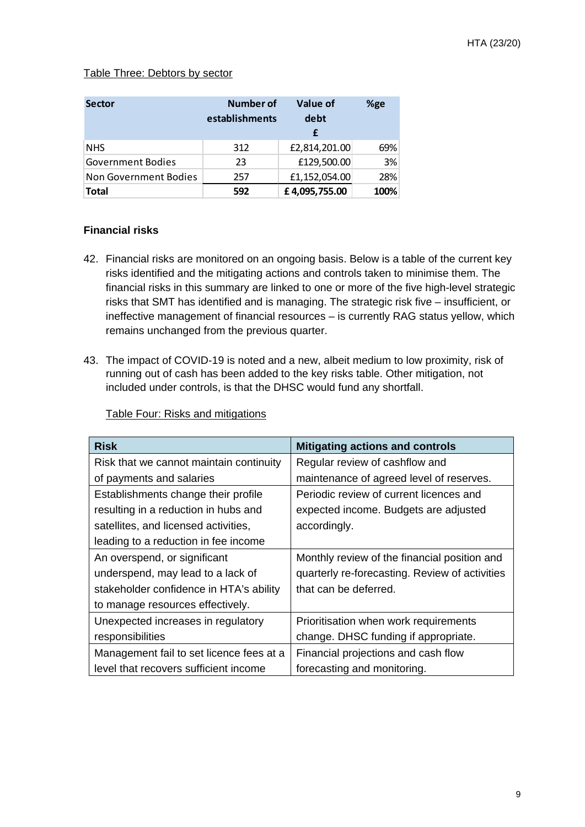#### Table Three: Debtors by sector

| <b>Sector</b>            | Number of<br>establishments | Value of<br>debt | %ge  |
|--------------------------|-----------------------------|------------------|------|
| <b>NHS</b>               | 312                         | £2,814,201.00    | 69%  |
| <b>Government Bodies</b> | 23                          | £129,500.00      | 3%   |
| Non Government Bodies    | 257                         | £1,152,054.00    | 28%  |
| <b>Total</b>             | 592                         | £4,095,755.00    | 100% |

#### **Financial risks**

- 42. Financial risks are monitored on an ongoing basis. Below is a table of the current key risks identified and the mitigating actions and controls taken to minimise them. The financial risks in this summary are linked to one or more of the five high-level strategic risks that SMT has identified and is managing. The strategic risk five – insufficient, or ineffective management of financial resources – is currently RAG status yellow, which remains unchanged from the previous quarter.
- 43. The impact of COVID-19 is noted and a new, albeit medium to low proximity, risk of running out of cash has been added to the key risks table. Other mitigation, not included under controls, is that the DHSC would fund any shortfall.

| <b>Risk</b>                              | <b>Mitigating actions and controls</b>         |
|------------------------------------------|------------------------------------------------|
| Risk that we cannot maintain continuity  | Regular review of cashflow and                 |
| of payments and salaries                 | maintenance of agreed level of reserves.       |
| Establishments change their profile      | Periodic review of current licences and        |
| resulting in a reduction in hubs and     | expected income. Budgets are adjusted          |
| satellites, and licensed activities,     | accordingly.                                   |
| leading to a reduction in fee income     |                                                |
| An overspend, or significant             | Monthly review of the financial position and   |
| underspend, may lead to a lack of        | quarterly re-forecasting. Review of activities |
| stakeholder confidence in HTA's ability  | that can be deferred.                          |
| to manage resources effectively.         |                                                |
| Unexpected increases in regulatory       | Prioritisation when work requirements          |
| responsibilities                         | change. DHSC funding if appropriate.           |
| Management fail to set licence fees at a | Financial projections and cash flow            |
| level that recovers sufficient income    | forecasting and monitoring.                    |

Table Four: Risks and mitigations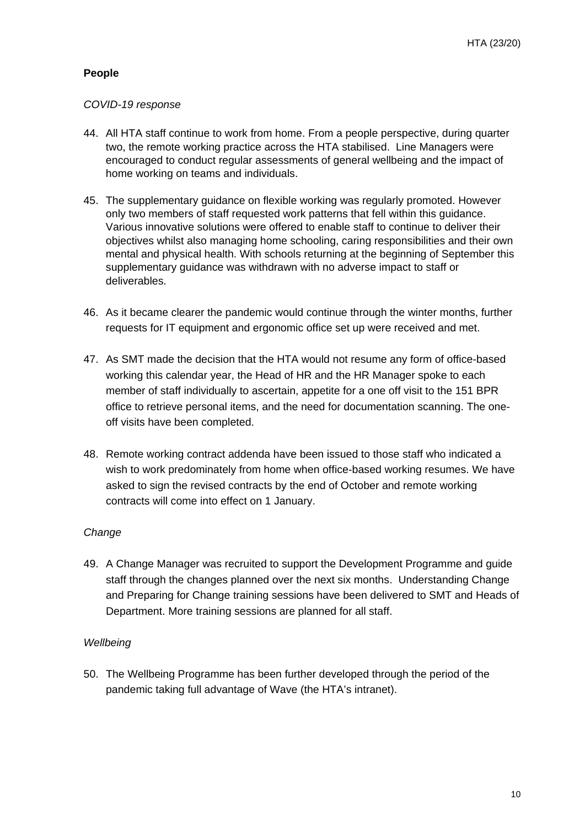#### **People**

#### *COVID-19 response*

- 44. All HTA staff continue to work from home. From a people perspective, during quarter two, the remote working practice across the HTA stabilised. Line Managers were encouraged to conduct regular assessments of general wellbeing and the impact of home working on teams and individuals.
- 45. The supplementary guidance on flexible working was regularly promoted. However only two members of staff requested work patterns that fell within this guidance. Various innovative solutions were offered to enable staff to continue to deliver their objectives whilst also managing home schooling, caring responsibilities and their own mental and physical health. With schools returning at the beginning of September this supplementary guidance was withdrawn with no adverse impact to staff or deliverables.
- 46. As it became clearer the pandemic would continue through the winter months, further requests for IT equipment and ergonomic office set up were received and met.
- 47. As SMT made the decision that the HTA would not resume any form of office-based working this calendar year, the Head of HR and the HR Manager spoke to each member of staff individually to ascertain, appetite for a one off visit to the 151 BPR office to retrieve personal items, and the need for documentation scanning. The oneoff visits have been completed.
- 48. Remote working contract addenda have been issued to those staff who indicated a wish to work predominately from home when office-based working resumes. We have asked to sign the revised contracts by the end of October and remote working contracts will come into effect on 1 January.

#### *Change*

49. A Change Manager was recruited to support the Development Programme and guide staff through the changes planned over the next six months. Understanding Change and Preparing for Change training sessions have been delivered to SMT and Heads of Department. More training sessions are planned for all staff.

#### *Wellbeing*

50. The Wellbeing Programme has been further developed through the period of the pandemic taking full advantage of Wave (the HTA's intranet).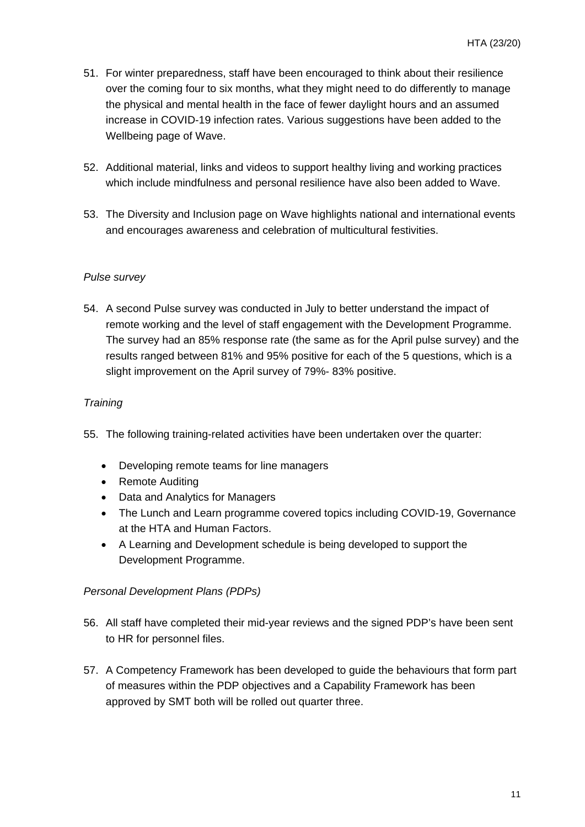- 51. For winter preparedness, staff have been encouraged to think about their resilience over the coming four to six months, what they might need to do differently to manage the physical and mental health in the face of fewer daylight hours and an assumed increase in COVID-19 infection rates. Various suggestions have been added to the Wellbeing page of Wave.
- 52. Additional material, links and videos to support healthy living and working practices which include mindfulness and personal resilience have also been added to Wave.
- 53. The Diversity and Inclusion page on Wave highlights national and international events and encourages awareness and celebration of multicultural festivities.

#### *Pulse survey*

54. A second Pulse survey was conducted in July to better understand the impact of remote working and the level of staff engagement with the Development Programme. The survey had an 85% response rate (the same as for the April pulse survey) and the results ranged between 81% and 95% positive for each of the 5 questions, which is a slight improvement on the April survey of 79%- 83% positive.

#### *Training*

- 55. The following training-related activities have been undertaken over the quarter:
	- Developing remote teams for line managers
	- Remote Auditing
	- Data and Analytics for Managers
	- The Lunch and Learn programme covered topics including COVID-19, Governance at the HTA and Human Factors.
	- A Learning and Development schedule is being developed to support the Development Programme.

#### *Personal Development Plans (PDPs)*

- 56. All staff have completed their mid-year reviews and the signed PDP's have been sent to HR for personnel files.
- 57. A Competency Framework has been developed to guide the behaviours that form part of measures within the PDP objectives and a Capability Framework has been approved by SMT both will be rolled out quarter three.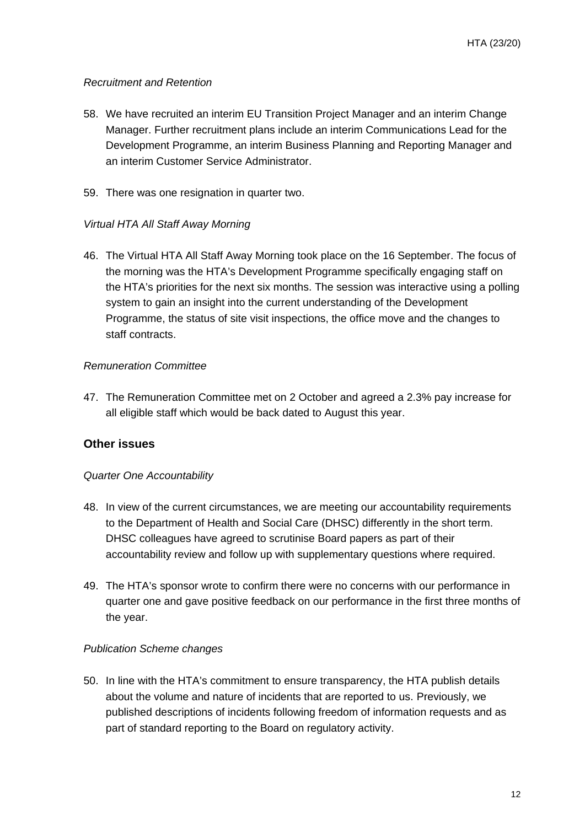#### *Recruitment and Retention*

- 58. We have recruited an interim EU Transition Project Manager and an interim Change Manager. Further recruitment plans include an interim Communications Lead for the Development Programme, an interim Business Planning and Reporting Manager and an interim Customer Service Administrator.
- 59. There was one resignation in quarter two.

#### *Virtual HTA All Staff Away Morning*

46. The Virtual HTA All Staff Away Morning took place on the 16 September. The focus of the morning was the HTA's Development Programme specifically engaging staff on the HTA's priorities for the next six months. The session was interactive using a polling system to gain an insight into the current understanding of the Development Programme, the status of site visit inspections, the office move and the changes to staff contracts.

#### *Remuneration Committee*

47. The Remuneration Committee met on 2 October and agreed a 2.3% pay increase for all eligible staff which would be back dated to August this year.

#### **Other issues**

#### *Quarter One Accountability*

- 48. In view of the current circumstances, we are meeting our accountability requirements to the Department of Health and Social Care (DHSC) differently in the short term. DHSC colleagues have agreed to scrutinise Board papers as part of their accountability review and follow up with supplementary questions where required.
- 49. The HTA's sponsor wrote to confirm there were no concerns with our performance in quarter one and gave positive feedback on our performance in the first three months of the year.

#### *Publication Scheme changes*

50. In line with the HTA's commitment to ensure transparency, the HTA publish details about the volume and nature of incidents that are reported to us. Previously, we published descriptions of incidents following freedom of information requests and as part of standard reporting to the Board on regulatory activity.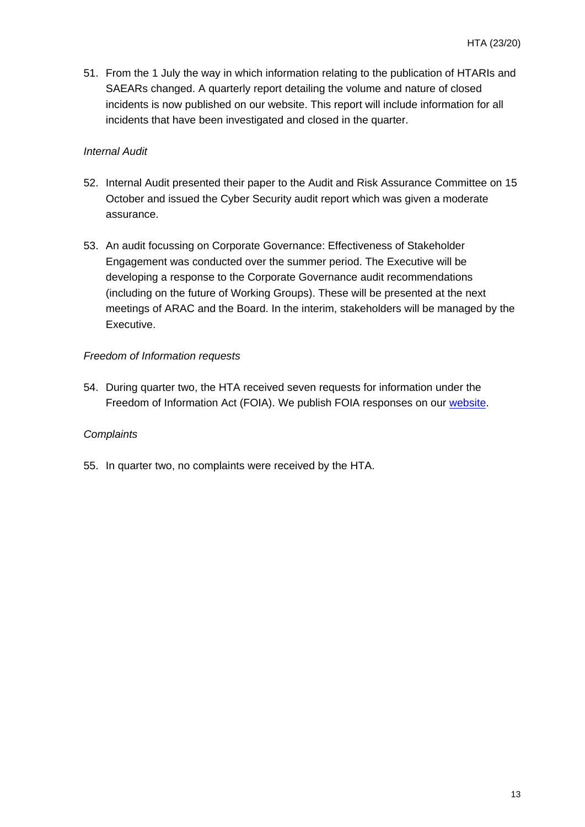51. From the 1 July the way in which information relating to the publication of HTARIs and SAEARs changed. A quarterly report detailing the volume and nature of closed incidents is now published on our website. This report will include information for all incidents that have been investigated and closed in the quarter.

#### *Internal Audit*

- 52. Internal Audit presented their paper to the Audit and Risk Assurance Committee on 15 October and issued the Cyber Security audit report which was given a moderate assurance.
- 53. An audit focussing on Corporate Governance: Effectiveness of Stakeholder Engagement was conducted over the summer period. The Executive will be developing a response to the Corporate Governance audit recommendations (including on the future of Working Groups). These will be presented at the next meetings of ARAC and the Board. In the interim, stakeholders will be managed by the Executive.

#### *Freedom of Information requests*

54. During quarter two, the HTA received seven requests for information under the Freedom of Information Act (FOIA). We publish FOIA responses on our [website.](https://www.hta.gov.uk/about-us/freedom-information-and-data-protection/freedom-information-responses)

#### *Complaints*

55. In quarter two, no complaints were received by the HTA.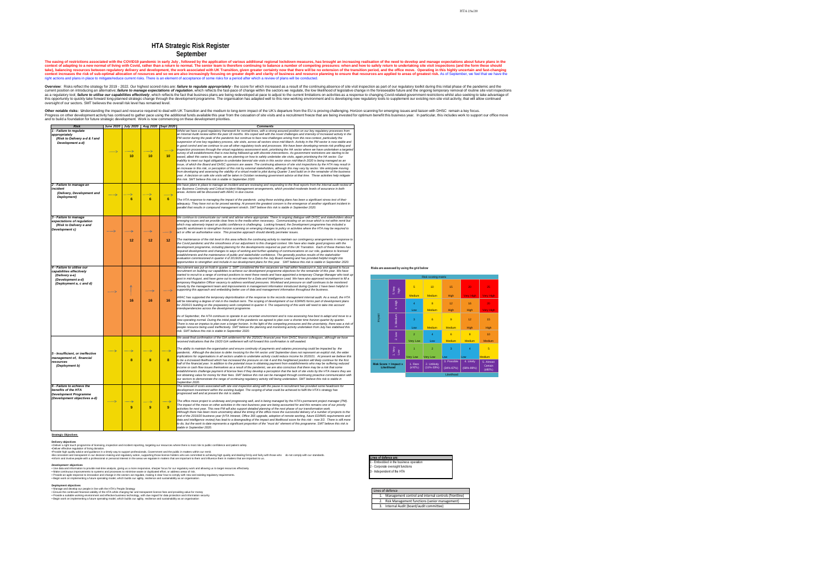the pause in recruitment has provided some headroom for *development investment within the existing budget. The scoping of what could be achieved to fulfil the HTA's strategy has* 

*The office move project is underway and progressing well, and is being managed by the HTA's permanent project manager (PM). The impact of the move on other activities in the next business year are being accounted for and this remains one of our priority activities for next year. This new PM will also support detailed planning of the next phase of our transformation work. Although there has been more uncertainty about the timing of the office move the successful delivery of a number of projects to the end of the 2019/20 business year (HTA Intranet, Office 365 upgrade, adoption of remote working, future EDRMS requirements and data and intelligence review) has lead to a downgrading of the impact and likelihood score for this risk - now 3/3. There is still more "must do" element of this programme. SMT believe this risk is* 

.Be consistent and transparent in our decision-making and regulatory action, supporting those licence holders who are committed to achieving high quality and dealing firmly and fairly with those who do not comply with our •Inform and involve people with a professional or personal interest in the areas we regulate in matters that are important to them and influence them in matters that are important to us.

**Strategic Objectives**

**Delivery objectives**

*•* Deliver a right touch programme of licensing, inspection and incident reporting, targeting our resources where there is most risk to public confidence and patient safety.

•Deliver effective regulation of living donation. •Provide high quality advice and guidance in a timely way to support professionals, Government and the public in matters within our remit.

*Development* **objectives**

activity to maintain our contingency arrangements in response to *the Covid pandemic and the smoothness of our adjustment to this changed context. We have also made good progress with the development programme, including planning for the developments required as part of the UK Transition. Each of these themes has updating of communications on our role, guidance to licensed idence. The generally positive results of the stakeholder evaluation commissioned in quarter 4 of 2019/20 was reported to the July Board meeting and has provided helpful insight into* 

• Use data and information to provide real-time analysis, giving us a more responsive, sharper focus for our regulatory work and allowing us to target resources effectively. • Make continuous improvements to systems and processes to minimise waste or duplicated effort, or address areas of risk.

• Provide an agile response to innovation and change in the sectors we regulate, making it clear how to comply with new and existing regulatory requirements. • Begin work on implementing a future operating model, which builds our agility, resilience and sustainability as an organisation.

**Deployment objectives**

• Manage and develop our people in line with the HTA's People Strategy

• Ensure the continued financial viability of the HTA while charging fair and transparent licence fees and providing value for money • Provide a suitable working environment and effective business technology, with due regard for data protection and information security to the records management internal audit. As a result, the HTA *will be tolerating a degree of risk in the medium term. The scoping of development of our EDRMS forms part of development plans for 2020/21 building on the preparatory work completed in quarter 4. The sequencing of this work will need to take into account* 

• Begin work on implementing a future operating model, which builds our agility, resilience and sustainability as an organisation

*We continue to communicate our remit and advise where appropriate. There is ongoing dialogue with DHSC and stakeholders about*  **eary.** Communicating on an issue which is not within remit but *which may adversely impact on public confidence is challenging. Looking forward, the Development programme has included a specific workstream to strengthen horizon scanning on emerging changes to policy or activities where the HTA may be required to act or offer an authoritative voice. This proactive approach should identify perimeter issues.*

*opportunities to strengthen and include in our development plans for this year. SMT believe this risk is stable in September 2020. Recruitment was put on hold in quarter 1. SMT considered the five vacancies we had within headcount in July and agreed to focus*  programme objectives for the remainder of this year. We have *started to recruit to a range of contract positions to meet these needs and have appointed a temporary Change Manager who took up post in mid-August, and have gone out to recruitment for a Data and Intelligence Lead. We have also approved recruitment to fill a temporary Regulation Officer vacancy to address workload pressures. Workload and pressure on staff continues to be monitored closely by the management team and improvements in management information introduced during Quarter 1 have been helpful in supporting this approach and embedding better use of data and management information throughout the business.* 

| <b>Risk</b>                                                                                                               | <b>June 2020</b> | <b>July 2020</b> | Aug 2020       | <b>Sept 2020</b> | <b>Comments</b>                                                                                                                                                                                                                                                                                                                                                                                                                                                                                                                                                                                                                                                                                                                                                                                                                                                                                                                                                                                                                                                                                                                                                                                                  |
|---------------------------------------------------------------------------------------------------------------------------|------------------|------------------|----------------|------------------|------------------------------------------------------------------------------------------------------------------------------------------------------------------------------------------------------------------------------------------------------------------------------------------------------------------------------------------------------------------------------------------------------------------------------------------------------------------------------------------------------------------------------------------------------------------------------------------------------------------------------------------------------------------------------------------------------------------------------------------------------------------------------------------------------------------------------------------------------------------------------------------------------------------------------------------------------------------------------------------------------------------------------------------------------------------------------------------------------------------------------------------------------------------------------------------------------------------|
| 1 - Failure to regulate<br>appropriately<br>(Risk to Delivery a-d & f and<br>Development a-d)                             |                  | 10               | 10             | 10               | Whilst we have a good regulatory framework for normal times, with a stro<br>an Internal Audit review within the past 18 months. We coped well with th<br>PM sector during the peak of the pandemic but continue to face new cha<br>suspension of one key regulatory process, site visits, across all sectors s<br>in good control and we continue to use all other regulatory tools and prod<br>inspection processes through the virtual regulatory assessment work, prior<br>survey of all establishments that is now being followed-up with discrete in<br>eased, albeit this varies by region, we are planning on how to safely und<br>inability to meet our legal obligation to undertake biennial site visits in this<br>issue, of which the Board and DHSC sponsors are aware. The continuing<br>an increase in this risk, or perception of this risk by external stakeholders<br>from developing and assessing the viability of a virtual model to pilot duri<br>year. A decision on safe site visits will be taken in October reviewing gov<br>this risk. SMT believe this risk is stable in September 2020.                                                                                             |
| 2 - Failure to manage an<br>incident<br>(Delivery, Development and<br>Deployment)                                         |                  |                  |                |                  | We have plans in place to manage an incident and are reviewing and res<br>our Business Continuity and Critical Incident Management arrangements<br>areas. Actions will be discussed with ARAC in due course.                                                                                                                                                                                                                                                                                                                                                                                                                                                                                                                                                                                                                                                                                                                                                                                                                                                                                                                                                                                                     |
|                                                                                                                           |                  | 6                | $6\phantom{1}$ | $6 \,$           | The HTA response to managing the impact of the pandemic using these<br>adequacy. They have not so far proved wanting. At present the greatest<br>parallel that results in compound management stretch. SMT believe this                                                                                                                                                                                                                                                                                                                                                                                                                                                                                                                                                                                                                                                                                                                                                                                                                                                                                                                                                                                          |
| 3 - Failure to manage<br>expectations of regulation<br>(Risk to Delivery e and<br>Development c)                          |                  | 12               | 12             | 12               | We continue to communicate our remit and advise where appropriate. Th<br>emerging issues and we provide clear lines to the media when necessary<br>which may adversely impact on public confidence is challenging. Looking<br>specific workstream to strengthen horizon scanning on emerging change<br>act or offer an authoritative voice. This proactive approach should identi<br>The maintenance of the risk level in this area reflects the continuing activ<br>the Covid pandemic and the smoothness of our adjustment to this chang<br>development programme, including planning for the developments requir<br>required developments and changes to ways of working and further upda<br>establishments and the maintenance of public and stakeholder confidenc<br>evaluation commissioned in quarter 4 of 2019/20 was reported to the July<br>opportunities to strengthen and include in our development plans for this                                                                                                                                                                                                                                                                                  |
| 4 - Failure to utilise our<br>capabilities effectively<br>(Delivery a-e)<br>(Development a-d)<br>(Deployment a, c and d)  |                  | 16               | 16             | 16               | Recruitment was put on hold in quarter 1. SMT considered the five vacar<br>recruitment on building our capabilities to achieve our development progi<br>started to recruit to a range of contract positions to meet these needs and<br>post in mid-August, and have gone out to recruitment for a Data and Inte.<br>temporary Regulation Officer vacancy to address workload pressures. W<br>closely by the management team and improvements in management info<br>supporting this approach and embedding better use of data and manage.<br>ARAC has supported the temporary deprioritisation of the response to the<br>will be tolerating a degree of risk in the medium term. The scoping of dev<br>for 2020/21 building on the preparatory work completed in quarter 4. The<br>interdependencies across the development programme.<br>As of September, the HTA continues to operate in an uncertain environm<br>new operating normal. During the initial peak of the pandemic we agreed<br>There is now an impetus to plan over a longer horizon. In the light of the<br>people resource being used ineffectively. SMT believe the planning and I<br>risk. SMT believe this risk is stable in September 2020. |
| 5 - Insufficient, or ineffective<br>management of, financial<br>resources<br>(Deployment b)<br>6 - Failure to achieve the |                  | 8                | 8              | 8                | We await final confirmation of the GIA settlement for the 2020/21 financia<br>received indications that the 19/20 GIA settlement will roll forward this co<br>The ability to maintain the organisation and ensure continuity of payment<br>pandemic. Although the decision to defer invoicing for the HA sector unt<br>implications for organisations in all sectors unable to undertake activity co<br>to be a increased likelihood which has increased the pressure on risk 4 a<br>half of the financial year. In addition to the potential issue in obtaining pa<br>income or cash flow issues themselves as a result of the pandemic, we a<br>establishments challenge payment of license fees if they develop a perce<br>not obtaining value for money for their fees. SMT believe this risk can be<br>our sectors to demonstrate the range of continuing regulatory activity still<br>September 2020.<br>The removal of costs associated with site visit inspection along with the p                                                                                                                                                                                                                       |
| benefits of the HTA<br><b>Development Programme</b><br>(Development objectives a-d)                                       |                  | 9                | 9              | 9                | development investment within the existing budget. The scoping of what<br>progressed well and at present the risk is stable.<br>The office move project is underway and progressing well, and is being n<br>The impact of the move on other activities in the next business year are b<br>activities for next year. This new PM will also support detailed planning o<br>Although there has been more uncertainty about the timing of the office r.<br>end of the 2019/20 business year (HTA Intranet, Office 365 upgrade, add<br>data and intelligence review) has lead to a downgrading of the impact an<br>to do, but the work to date represents a significant proportion of the "mus<br>stable in September 2020.                                                                                                                                                                                                                                                                                                                                                                                                                                                                                           |

*The HTA response to managing the impact of the pandemic using these existing plans has been a significant stress test of their*  atest concern is the emergence of another significant incident in *this risk is stable in September 2020.* 

The easing of restrictions associated with the COVID19 pandemic in early July, followed by the application of various additional regional lockdown measures, has brought an increasing realisation of the need to develop and context of adapting to a new normal of living with Covid, rather than a return to normal. The senior team is therefore continuing to balance a number of competing pressures: when and how to safely return to undertaking sit take), balancing resources between regulatory delivery and development, the work associated with UK Transition, given greater certainty now that there will be no extension of the transition period, and the office move. Ope context increases the risk of sub-optimal allocation of resources and so we are also increasingly focusing on greater depth and clarity of business and resource planning to ensure that resources are applied to areas of gre right actions and plans in place to mitigate/reduce current risks. There is an element of acceptance of some risks for a period after which a review of plans will be conducted.

> *As of September, the HTA continues to operate in an uncertain environment and is now assessing how best to adapt and move to a new operating normal. During the initial peak of the pandemic we agreed to plan over a shorter time horizon quarter by quarter.*  f the competing pressures and the uncertainty, there was a risk of *people resource being used ineffectively. SMT believe the planning and monitoring activity undertaken from July has stabilised this*

Overview: Risks reflect the strategy for 2019 - 2022. Our highest scored risks are: failure to regulate appropriately - the score for which increased as a result of the continuing absence of site visit inspection as part o current position on introducing an alternative; *failure to manage expectations of regulation*, which reflects the fast-pace of change within the sectors we regulate, the low likelihood of legislative change in the foresee as a regulatory tool; *failure to utilise our capabilities effectively*, which reflects the fact that business plans are being redeveloped at pace to adjust to the current limitations on activities as a response to changin this opportunity to quickly take forward long-planned strategic change through the development programme. The organisation has adapted well to this new working environment and is developing new regulatory tools to suppleme oversight of our sectors. SMT believes the overall risk level has remained level.

> *We await final confirmation of the GIA settlement for the 2020/21 financial year from DHSC finance colleagues, although we have received indications that the 19/20 GIA settlement will roll forward this confirmation is still awaited.*

Other notable risks: Understanding the impact and resource required to deal with UK Transition and the medium to long-term impact of the UK's departure from the EU is proving challenging. Horizon scanning for emerging issu Progress on other development activity has continued to gather pace using the additional funds available this year from the cessation of site visits and a recruitment freeze that are being invested for optimum benefit this and to build a foundation for future strategic development. Work is now commencing on these development priorities.

> *The ability to maintain the organisation and ensure continuity of payments and salaries processing could be impacted by the pandemic. Although the decision to defer invoicing for the HA sector until September does not represent an explicit risk, the wider implications for organisations in all sectors unable to undertake activity could reduce income for 2020/21. At present we believe this*   $sk$  4 and this heightened position will likely continue for the first *half of the financial year. In addition to the potential issue in obtaining payment from establishments who may be suffering reduced*  we are also conscious that there may be a risk that some *establishments challenge payment of license fees if they develop a perception that the lack of site visits by the HTA means they are*  **not allee managed through continuing proactive communication with** *our sectors to demonstrate the range of continuing regulatory activity still being undertaken. SMT believe this risk is stable in*

> *Whilst we have a good regulatory framework for normal times, with a strong assured position on our key regulatory processes from an Internal Audit review within the past 18 months. We coped well with the novel challenges and intensity of increased activity in the PM sector during the peak of the pandemic but continue to face new challenges arising from this new context, particularly the suspension of one key regulatory process, site visits, across all sectors since mid-March. Activity in the PM sector is now stable and in good control and we continue to use all other regulatory tools and processes. We have been developing remote risk profiling and inspection processes through the virtual regulatory assessment work, prioritising the HA sector where we have undertaken a targeted*  ete interventions. As government restrictions are starting to be *eased, albeit this varies by region, we are planning on how to safely undertake site visits, again prioritising the HA sector. Our*

*inability to meet our legal obligation to undertake biennial site visits in this sector since mid-March 2020 is being managed as an issue, of which the Board and DHSC sponsors are aware. The continuing absence of site visit inspections by the HTA may result in an increase in this risk, or perception of this risk by external stakeholders, although this may vary by sector. We anticipate moving from developing and assessing the viability of a virtual model to pilot during Quarter 3 and build on in the remainder of the business year. A decision on safe site visits will be taken in October reviewing government advice at that time. These activities help mitigate* 

*We have plans in place to manage an incident and are reviewing and responding to the final reports from the internal audit review of our Business Continuity and Critical Incident Management arrangements, which provided moderate levels of assurance in both* 

# **HTA Strategic Risk Register September**

#### **Lines of defence are:**

1 - Embedded in the business operation

- 2 Corporate oversight functions 3 - Independent of the HTA
- 

#### **Risks are assessed by using the grid below**

|                                              |                | Risk scoring matrix             |                                |                                |                            |                                |  |  |  |  |  |  |  |  |  |
|----------------------------------------------|----------------|---------------------------------|--------------------------------|--------------------------------|----------------------------|--------------------------------|--|--|--|--|--|--|--|--|--|
|                                              | 5.Very<br>high | $\overline{5}$<br><b>Medium</b> | 10<br><b>Medium</b>            | 15<br><b>High</b>              | 20<br><b>Very High</b>     | 25<br><b>Very High</b>         |  |  |  |  |  |  |  |  |  |
|                                              | 4. High        | $\overline{4}$<br>Low           | 8<br><b>Medium</b>             | 12<br><b>High</b>              | 16<br><b>High</b>          | 20<br><b>Very High</b>         |  |  |  |  |  |  |  |  |  |
| Impact                                       | 3. Medium      | 3                               | $6\phantom{1}6$                | $\overline{9}$                 | 12                         | 15                             |  |  |  |  |  |  |  |  |  |
|                                              |                | Low                             | <b>Medium</b>                  | <b>Medium</b>                  | High                       | <b>High</b>                    |  |  |  |  |  |  |  |  |  |
|                                              | $2.$ Low       | $\overline{2}$                  | $\overline{4}$                 | $6\phantom{1}6$                | $\overline{8}$             | 10                             |  |  |  |  |  |  |  |  |  |
|                                              |                | <b>Very Low</b>                 | Low                            | <b>Medium</b>                  | <b>Medium</b>              | <b>Medium</b>                  |  |  |  |  |  |  |  |  |  |
|                                              | 1. Very<br>Low | 1                               | $\overline{2}$                 | 3                              | $\overline{4}$             | 5                              |  |  |  |  |  |  |  |  |  |
|                                              |                | <b>Very Low</b>                 | <b>Very Low</b>                | Low                            | Low                        | <b>Medium</b>                  |  |  |  |  |  |  |  |  |  |
| Risk Score = Impact $x$<br><b>Likelihood</b> |                | 1. Rare<br>$≤10%$ )             | 2. Unlikely<br>$(11\% - 33\%)$ | 3. Possible<br>$(34\% - 67\%)$ | 4. Likely<br>$(68% - 89%)$ | 5. Almost<br>Certain<br>(≥90%) |  |  |  |  |  |  |  |  |  |

Likelihood

# Lines of defence

1. Management control and internal controls (frontline) 2. Risk Management functions (senior management)

3. Internal Audit (board/audit committee)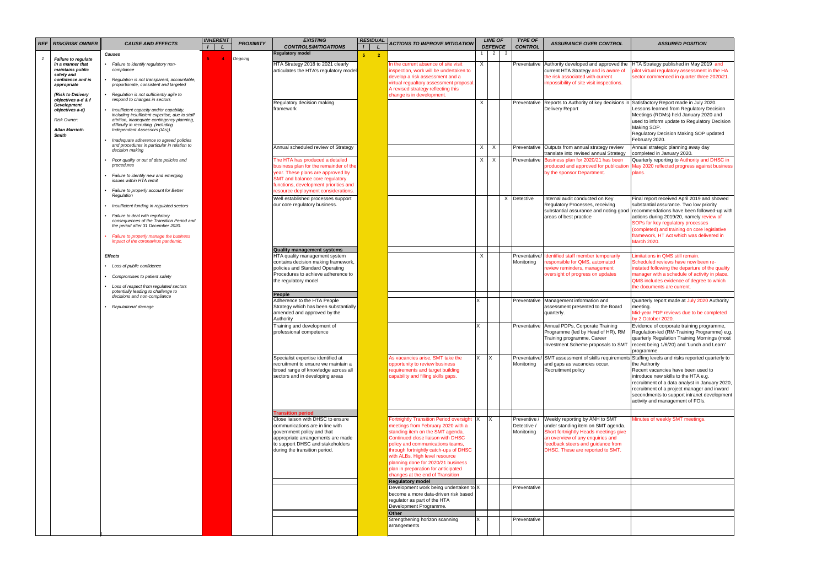| REF | <b>RISK/RISK OWNER</b>          | <b>CAUSE AND EFFECTS</b>                                                                     | <b>INHERENT</b> | <b>PROXIMITY</b> | <b>EXISTING</b><br><b>CONTROLS/MITIGATIONS</b> |                | <b>RESIDUAL</b> | <b>ACTIONS TO IMPROVE MITIGATION</b>      |    | <b>LINE OF</b><br><b>DEFENCE</b> |     | <b>TYPE OF</b><br><b>CONTROL</b> | <b>ASSURANCE OVER CONTROL</b>                     | <b>ASSURED POSITION</b>                                                         |
|-----|---------------------------------|----------------------------------------------------------------------------------------------|-----------------|------------------|------------------------------------------------|----------------|-----------------|-------------------------------------------|----|----------------------------------|-----|----------------------------------|---------------------------------------------------|---------------------------------------------------------------------------------|
|     |                                 | <b>Causes</b>                                                                                |                 |                  | <b>Regulatory model</b>                        | 5 <sub>1</sub> | $\overline{2}$  |                                           |    | 2                                | - 3 |                                  |                                                   |                                                                                 |
|     | Failure to regulate             |                                                                                              | -4              | Ongoing          |                                                |                |                 |                                           |    |                                  |     |                                  |                                                   |                                                                                 |
|     | in a manner that                | • Failure to identify regulatory non-                                                        |                 |                  | HTA Strategy 2018 to 2021 clearly              |                |                 | In the current absence of site visit      |    |                                  |     | Preventative                     | Authority developed and approved the              | HTA Strategy published in May 2019 and                                          |
|     | maintains public                | compliance                                                                                   |                 |                  | articulates the HTA's regulatory model         |                |                 | inspection, work will be undertaken to    |    |                                  |     |                                  | current HTA Strategy and is aware of              | pilot virtual regulatory assessment in the HA                                   |
|     | safety and<br>confidence and is | Regulation is not transparent, accountable,                                                  |                 |                  |                                                |                |                 | develop a risk assessment and a           |    |                                  |     |                                  | the risk associated with current                  | sector commenced in quarter three 2020/21                                       |
|     | appropriate                     | proportionate, consistent and targeted                                                       |                 |                  |                                                |                |                 | virtual regualtory assessment proposal    |    |                                  |     |                                  | impossibility of site visit inspections.          |                                                                                 |
|     |                                 |                                                                                              |                 |                  |                                                |                |                 | A revised strategy reflecting this        |    |                                  |     |                                  |                                                   |                                                                                 |
|     | (Risk to Delivery               | • Regulation is not sufficiently agile to                                                    |                 |                  |                                                |                |                 | change is in development.                 |    |                                  |     |                                  |                                                   |                                                                                 |
|     | objectives a-d & f              | respond to changes in sectors                                                                |                 |                  | Regulatory decision making                     |                |                 |                                           |    |                                  |     | Preventative                     |                                                   | Reports to Authority of key decisions in Satisfactory Report made in July 2020. |
|     | <b>Development</b>              |                                                                                              |                 |                  | framework                                      |                |                 |                                           |    |                                  |     |                                  | <b>Delivery Report</b>                            | Lessons learned from Regulatory Decision                                        |
|     | objectives a-d)                 | • Insufficient capacity and/or capability,<br>including insufficient expertise, due to staff |                 |                  |                                                |                |                 |                                           |    |                                  |     |                                  |                                                   | Meetings (RDMs) held January 2020 and                                           |
|     | <b>Risk Owner:</b>              | attrition, inadequate contingency planning,                                                  |                 |                  |                                                |                |                 |                                           |    |                                  |     |                                  |                                                   | used to inform update to Regulatory Decision                                    |
|     |                                 | difficulty in recruiting (including                                                          |                 |                  |                                                |                |                 |                                           |    |                                  |     |                                  |                                                   |                                                                                 |
|     | <b>Allan Marriott-</b>          | Independent Assessors (IAs)).                                                                |                 |                  |                                                |                |                 |                                           |    |                                  |     |                                  |                                                   | Making SOP.                                                                     |
|     | <b>Smith</b>                    |                                                                                              |                 |                  |                                                |                |                 |                                           |    |                                  |     |                                  |                                                   | Regulatory Decision Making SOP updated                                          |
|     |                                 | Inadequate adherence to agreed policies                                                      |                 |                  |                                                |                |                 |                                           |    |                                  |     |                                  |                                                   | February 2020.                                                                  |
|     |                                 | and procedures in particular in relation to<br>decision making                               |                 |                  | Annual scheduled review of Strategy            |                |                 |                                           |    | X                                |     | Preventative                     | Outputs from annual strategy review               | Annual strategic planning away day                                              |
|     |                                 |                                                                                              |                 |                  |                                                |                |                 |                                           |    |                                  |     |                                  | translate into revised annual Strategy            | completed in January 2020.                                                      |
|     |                                 | Poor quality or out of date policies and                                                     |                 |                  | The HTA has produced a detailed                |                |                 |                                           |    | X                                |     | Preventative                     | Business plan for 2020/21 has been                | Quarterly reporting to Authority and DHSC in                                    |
|     |                                 | procedures                                                                                   |                 |                  | business plan for the remainder of the         |                |                 |                                           |    |                                  |     |                                  | produced and approved for publicatio              | May 2020 reflected progress against business                                    |
|     |                                 |                                                                                              |                 |                  | year. These plans are approved by              |                |                 |                                           |    |                                  |     |                                  | by the sponsor Department                         | plans.                                                                          |
|     |                                 | Failure to identify new and emerging                                                         |                 |                  | SMT and balance core regulatory                |                |                 |                                           |    |                                  |     |                                  |                                                   |                                                                                 |
|     |                                 | issues within HTA remit                                                                      |                 |                  | functions, development priorities and          |                |                 |                                           |    |                                  |     |                                  |                                                   |                                                                                 |
|     |                                 | Failure to properly account for Better                                                       |                 |                  | resource deployment considerations.            |                |                 |                                           |    |                                  |     |                                  |                                                   |                                                                                 |
|     |                                 | Regulation                                                                                   |                 |                  |                                                |                |                 |                                           |    |                                  |     |                                  |                                                   |                                                                                 |
|     |                                 |                                                                                              |                 |                  | Well established processes support             |                |                 |                                           |    |                                  |     | X Detective                      | Internal audit conducted on Key                   | Final report received April 2019 and showed                                     |
|     |                                 | Insufficient funding in regulated sectors                                                    |                 |                  | our core regulatory business.                  |                |                 |                                           |    |                                  |     |                                  | Regulatory Processes, receiving                   | substantial assurance. Two low priority                                         |
|     |                                 |                                                                                              |                 |                  |                                                |                |                 |                                           |    |                                  |     |                                  | substantial assurance and noting good             | recommendations have been followed-up with                                      |
|     |                                 | • Failure to deal with regulatory<br>consequences of the Transition Period and               |                 |                  |                                                |                |                 |                                           |    |                                  |     |                                  | areas of best practice                            | actions during 2019/20, namely review of                                        |
|     |                                 | the period after 31 December 2020.                                                           |                 |                  |                                                |                |                 |                                           |    |                                  |     |                                  |                                                   | SOPs for key regulatory processes                                               |
|     |                                 |                                                                                              |                 |                  |                                                |                |                 |                                           |    |                                  |     |                                  |                                                   | (completed) and training on core legislative                                    |
|     |                                 | Failure to properly manage the business                                                      |                 |                  |                                                |                |                 |                                           |    |                                  |     |                                  |                                                   | framework, HT Act which was delivered in                                        |
|     |                                 | impact of the coronavirus pandemic.                                                          |                 |                  |                                                |                |                 |                                           |    |                                  |     |                                  |                                                   | <b>March 2020.</b>                                                              |
|     |                                 |                                                                                              |                 |                  | <b>Quality management systems</b>              |                |                 |                                           |    |                                  |     |                                  |                                                   |                                                                                 |
|     |                                 |                                                                                              |                 |                  | HTA quality management system                  |                |                 |                                           |    |                                  |     |                                  | Preventative/ Identified staff member temporarily | Limitations in QMS still remain.                                                |
|     |                                 | <b>Effects</b>                                                                               |                 |                  |                                                |                |                 |                                           |    |                                  |     |                                  | responsible for QMS, automated                    |                                                                                 |
|     |                                 | • Loss of public confidence                                                                  |                 |                  | contains decision making framework,            |                |                 |                                           |    |                                  |     | Monitoring                       |                                                   | Scheduled reviews have now been re-                                             |
|     |                                 |                                                                                              |                 |                  | policies and Standard Operating                |                |                 |                                           |    |                                  |     |                                  | review reminders, management                      | instated following the departure of the quality                                 |
|     |                                 | • Compromises to patient safety                                                              |                 |                  | Procedures to achieve adherence to             |                |                 |                                           |    |                                  |     |                                  | oversight of progress on updates                  | manager with a schedule of activity in place.                                   |
|     |                                 |                                                                                              |                 |                  | the regulatory model                           |                |                 |                                           |    |                                  |     |                                  |                                                   | QMS includes evidence of degree to which                                        |
|     |                                 | • Loss of respect from regulated sectors<br>potentially leading to challenge to              |                 |                  |                                                |                |                 |                                           |    |                                  |     |                                  |                                                   | the documents are current.                                                      |
|     |                                 | decisions and non-compliance                                                                 |                 |                  | People                                         |                |                 |                                           |    |                                  |     |                                  |                                                   |                                                                                 |
|     |                                 |                                                                                              |                 |                  | Adherence to the HTA People                    |                |                 |                                           |    |                                  |     | Preventative                     | Management information and                        | Quarterly report made at July 2020 Authority                                    |
|     |                                 | • Reputational damage                                                                        |                 |                  | Strategy which has been substantially          |                |                 |                                           |    |                                  |     |                                  | assessment presented to the Board                 | meeting.                                                                        |
|     |                                 |                                                                                              |                 |                  | amended and approved by the                    |                |                 |                                           |    |                                  |     |                                  | quarterly.                                        | Mid-year PDP reviews due to be completed                                        |
|     |                                 |                                                                                              |                 |                  | Authority                                      |                |                 |                                           |    |                                  |     |                                  |                                                   | by 2 October 2020.                                                              |
|     |                                 |                                                                                              |                 |                  | Training and development of                    |                |                 |                                           |    |                                  |     | Preventative                     | Annual PDPs, Corporate Training                   | Evidence of corporate training programme,                                       |
|     |                                 |                                                                                              |                 |                  | professional competence                        |                |                 |                                           |    |                                  |     |                                  | Programme (led by Head of HR), RM                 | Regulation-led (RM-Training Programme) e.g.                                     |
|     |                                 |                                                                                              |                 |                  |                                                |                |                 |                                           |    |                                  |     |                                  | Training programme, Career                        | quarterly Regulation Training Mornings (most                                    |
|     |                                 |                                                                                              |                 |                  |                                                |                |                 |                                           |    |                                  |     |                                  | <b>Investment Scheme proposals to SMT</b>         | recent being 1/6/20) and 'Lunch and Learn'                                      |
|     |                                 |                                                                                              |                 |                  |                                                |                |                 |                                           |    |                                  |     |                                  |                                                   | programme.                                                                      |
|     |                                 |                                                                                              |                 |                  |                                                |                |                 | As vacancies arise, SMT take the          | X. |                                  |     |                                  | SMT assessment of skills requiremen               |                                                                                 |
|     |                                 |                                                                                              |                 |                  | Specialist expertise identified at             |                |                 |                                           |    |                                  |     | Preventative/                    |                                                   | Staffing levels and risks reported quarterly to                                 |
|     |                                 |                                                                                              |                 |                  | recruitment to ensure we maintain a            |                |                 | opportunity to review business            |    |                                  |     | Monitoring                       | and gaps as vacancies occur,                      | the Authority                                                                   |
|     |                                 |                                                                                              |                 |                  | broad range of knowledge across all            |                |                 | requirements and target building          |    |                                  |     |                                  | Recruitment policy                                | Recent vacancies have been used to                                              |
|     |                                 |                                                                                              |                 |                  | sectors and in developing areas                |                |                 | capability and filling skills gaps.       |    |                                  |     |                                  |                                                   | introduce new skills to the HTA e.g.                                            |
|     |                                 |                                                                                              |                 |                  |                                                |                |                 |                                           |    |                                  |     |                                  |                                                   | recruitment of a data analyst in January 2020,                                  |
|     |                                 |                                                                                              |                 |                  |                                                |                |                 |                                           |    |                                  |     |                                  |                                                   | recruitment of a project manager and inward                                     |
|     |                                 |                                                                                              |                 |                  |                                                |                |                 |                                           |    |                                  |     |                                  |                                                   | secondments to support intranet development                                     |
|     |                                 |                                                                                              |                 |                  |                                                |                |                 |                                           |    |                                  |     |                                  |                                                   | activity and management of FOIs.                                                |
|     |                                 |                                                                                              |                 |                  |                                                |                |                 |                                           |    |                                  |     |                                  |                                                   |                                                                                 |
|     |                                 |                                                                                              |                 |                  | <b>Transition period</b>                       |                |                 |                                           |    |                                  |     |                                  |                                                   |                                                                                 |
|     |                                 |                                                                                              |                 |                  | Close liaison with DHSC to ensure              |                |                 | Fortnightly Transition Period oversight X |    |                                  |     | Preventive /                     | Weekly reporting by ANH to SMT                    | Minutes of weekly SMT meetings.                                                 |
|     |                                 |                                                                                              |                 |                  | communications are in line with                |                |                 | meetings from February 2020 with a        |    |                                  |     | Detective /                      | under standing item on SMT agenda.                |                                                                                 |
|     |                                 |                                                                                              |                 |                  | government policy and that                     |                |                 | standing item on the SMT agenda.          |    |                                  |     | Monitoring                       | Short fortnightly Heads meetings give             |                                                                                 |
|     |                                 |                                                                                              |                 |                  | appropriate arrangements are made              |                |                 | Continued close liaison with DHSC         |    |                                  |     |                                  | an overview of any enquiries and                  |                                                                                 |
|     |                                 |                                                                                              |                 |                  | to support DHSC and stakeholders               |                |                 | policy and communications teams,          |    |                                  |     |                                  | feedback steers and guidance from                 |                                                                                 |
|     |                                 |                                                                                              |                 |                  | during the transition period.                  |                |                 | through fortnightly catch-ups of DHSC     |    |                                  |     |                                  | DHSC. These are reported to SMT.                  |                                                                                 |
|     |                                 |                                                                                              |                 |                  |                                                |                |                 | with ALBs. High level resource            |    |                                  |     |                                  |                                                   |                                                                                 |
|     |                                 |                                                                                              |                 |                  |                                                |                |                 | planning done for 2020/21 business        |    |                                  |     |                                  |                                                   |                                                                                 |
|     |                                 |                                                                                              |                 |                  |                                                |                |                 | plan in preparation for anticipated       |    |                                  |     |                                  |                                                   |                                                                                 |
|     |                                 |                                                                                              |                 |                  |                                                |                |                 | changes at the end of Transition          |    |                                  |     |                                  |                                                   |                                                                                 |
|     |                                 |                                                                                              |                 |                  |                                                |                |                 | <b>Regulatory model</b>                   |    |                                  |     |                                  |                                                   |                                                                                 |
|     |                                 |                                                                                              |                 |                  |                                                |                |                 | Development work being undertaken to X    |    |                                  |     | Preventative                     |                                                   |                                                                                 |
|     |                                 |                                                                                              |                 |                  |                                                |                |                 | become a more data-driven risk based      |    |                                  |     |                                  |                                                   |                                                                                 |
|     |                                 |                                                                                              |                 |                  |                                                |                |                 | regulator as part of the HTA              |    |                                  |     |                                  |                                                   |                                                                                 |
|     |                                 |                                                                                              |                 |                  |                                                |                |                 | Development Programme.                    |    |                                  |     |                                  |                                                   |                                                                                 |
|     |                                 |                                                                                              |                 |                  |                                                |                |                 |                                           |    |                                  |     |                                  |                                                   |                                                                                 |
|     |                                 |                                                                                              |                 |                  |                                                |                |                 | <b>Other</b>                              |    |                                  |     |                                  |                                                   |                                                                                 |
|     |                                 |                                                                                              |                 |                  |                                                |                |                 | Strengthening horizon scanning            |    |                                  |     | Preventative                     |                                                   |                                                                                 |
|     |                                 |                                                                                              |                 |                  |                                                |                |                 | larrangements                             |    |                                  |     |                                  |                                                   |                                                                                 |
|     |                                 |                                                                                              |                 |                  |                                                |                |                 |                                           |    |                                  |     |                                  |                                                   |                                                                                 |
|     |                                 |                                                                                              |                 |                  |                                                |                |                 |                                           |    |                                  |     |                                  |                                                   |                                                                                 |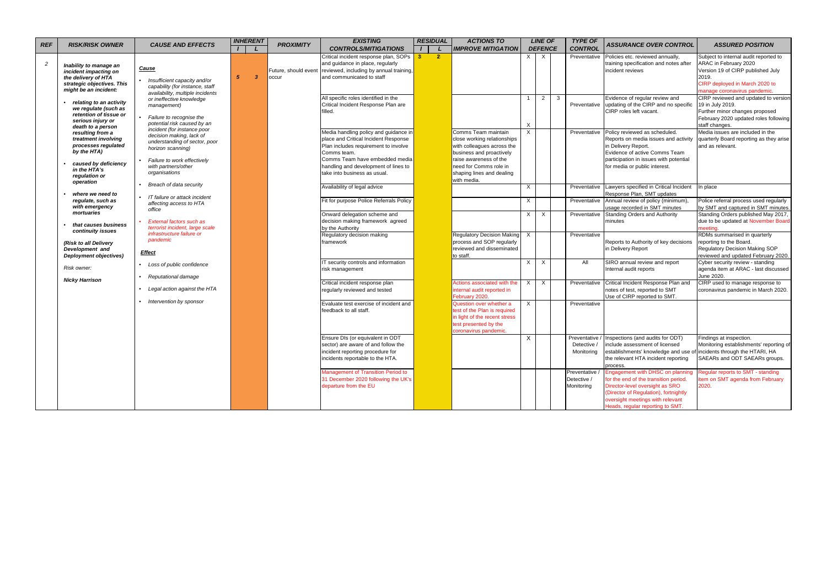| <b>REF</b>     | <b>RISK/RISK OWNER</b>                                                                                                        | <b>CAUSE AND EFFECTS</b>                                                                                                                                            | <b>INHERENT</b>              | <b>PROXIMITY</b>              | <b>EXISTING</b>                                                                                                                                                                                                | <b>RESIDUAL</b>      | <b>ACTIONS TO</b>                                                                                                                                                |              | <b>LINE OF</b> |              | <b>TYPE OF</b>                              | <b>ASSURANCE OVER CONTROL</b>                                                                                                                                                                                                 | <b>ASSURED POSITION</b>                                                                                                                                                               |
|----------------|-------------------------------------------------------------------------------------------------------------------------------|---------------------------------------------------------------------------------------------------------------------------------------------------------------------|------------------------------|-------------------------------|----------------------------------------------------------------------------------------------------------------------------------------------------------------------------------------------------------------|----------------------|------------------------------------------------------------------------------------------------------------------------------------------------------------------|--------------|----------------|--------------|---------------------------------------------|-------------------------------------------------------------------------------------------------------------------------------------------------------------------------------------------------------------------------------|---------------------------------------------------------------------------------------------------------------------------------------------------------------------------------------|
|                |                                                                                                                               |                                                                                                                                                                     |                              |                               | <b>CONTROLS/MITIGATIONS</b>                                                                                                                                                                                    |                      | <b>IMPROVE MITIGATION</b>                                                                                                                                        |              | <b>DEFENCE</b> |              | <b>CONTROL</b>                              |                                                                                                                                                                                                                               |                                                                                                                                                                                       |
| $\overline{c}$ | Inability to manage an<br>incident impacting on<br>the delivery of HTA<br>strategic objectives. This<br>might be an incident: | <b>Cause</b><br>Insufficient capacity and/or<br>capability (for instance, staff                                                                                     | $\overline{\mathbf{3}}$<br>5 | Future, should event<br>occur | Critical incident response plan, SOPs<br>and guidance in place, regularly<br>reviewed, including by annual training,<br>and communicated to staff                                                              | $\overline{2}$<br>-8 |                                                                                                                                                                  | $X \perp$    | $\mathsf{X}$   |              | Preventative                                | Policies etc. reviewed annually,<br>training specification and notes after<br>incident reviews                                                                                                                                | Subject to internal audit reported to<br>ARAC in February 2020<br>Version 19 of CIRP published July<br>2019.<br>CIRP deployed in March 2020 to                                        |
|                | relating to an activity<br>we regulate (such as<br>retention of tissue or<br>serious injury or<br>death to a person           | availability, multiple incidents<br>or ineffective knowledge<br>management)<br>Failure to recognise the<br>potential risk caused by an                              |                              |                               | All specific roles identified in the<br>Critical Incident Response Plan are<br>filled.                                                                                                                         |                      |                                                                                                                                                                  | $\times$     | $2^{\circ}$    | $\mathbf{3}$ | Preventative                                | Evidence of regular review and<br>updating of the CIRP and no specific<br>CIRP roles left vacant.                                                                                                                             | manage coronavirus pandemic.<br>CIRP reviewed and updated to version<br>19 in July 2019.<br>Further minor changes proposed<br>February 2020 updated roles following<br>staff changes. |
|                | resulting from a<br>treatment involving<br>processes regulated<br>by the HTA)<br>caused by deficiency<br>in the HTA's         | incident (for instance poor<br>decision making, lack of<br>understanding of sector, poor<br>horizon scanning)<br>Failure to work effectively<br>with partners/other |                              |                               | Media handling policy and guidance in<br>place and Critical Incident Response<br>Plan includes requirement to involve<br>Comms team.<br>Comms Team have embedded media<br>handling and development of lines to |                      | Comms Team maintain<br>close working relationships<br>with colleagues across the<br>business and proactively<br>raise awareness of the<br>need for Comms role in | $\mathsf{X}$ |                |              | Preventative                                | Policy reviewed as scheduled.<br>Reports on media issues and activity<br>in Delivery Report.<br>Evidence of active Comms Team<br>participation in issues with potential<br>for media or public interest.                      | Media issues are included in the<br>quarterly Board reporting as they arise<br>and as relevant.                                                                                       |
|                | regulation or<br>operation<br>where we need to                                                                                | organisations<br>Breach of data security                                                                                                                            |                              |                               | take into business as usual.<br>Availability of legal advice                                                                                                                                                   |                      | shaping lines and dealing<br>with media.                                                                                                                         | X            |                |              | Preventative                                | Lawyers specified in Critical Incident<br>Response Plan, SMT updates                                                                                                                                                          | In place                                                                                                                                                                              |
|                | regulate, such as<br>with emergency<br>mortuaries                                                                             | IT failure or attack incident<br>affecting access to HTA<br>office                                                                                                  |                              |                               | Fit for purpose Police Referrals Policy                                                                                                                                                                        |                      |                                                                                                                                                                  | $\times$     |                |              | Preventative                                | Annual review of policy (minimum),<br>usage recorded in SMT minutes                                                                                                                                                           | Police referral process used regularly<br>by SMT and captured in SMT minutes.                                                                                                         |
|                | that causes business<br>continuity issues                                                                                     | External factors such as<br>terrorist incident, large scale<br>infrastructure failure or                                                                            |                              |                               | Onward delegation scheme and<br>decision making framework agreed<br>by the Authority                                                                                                                           |                      |                                                                                                                                                                  | X.           | $\mathsf{X}$   |              | Preventative                                | <b>Standing Orders and Authority</b><br>minutes                                                                                                                                                                               | Standing Orders published May 2017,<br>due to be updated at November Board                                                                                                            |
|                | (Risk to all Delivery<br>Development and<br>Deployment objectives)                                                            | pandemic<br><b>Effect</b>                                                                                                                                           |                              |                               | Regulatory decision making<br>framework                                                                                                                                                                        |                      | Regulatory Decision Making<br>process and SOP regularly<br>reviewed and disseminated<br>to staff.                                                                | X            |                |              | Preventative                                | Reports to Authority of key decisions<br>in Delivery Report                                                                                                                                                                   | RDMs summarised in quarterly<br>reporting to the Board.<br>Regulatory Decision Making SOP<br>reviewed and updated February 2020.                                                      |
|                | Risk owner:                                                                                                                   | Loss of public confidence<br>Reputational damage                                                                                                                    |                              |                               | IT security controls and information<br>isk management                                                                                                                                                         |                      |                                                                                                                                                                  | $\times$     | X              |              | All                                         | SIRO annual review and report<br>Internal audit reports                                                                                                                                                                       | Cyber security review - standing<br>agenda item at ARAC - last discussed<br>June 2020.                                                                                                |
|                | <b>Nicky Harrison</b>                                                                                                         | Legal action against the HTA                                                                                                                                        |                              |                               | Critical incident response plan<br>regularly reviewed and tested                                                                                                                                               |                      | Actions associated with the<br>internal audit reported in<br>February 2020.                                                                                      | X            | $\mathsf{X}$   |              | Preventative                                | Critical Incident Response Plan and<br>notes of test, reported to SMT<br>Use of CIRP reported to SMT.                                                                                                                         | CIRP used to manage response to<br>coronavirus pandemic in March 2020.                                                                                                                |
|                |                                                                                                                               | Intervention by sponsor                                                                                                                                             |                              |                               | Evaluate test exercise of incident and<br>feedback to all staff.                                                                                                                                               |                      | Question over whether a<br>test of the Plan is required<br>in light of the recent stress<br>test presented by the<br>coronavirus pandemic.                       | $\times$     |                |              | Preventative                                |                                                                                                                                                                                                                               |                                                                                                                                                                                       |
|                |                                                                                                                               |                                                                                                                                                                     |                              |                               | Ensure DIs (or equivalent in ODT<br>sector) are aware of and follow the<br>incident reporting procedure for<br>incidents reportable to the HTA.                                                                |                      |                                                                                                                                                                  | X            |                |              | Detective /<br>Monitoring                   | Preventative / Inspections (and audits for ODT)<br>include assessment of licensed<br>establishments' knowledge and use of incidents through the HTARI, HA<br>the relevant HTA incident reporting<br>process.                  | Findings at inspection.<br>Monitoring establishments' reporting of<br>SAEARs and ODT SAEARs groups.                                                                                   |
|                |                                                                                                                               |                                                                                                                                                                     |                              |                               | Management of Transition Period to<br>31 December 2020 following the UK's<br>departure from the EU                                                                                                             |                      |                                                                                                                                                                  |              |                |              | Preventative /<br>Detective /<br>Monitoring | Engagement with DHSC on planning<br>for the end of the transition period.<br>Director-level oversight as SRO<br>(Director of Regulation), fortnightly<br>oversight meetings with relevant<br>Heads, regular reporting to SMT. | Regular reports to SMT - standing<br>item on SMT agenda from February<br>2020.                                                                                                        |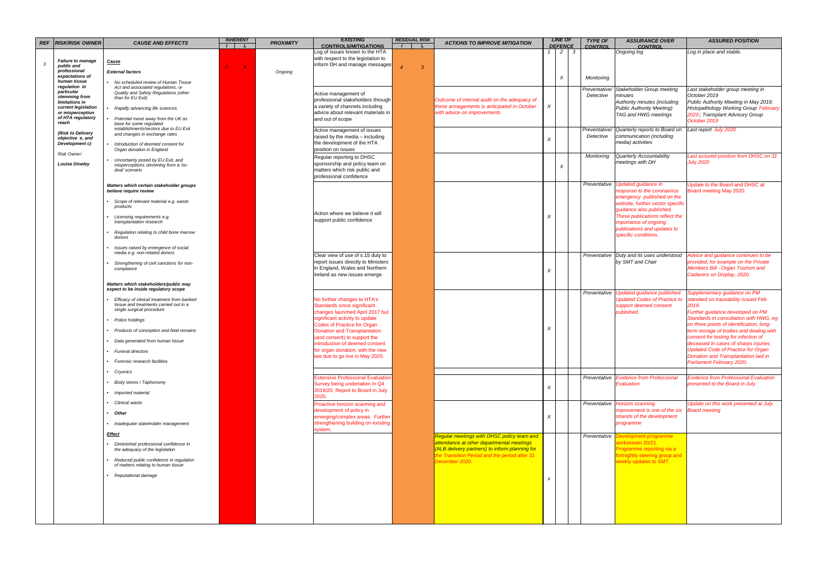| <b>REF</b>    | <b>RISK/RISK OWNER</b>                        | <b>CAUSE AND EFFECTS</b>                                                       | <b>INHERENT</b>     | <b>PROXIMITY</b> | <b>EXISTING</b>                                                       | <b>RESIDUAL RISK</b> | <b>ACTIONS TO IMPROVE MITIGATION</b>                                                         |                  | <b>LINE OF</b>        |              | <b>TYPE OF</b> | <b>ASSURANCE OVER</b>                                                           | <b>ASSURED POSITION</b>                                                           |
|---------------|-----------------------------------------------|--------------------------------------------------------------------------------|---------------------|------------------|-----------------------------------------------------------------------|----------------------|----------------------------------------------------------------------------------------------|------------------|-----------------------|--------------|----------------|---------------------------------------------------------------------------------|-----------------------------------------------------------------------------------|
|               |                                               |                                                                                | $\overline{1}$<br>L |                  | <b>CONTROLS/MITIGATIONS</b><br>Log of issues known to the HTA         |                      |                                                                                              |                  | <b>DEFENCE</b><br>2 I | $\mathbf{3}$ | <b>CONTROL</b> | <b>CONTROL</b><br>Ongoing log                                                   | Log in place and stable.                                                          |
| $\mathcal{S}$ | <b>Failure to manage</b>                      | Cause                                                                          |                     |                  | with respect to the legislation to<br>inform DH and manage messages   |                      |                                                                                              |                  |                       |              |                |                                                                                 |                                                                                   |
|               | public and<br>professional<br>expectations of | <b>External factors</b>                                                        | $\overline{4}$      | Ongoing          |                                                                       | -3                   |                                                                                              |                  |                       |              |                |                                                                                 |                                                                                   |
|               | human tissue<br>regulation in                 | No scheduled review of Human Tissue<br>Act and associated regulations, or      |                     |                  |                                                                       |                      |                                                                                              |                  | $\chi$                |              | Monitoring     |                                                                                 |                                                                                   |
|               | particular<br>stemming from                   | Quality and Safety Regulations (other                                          |                     |                  | Active management of                                                  |                      |                                                                                              |                  |                       |              | Detective      | Preventative/ Stakeholder Group meeting<br>minutes                              | Last stakeholder group meeting in<br>October 2019                                 |
|               | limitations in                                | than for EU Exit)                                                              |                     |                  | professional stakeholders through<br>a variety of channels including  |                      | Outcome of internal audit on the adequacy of<br>these arrnagements is anticipated in October | $\times$         |                       |              |                | Authority minutes (including                                                    | Public Authority Meeting in May 2019;                                             |
|               | current legislation<br>or misperception       | Rapidly advancing life sciences                                                |                     |                  | advice about relevant materials in                                    |                      | with advice on improvements                                                                  |                  |                       |              |                | <b>Public Authority Meeting)</b><br>TAG and HWG meetings                        | <b>Histopathology Working Group February</b><br>2020; Transplant Advisory Group   |
|               | of HTA regulatory<br>reach                    | Potential move away from the UK as<br>base for some regulated                  |                     |                  | and out of scope                                                      |                      |                                                                                              |                  |                       |              |                |                                                                                 | October 2019                                                                      |
|               | (Risk to Delivery                             | establishments/sectors due to EU Exit<br>and changes in exchange rates         |                     |                  | Active management of issues                                           |                      |                                                                                              |                  |                       |              |                | Preventative/ Quarterly reports to Board on                                     | Last report July 2020                                                             |
|               | objective e, and<br>Development c)            | Introduction of deemed consent for                                             |                     |                  | raised by the media - including<br>the development of the HTA         |                      |                                                                                              |                  |                       |              | Detective      | communication (including<br>media) activities                                   |                                                                                   |
|               | Risk Owner:                                   | Organ donation in England                                                      |                     |                  | position on issues                                                    |                      |                                                                                              |                  |                       |              |                |                                                                                 |                                                                                   |
|               | <b>Louise Dineley</b>                         | Uncertainty posed by EU Exit, and                                              |                     |                  | Regular reporting to DHSC<br>sponsorship and policy team on           |                      |                                                                                              |                  |                       |              | Monitoring     | Quarterly Accountability<br>meetings with DH                                    | Last assured position from DHSC on 31<br><b>July 2020</b>                         |
|               |                                               | misperceptions stemming from a 'no-<br>deal' scenario                          |                     |                  | matters which risk public and                                         |                      |                                                                                              |                  | $\times$              |              |                |                                                                                 |                                                                                   |
|               |                                               |                                                                                |                     |                  | professional confidence                                               |                      |                                                                                              |                  |                       |              |                |                                                                                 |                                                                                   |
|               |                                               | Matters which certain stakeholder groups<br>believe require review             |                     |                  |                                                                       |                      |                                                                                              |                  |                       |              |                | Preventative Updated guidance in<br>response to the coronavirus                 | Update to the Board and DHSC at<br>Board meeting May 2020.                        |
|               |                                               | Scope of relevant material e.g. waste                                          |                     |                  |                                                                       |                      |                                                                                              |                  |                       |              |                | emergency published on the<br>website, further sector specific                  |                                                                                   |
|               |                                               | products                                                                       |                     |                  | Action where we believe it will                                       |                      |                                                                                              |                  |                       |              |                | quidance also published.                                                        |                                                                                   |
|               |                                               | Licensing requirements e.g.<br>transplantation research                        |                     |                  | support public confidence                                             |                      |                                                                                              |                  |                       |              |                | These publications reflect the<br>importance of ongoing                         |                                                                                   |
|               |                                               | Regulation relating to child bone marrow                                       |                     |                  |                                                                       |                      |                                                                                              |                  |                       |              |                | publications and updates to                                                     |                                                                                   |
|               |                                               | donors                                                                         |                     |                  |                                                                       |                      |                                                                                              |                  |                       |              |                | specific conditions.                                                            |                                                                                   |
|               |                                               | Issues raised by emergence of social<br>media e.g. non-related donors          |                     |                  | Clear view of use of s.15 duty to                                     |                      |                                                                                              |                  |                       |              |                | Preventative Duty and its uses understood                                       | Advice and guidance continues to be                                               |
|               |                                               | Strengthening of civil sanctions for non-<br>compliance                        |                     |                  | report issues directly to Ministers<br>in England, Wales and Northern |                      |                                                                                              |                  |                       |              |                | by SMT and Chair                                                                | provided, for example on the Private<br>Members Bill - Organ Tourism and          |
|               |                                               |                                                                                |                     |                  | Ireland as new issues emerge                                          |                      |                                                                                              |                  |                       |              |                |                                                                                 | Cadavers on Display, 2020.                                                        |
|               |                                               | Matters which stakeholders/public may<br>expect to be inside regulatory scope  |                     |                  |                                                                       |                      |                                                                                              |                  |                       |              |                |                                                                                 |                                                                                   |
|               |                                               | Efficacy of clinical treatment from banked                                     |                     |                  | No further changes to HTA's                                           |                      |                                                                                              |                  |                       |              |                | Preventative Updated guidance published.<br><b>Updated Codes of Practice to</b> | Supplementary guidance on PM<br>standard on traceability issued Feb               |
|               |                                               | tissue and treatments carried out in a                                         |                     |                  | Standards since significant                                           |                      |                                                                                              |                  |                       |              |                | support deemed consent                                                          | 2019.                                                                             |
|               |                                               | single surgical procedure                                                      |                     |                  | changes launched April 2017 but<br>significant activity to update     |                      |                                                                                              |                  |                       |              |                | published.                                                                      | Further guidance developed on PM<br>Standards in consultation with HWG, eg        |
|               |                                               | Police holdings                                                                |                     |                  | <b>Codes of Practice for Organ</b>                                    |                      |                                                                                              | X                |                       |              |                |                                                                                 | on three points of identification, long-                                          |
|               |                                               | Products of conception and fetal remains                                       |                     |                  | <b>Donation and Transplantation</b><br>(and consent) to support the   |                      |                                                                                              |                  |                       |              |                |                                                                                 | term storage of bodies and dealing with<br>consent for testing for infection of   |
|               |                                               | Data generated from human tissue                                               |                     |                  | introduction of deemed consent                                        |                      |                                                                                              |                  |                       |              |                |                                                                                 | deceased in cases of sharps injuries.                                             |
|               |                                               | <b>Funeral directors</b>                                                       |                     |                  | for organ donation, with the new<br>law due to go live in May 2020.   |                      |                                                                                              |                  |                       |              |                |                                                                                 | <b>Updated Code of Practice for Organ</b><br>Donation and Transplantation laid in |
|               |                                               | Forensic research facilities                                                   |                     |                  |                                                                       |                      |                                                                                              |                  |                       |              |                |                                                                                 | Parliament February 2020.                                                         |
|               |                                               | Cryonics                                                                       |                     |                  | <b>Extensive Professional Evaluation</b>                              |                      |                                                                                              |                  |                       |              |                | Preventative Evidence from Professional                                         | <b>Evidence from Professional Evaluation</b>                                      |
|               |                                               | Body stores / Taphonomy                                                        |                     |                  | Survey being undertaken in Q4                                         |                      |                                                                                              | X                |                       |              |                | Evaluation                                                                      | presented to the Board in July.                                                   |
|               |                                               | Imported material                                                              |                     |                  | 2019/20. Report to Board in July<br>2020.                             |                      |                                                                                              |                  |                       |              |                |                                                                                 |                                                                                   |
|               |                                               | Clinical waste                                                                 |                     |                  | Proactive horizon scanning and                                        |                      |                                                                                              |                  |                       |              |                | Preventative Horizon scanning                                                   | Update on this work presented at July                                             |
|               |                                               | <b>Other</b>                                                                   |                     |                  | development of policy in<br>emerging/complex areas. Further           |                      |                                                                                              |                  |                       |              |                | improvement is one of the six Board meeting<br>strands of the development       |                                                                                   |
|               |                                               | Inadequate stakeholder management                                              |                     |                  | strengthening building on existing                                    |                      |                                                                                              |                  |                       |              |                | programme                                                                       |                                                                                   |
|               |                                               | <b>Effect</b>                                                                  |                     |                  | system.                                                               |                      | Regular meetings with DHSC policy team and                                                   |                  |                       |              | Preventative   | evelopment programme                                                            |                                                                                   |
|               |                                               | Diminished professional confidence in<br>the adequacy of the legislation       |                     |                  |                                                                       |                      | attendance at other departmental meetings<br>(ALB delivery partners) to inform planning for  |                  |                       |              |                | workstream 20/21<br>Programme reporting via a                                   |                                                                                   |
|               |                                               |                                                                                |                     |                  |                                                                       |                      | the Transition Period and the period after 31                                                |                  |                       |              |                | ortnightly steering group and                                                   |                                                                                   |
|               |                                               | Reduced public confidence in regulation<br>of matters relating to human tissue |                     |                  |                                                                       |                      | December 2020.                                                                               |                  |                       |              |                | weekly updates to SMT.                                                          |                                                                                   |
|               |                                               | Reputational damage                                                            |                     |                  |                                                                       |                      |                                                                                              | $\boldsymbol{x}$ |                       |              |                |                                                                                 |                                                                                   |
|               |                                               |                                                                                |                     |                  |                                                                       |                      |                                                                                              |                  |                       |              |                |                                                                                 |                                                                                   |
|               |                                               |                                                                                |                     |                  |                                                                       |                      |                                                                                              |                  |                       |              |                |                                                                                 |                                                                                   |
|               |                                               |                                                                                |                     |                  |                                                                       |                      |                                                                                              |                  |                       |              |                |                                                                                 |                                                                                   |
|               |                                               |                                                                                |                     |                  |                                                                       |                      |                                                                                              |                  |                       |              |                |                                                                                 |                                                                                   |
|               |                                               |                                                                                |                     |                  |                                                                       |                      |                                                                                              |                  |                       |              |                |                                                                                 |                                                                                   |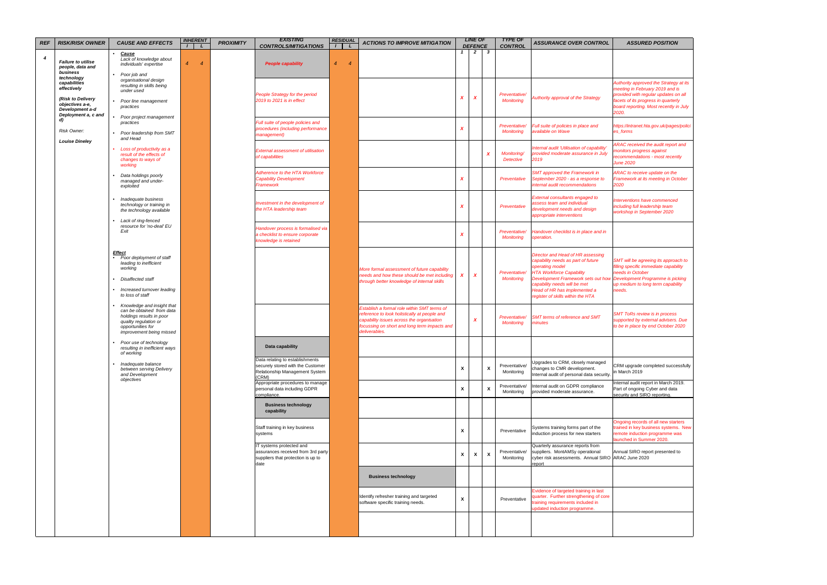| <b>REF</b> | <b>RISK/RISK OWNER</b>                                                                                                      | <b>CAUSE AND EFFECTS</b>                                                                                                                                      | <b>INHERENT</b>     | <b>PROXIMITY</b> | <b>EXISTING</b><br><b>CONTROLS/MITIGATIONS</b>                                                                  | <b>RESIDUAL</b>                  | <b>ACTIONS TO IMPROVE MITIGATION</b>                                                                                                                                                                      |                  | <b>LINE OF</b><br><b>DEFENCE</b> |              | <b>TYPE OF</b><br><b>CONTROL</b>   | <b>ASSURANCE OVER CONTROL</b>                                                                                                                                                                               | <b>ASSURED POSITION</b>                                                                                                                                                                                     |
|------------|-----------------------------------------------------------------------------------------------------------------------------|---------------------------------------------------------------------------------------------------------------------------------------------------------------|---------------------|------------------|-----------------------------------------------------------------------------------------------------------------|----------------------------------|-----------------------------------------------------------------------------------------------------------------------------------------------------------------------------------------------------------|------------------|----------------------------------|--------------|------------------------------------|-------------------------------------------------------------------------------------------------------------------------------------------------------------------------------------------------------------|-------------------------------------------------------------------------------------------------------------------------------------------------------------------------------------------------------------|
| 4          | <b>Failure to utilise</b><br>people, data and<br>business                                                                   | <b>Cause</b><br>Lack of knowledge about<br>individuals' expertise<br>Poor job and                                                                             | $\overline{4}$<br>4 |                  | <b>People capability</b>                                                                                        | $\overline{4}$<br>$\overline{4}$ |                                                                                                                                                                                                           |                  | $\overline{2}$                   | $\mathbf{3}$ |                                    |                                                                                                                                                                                                             |                                                                                                                                                                                                             |
|            | technology<br>capabilities<br>effectively<br>(Risk to Delivery<br>objectives a-e,<br>Development a-d<br>Deployment a, c and | organisational design<br>resulting in skills being<br>under used<br>Poor line management<br>practices                                                         |                     |                  | People Strategy for the period<br>2019 to 2021 is in effect                                                     |                                  |                                                                                                                                                                                                           | X                | X                                |              | Preventative/<br><b>Monitoring</b> | Authority approval of the Strategy                                                                                                                                                                          | Authority approved the Strategy at its<br>meeting in February 2019 and is<br>provided with regular updates on all<br>facets of its progress in quarterly<br>board reporting. Most recently in July<br>2020. |
|            | $\mathbf{d}$<br>Risk Owner:                                                                                                 | Poor project management<br>practices<br>Poor leadership from SMT                                                                                              |                     |                  | Full suite of people policies and<br>procedures (including performance<br>management)                           |                                  |                                                                                                                                                                                                           | X                |                                  |              | Preventative/<br><b>Monitoring</b> | Full suite of policies in place and<br>available on Wave                                                                                                                                                    | https://intranet.hta.gov.uk/pages/polici<br>es forms                                                                                                                                                        |
|            | <b>Louise Dineley</b>                                                                                                       | and Head<br>Loss of productivity as a<br>result of the effects of<br>changes to ways of<br>working                                                            |                     |                  | <b>External assessment of utilisation</b><br>of capabilities                                                    |                                  |                                                                                                                                                                                                           |                  |                                  | X            | Monitoring/<br><b>Detective</b>    | Internal audit 'Utilisation of capability'<br>provided moderate assurance in July<br>2019                                                                                                                   | ARAC received the audit report and<br>monitors progress against<br>recommendations - most recently<br><b>June 2020</b>                                                                                      |
|            |                                                                                                                             | Data holdings poorly<br>managed and under-<br>exploited                                                                                                       |                     |                  | Adherence to the HTA Workforce<br><b>Capability Development</b><br>Framework                                    |                                  |                                                                                                                                                                                                           | X                |                                  |              | Preventative                       | <b>SMT approved the Framework in</b><br>September 2020 - as a response to<br>internal audit recommendations                                                                                                 | ARAC to receive update on the<br>Framework at its meeting in October<br>2020                                                                                                                                |
|            |                                                                                                                             | Inadequate business<br>technology or training in<br>the technology available<br>Lack of ring-fenced                                                           |                     |                  | Investment in the development of<br>the HTA leadership team                                                     |                                  |                                                                                                                                                                                                           | X                |                                  |              | Preventative                       | <b>External consultants engaged to</b><br>assess team and individual<br>development needs and design<br>appropriate interventions                                                                           | Interventions have commenced<br>including full leadership team<br>workshop in September 2020                                                                                                                |
|            |                                                                                                                             | resource for 'no-deal' EU<br>Exit                                                                                                                             |                     |                  | Handover process is formalised via<br>a checklist to ensure corporate<br>knowledge is retained                  |                                  |                                                                                                                                                                                                           | X                |                                  |              | Preventative/<br><b>Monitoring</b> | Handover checklist is in place and in<br>operation.                                                                                                                                                         |                                                                                                                                                                                                             |
|            |                                                                                                                             | <b>Effect</b><br>Poor deployment of staff<br>leading to inefficient<br>working<br>Disaffected staff                                                           |                     |                  |                                                                                                                 |                                  | More formal assessment of future capability<br>needs and how these should be met including<br>through better knowledge of internal skills                                                                 | $\boldsymbol{x}$ | $\boldsymbol{x}$                 |              | Preventative/<br><b>Monitoring</b> | <b>Director and Head of HR assessing</b><br>capability needs as part of future<br>operating model<br><b>HTA Workforce Capability</b><br>Development Framework sets out how Development Programme is picking | SMT will be agreeing its approach to<br>filling specific immediate capability<br>needs in October                                                                                                           |
|            |                                                                                                                             | Increased turnover leading<br>to loss of staff                                                                                                                |                     |                  |                                                                                                                 |                                  |                                                                                                                                                                                                           |                  |                                  |              |                                    | capability needs will be met<br>Head of HR has implemented a<br>egister of skills within the HTA                                                                                                            | up medium to long term capability<br>needs.                                                                                                                                                                 |
|            |                                                                                                                             | Knowledge and insight that<br>can be obtained from data<br>holdings results in poor<br>quality regulation or<br>opportunities for<br>improvement being missed |                     |                  |                                                                                                                 |                                  | Establish a formal role within SMT terms of<br>reference to look holistically at people and<br>capability issues across the organisation<br>focussing on short and long term impacts and<br>deliverables. |                  | X                                |              | Preventative/<br><b>Monitoring</b> | <b>SMT terms of reference and SMT</b><br>minutes                                                                                                                                                            | <b>SMT ToRs review is in process</b><br>supported by external advisers. Due<br>to be in place by end October 2020                                                                                           |
|            |                                                                                                                             | Poor use of technology<br>resulting in inefficient ways<br>of working                                                                                         |                     |                  | Data capability                                                                                                 |                                  |                                                                                                                                                                                                           |                  |                                  |              |                                    |                                                                                                                                                                                                             |                                                                                                                                                                                                             |
|            |                                                                                                                             | Inadequate balance<br>between serving Delivery<br>and Development<br>objectives                                                                               |                     |                  | Data relating to establishments<br>securely stored with the Customer<br>Relationship Management System<br>(CRM) |                                  |                                                                                                                                                                                                           | X                |                                  | $\mathbf{x}$ | Preventative/<br>Monitoring        | Upgrades to CRM, closely managed<br>changes to CMR development.<br>Internal audit of personal data security                                                                                                 | CRM upgrade completed successfully<br>in March 2019                                                                                                                                                         |
|            |                                                                                                                             |                                                                                                                                                               |                     |                  | Appropriate procedures to manage<br>personal data including GDPR<br>compliance.                                 |                                  |                                                                                                                                                                                                           | X                |                                  | X            | Preventative/<br>Monitoring        | Internal audit on GDPR compliance<br>provided moderate assurance.                                                                                                                                           | Internal audit report in March 2019.<br>Part of ongoing Cyber and data<br>security and SIRO reporting.                                                                                                      |
|            |                                                                                                                             |                                                                                                                                                               |                     |                  | <b>Business technology</b><br>capability                                                                        |                                  |                                                                                                                                                                                                           |                  |                                  |              |                                    |                                                                                                                                                                                                             |                                                                                                                                                                                                             |
|            |                                                                                                                             |                                                                                                                                                               |                     |                  | Staff training in key business<br>systems                                                                       |                                  |                                                                                                                                                                                                           | X                |                                  |              | Preventative                       | Systems training forms part of the<br>induction process for new starters                                                                                                                                    | Ongoing records of all new starters<br>trained in key business systems. New<br>remote induction programme was<br>launched in Summer 2020.                                                                   |
|            |                                                                                                                             |                                                                                                                                                               |                     |                  | IT systems protected and<br>assurances received from 3rd party<br>suppliers that protection is up to<br>date    |                                  |                                                                                                                                                                                                           | X                | X                                | X            | Preventative/<br>Monitoring        | Quarterly assurance reports from<br>suppliers. MontAMSy operational<br>cyber risk assessments. Annual SIRO ARAC June 2020<br>report                                                                         | Annual SIRO report presented to                                                                                                                                                                             |
|            |                                                                                                                             |                                                                                                                                                               |                     |                  |                                                                                                                 |                                  | <b>Business technology</b>                                                                                                                                                                                |                  |                                  |              |                                    |                                                                                                                                                                                                             |                                                                                                                                                                                                             |
|            |                                                                                                                             |                                                                                                                                                               |                     |                  |                                                                                                                 |                                  | Identify refresher training and targeted<br>software specific training needs.                                                                                                                             | X                |                                  |              | Preventative                       | Evidence of targeted training in last<br>quarter. Further strengthening of core<br>training requirements included in<br>updated induction programme.                                                        |                                                                                                                                                                                                             |
|            |                                                                                                                             |                                                                                                                                                               |                     |                  |                                                                                                                 |                                  |                                                                                                                                                                                                           |                  |                                  |              |                                    |                                                                                                                                                                                                             |                                                                                                                                                                                                             |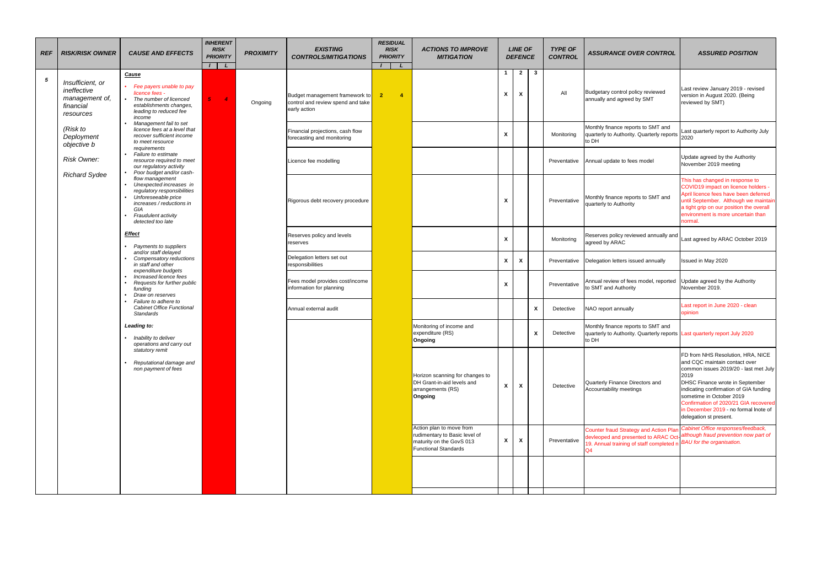| <b>REF</b> | <b>RISK/RISK OWNER</b>                                                      | <b>CAUSE AND EFFECTS</b>                                                                                                                                                         | <b>INHERENT</b><br><b>RISK</b><br><b>PRIORITY</b><br>$I \parallel L$ | <b>PROXIMITY</b> | <b>EXISTING</b><br><b>CONTROLS/MITIGATIONS</b>                                      | <b>RESIDUAL</b><br><b>RISK</b><br><b>PRIORITY</b> | <b>ACTIONS TO IMPROVE</b><br><b>MITIGATION</b>                                                                       |                           | <b>LINE OF</b><br><b>DEFENCE</b> |              | <b>TYPE OF</b><br><b>CONTROL</b> | <b>ASSURANCE OVER CONTROL</b>                                                                                                           | <b>ASSURED POSITION</b>                                                                                                                                                                                                                                                                                                                  |
|------------|-----------------------------------------------------------------------------|----------------------------------------------------------------------------------------------------------------------------------------------------------------------------------|----------------------------------------------------------------------|------------------|-------------------------------------------------------------------------------------|---------------------------------------------------|----------------------------------------------------------------------------------------------------------------------|---------------------------|----------------------------------|--------------|----------------------------------|-----------------------------------------------------------------------------------------------------------------------------------------|------------------------------------------------------------------------------------------------------------------------------------------------------------------------------------------------------------------------------------------------------------------------------------------------------------------------------------------|
| 5          | Insufficient, or<br>ineffective<br>management of,<br>financial<br>resources | Cause<br>Fee payers unable to pay<br>licence fees -<br>The number of licenced<br>establishments changes,<br>leading to reduced fee<br>income                                     | $\overline{4}$<br>$5 -$                                              | Ongoing          | Budget management framework to<br>control and review spend and take<br>early action | $\overline{2}$                                    |                                                                                                                      | X                         | $\overline{2}$<br>X              | $\mathbf{3}$ | All                              | Budgetary control policy reviewed<br>annually and agreed by SMT                                                                         | Last review January 2019 - revised<br>version in August 2020. (Being<br>reviewed by SMT)                                                                                                                                                                                                                                                 |
|            | (Risk to<br>Deployment<br>objective b                                       | Management fail to set<br>licence fees at a level that<br>recover sufficient income<br>to meet resource<br>requirements                                                          |                                                                      |                  | Financial projections, cash flow<br>forecasting and monitoring                      |                                                   |                                                                                                                      | X                         |                                  |              | Monitoring                       | Monthly finance reports to SMT and<br>quarterly to Authority. Quarterly reports<br>to DH                                                | Last quarterly report to Authority July<br>2020                                                                                                                                                                                                                                                                                          |
|            | Risk Owner:                                                                 | Failure to estimate<br>resource required to meet<br>our regulatory activity<br>Poor budget and/or cash-                                                                          |                                                                      |                  | Licence fee modelling                                                               |                                                   |                                                                                                                      |                           |                                  |              | Preventative                     | Annual update to fees model                                                                                                             | Update agreed by the Authority<br>November 2019 meeting                                                                                                                                                                                                                                                                                  |
|            | <b>Richard Sydee</b>                                                        | flow management<br>Unexpected increases in<br>regulatory responsibilities<br>Unforeseeable price<br>increases / reductions in<br>GIA<br>Fraudulent activity<br>detected too late |                                                                      |                  | Rigorous debt recovery procedure                                                    |                                                   |                                                                                                                      | X                         |                                  |              | Preventative                     | Monthly finance reports to SMT and<br>quarterly to Authority                                                                            | This has changed in response to<br>COVID19 impact on licence holders -<br>April licence fees have been deferred<br>until September. Although we maintain<br>a tight grip on our position the overall<br>environment is more uncertain than<br>normal.                                                                                    |
|            |                                                                             | Effect<br>Payments to suppliers                                                                                                                                                  |                                                                      |                  | Reserves policy and levels<br>reserves                                              |                                                   |                                                                                                                      | X                         |                                  |              | Monitoring                       | Reserves policy reviewed annually and<br>agreed by ARAC                                                                                 | Last agreed by ARAC October 2019                                                                                                                                                                                                                                                                                                         |
|            |                                                                             | and/or staff delayed<br>Compensatory reductions<br>in staff and other                                                                                                            |                                                                      |                  | Delegation letters set out<br>responsibilities                                      |                                                   |                                                                                                                      | $\boldsymbol{\mathsf{x}}$ | X                                |              | Preventative                     | Delegation letters issued annually                                                                                                      | Issued in May 2020                                                                                                                                                                                                                                                                                                                       |
|            |                                                                             | expenditure budgets<br>Increased licence fees<br>Requests for further public<br>funding<br>Draw on reserves                                                                      |                                                                      |                  | Fees model provides cost/income<br>information for planning                         |                                                   |                                                                                                                      | X                         |                                  |              | Preventative                     | Annual review of fees model, reported<br>to SMT and Authority                                                                           | Update agreed by the Authority<br>November 2019.                                                                                                                                                                                                                                                                                         |
|            |                                                                             | Failure to adhere to<br><b>Cabinet Office Functional</b><br><b>Standards</b>                                                                                                     |                                                                      |                  | Annual external audit                                                               |                                                   |                                                                                                                      |                           |                                  | X            | Detective                        | NAO report annually                                                                                                                     | Last report in June 2020 - clean<br>opinion                                                                                                                                                                                                                                                                                              |
|            |                                                                             | Leading to:<br>Inability to deliver<br>operations and carry out                                                                                                                  |                                                                      |                  |                                                                                     |                                                   | Monitoring of income and<br>expenditure (RS)<br>Ongoing                                                              |                           |                                  | X            | Detective                        | Monthly finance reports to SMT and<br>quarterly to Authority. Quarterly reports Last quarterly report July 2020<br>to DH                |                                                                                                                                                                                                                                                                                                                                          |
|            |                                                                             | statutory remit<br>Reputational damage and<br>non payment of fees                                                                                                                |                                                                      |                  |                                                                                     |                                                   | Horizon scanning for changes to<br>DH Grant-in-aid levels and<br>arrangements (RS)<br>Ongoing                        | X                         | X                                |              | Detective                        | Quarterly Finance Directors and<br>Accountability meetings                                                                              | FD from NHS Resolution, HRA, NICE<br>and CQC maintain contact over<br>common issues 2019/20 - last met July<br>2019<br>DHSC Finance wrote in September<br>indicating confirmation of GIA funding<br>sometime in October 2019<br>Confirmation of 2020/21 GIA recovered<br>in December 2019 - no formal Inote of<br>delegation st present. |
|            |                                                                             |                                                                                                                                                                                  |                                                                      |                  |                                                                                     |                                                   | Action plan to move from<br>rudimentary to Basic level of<br>maturity on the GovS 013<br><b>Functional Standards</b> | X                         | X                                |              | Preventative                     | <b>Counter fraud Strategy and Action Plan</b><br>devleoped and presented to ARAC Oct-<br>19. Annual training of staff completed n<br>Q4 | Cabinet Office responses/feedback,<br>although fraud prevention now part of<br><b>BAU</b> for the organisation.                                                                                                                                                                                                                          |
|            |                                                                             |                                                                                                                                                                                  |                                                                      |                  |                                                                                     |                                                   |                                                                                                                      |                           |                                  |              |                                  |                                                                                                                                         |                                                                                                                                                                                                                                                                                                                                          |
|            |                                                                             |                                                                                                                                                                                  |                                                                      |                  |                                                                                     |                                                   |                                                                                                                      |                           |                                  |              |                                  |                                                                                                                                         |                                                                                                                                                                                                                                                                                                                                          |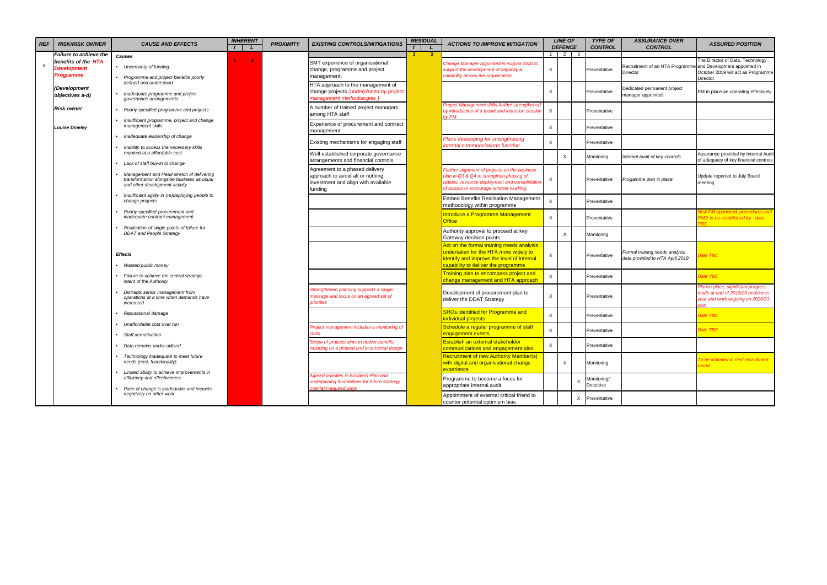| <b>REF</b> | <b>RISK/RISK OWNER</b>                                        | <b>CAUSE AND EFFECTS</b>                                                                                                                                    | <b>INHERENT</b> | <b>PROXIMITY</b> | <b>EXISTING CONTROLS/MITIGATIONS</b>                                                                                 | <b>RESIDUAL</b> | <b>ACTIONS TO IMPROVE MITIGATION</b>                                                                                                                                                    |                           | <b>LINE OF</b><br><b>DEFENCE</b> | <b>TYPE OF</b><br><b>CONTROL</b> | <b>ASSURANCE OVER</b><br><b>CONTROL</b>                                  | <b>ASSURED POSITION</b>                                                                                              |
|------------|---------------------------------------------------------------|-------------------------------------------------------------------------------------------------------------------------------------------------------------|-----------------|------------------|----------------------------------------------------------------------------------------------------------------------|-----------------|-----------------------------------------------------------------------------------------------------------------------------------------------------------------------------------------|---------------------------|----------------------------------|----------------------------------|--------------------------------------------------------------------------|----------------------------------------------------------------------------------------------------------------------|
|            | <b>Failure to achieve the</b>                                 | Causes                                                                                                                                                      |                 |                  |                                                                                                                      | 3 <sup>1</sup>  |                                                                                                                                                                                         |                           | $1 \mid 2 \mid 3$                |                                  |                                                                          |                                                                                                                      |
| 6          | benefits of the HTA<br><b>Development</b><br><b>Programme</b> | • Uncertainty of funding<br>• Programme and project benefits poorly                                                                                         | $\overline{4}$  |                  | SMT experience of organisational<br>change, programme and project<br>management.                                     |                 | Change Manager appointed in August 2020 to<br>support the development of capacity &<br>capability across the organisation                                                               | $\times$                  |                                  | Preventative                     | Recruitment of an HTA Programme and Development appointed in<br>Director | The Director of Data, Technology<br>October 2019 will act as Programme<br>Director.                                  |
|            | (Development<br>objectives a-d)                               | defined and understood<br>Inadequate programme and project<br>governance arrangements                                                                       |                 |                  | HTA approach to the management of<br>change projects (underpinned by project<br>management methodologies)            |                 |                                                                                                                                                                                         | X                         |                                  | Preventative                     | Dedicated permanent project<br>manager appointed                         | PM in place an operating effectively                                                                                 |
|            | <b>Risk owner</b>                                             | Poorly specified programme and projects                                                                                                                     |                 |                  | A number of trained project managers<br>among HTA staff                                                              |                 | <b>Project Management skills further strengthened</b><br>by introduction of a toolkit and induction sessior<br>by PM                                                                    | $\times$                  |                                  | Preventative                     |                                                                          |                                                                                                                      |
|            | <b>Louise Dineley</b>                                         | Insufficient programme, project and change<br>management skills                                                                                             |                 |                  | Experience of procurement and contract<br>management                                                                 |                 |                                                                                                                                                                                         | $\times$                  |                                  | Preventative                     |                                                                          |                                                                                                                      |
|            |                                                               | Inadequate leadership of change                                                                                                                             |                 |                  | Existing mechanisms for engaging staff                                                                               |                 | Plans developing for strengthening<br>internal communciations function                                                                                                                  | $\mathsf{X}$              |                                  | Preventative                     |                                                                          |                                                                                                                      |
|            |                                                               | Inability to access the necessary skills<br>required at a affordable cost                                                                                   |                 |                  | Well established corporate governance<br>arrangements and financial controls                                         |                 |                                                                                                                                                                                         |                           | $\times$                         | Monitoring                       | Internal audit of key controls                                           | Assurance provided by Internal Audit<br>of adequacy of key financial controls                                        |
|            |                                                               | Lack of staff buy-in to change<br>Management and Head stretch of delivering<br>transformation alongside business as usual<br>and other development activity |                 |                  | Agreement to a phased delivery<br>approach to avoid all or nothing<br>investment and align with available<br>funding |                 | Further alignment of projects on the business<br>plan in Q3 & Q4 to strengthen phasing of<br>actions, resource deployment and consolidation<br>of actions to encourage smarter working. | $\times$                  |                                  | Preventative                     | Progamme plan in place                                                   | Update reported to July Board<br>meeting                                                                             |
|            |                                                               | Insufficient agility in (re)deploying people to<br>change projects                                                                                          |                 |                  |                                                                                                                      |                 | <b>Embed Benefits Realisation Management</b><br>methodology within programme                                                                                                            | X                         |                                  | Preventative                     |                                                                          |                                                                                                                      |
|            |                                                               | Poorly specified procurement and<br>inadequate contract management                                                                                          |                 |                  |                                                                                                                      |                 | Introduce a Programme Management<br>Office                                                                                                                                              | $\times$                  |                                  | Preventative                     |                                                                          | lew PM appointed, procedures and<br>MO to be established by - date                                                   |
|            |                                                               | Realisation of single points of failure for<br><b>DDAT</b> and People Strategy                                                                              |                 |                  |                                                                                                                      |                 | Authority approval to proceed at key<br>Gateway decision points                                                                                                                         |                           | $\boldsymbol{\mathsf{x}}$        | Monitoring                       |                                                                          |                                                                                                                      |
|            |                                                               | <b>Effects</b><br>Wasted public money                                                                                                                       |                 |                  |                                                                                                                      |                 | Act on the formal training needs analysis<br>undertaken for the HTA more widely to<br>identify and improve the level of internal<br>capability to deliver the programme                 | $\boldsymbol{\mathsf{X}}$ |                                  | Preventative                     | Formal training needs analysis<br>data provided to HTA April 2019        | Pate TBC                                                                                                             |
|            |                                                               | Failure to achieve the central strategic<br>intent of the Authority                                                                                         |                 |                  |                                                                                                                      |                 | Training plan to encompass project and<br>change management and HTA approach                                                                                                            | $\times$                  |                                  | Preventative                     |                                                                          | Date TBC                                                                                                             |
|            |                                                               | Distracts senior management from<br>operations at a time when demands have<br>increased                                                                     |                 |                  | Strengthened planning supports a single<br>message and focus on an agreed set of<br>priorities                       |                 | Development of procurement plan to<br>deliver the DDAT Strategy                                                                                                                         | X                         |                                  | Preventative                     |                                                                          | Plan in place, significant progress<br>made at end of 2019/20 budsiness<br>year and work ongoing on 2020/21<br>olan. |
|            |                                                               | Reputational damage                                                                                                                                         |                 |                  |                                                                                                                      |                 | <b>SROs identified for Programme and</b><br>individual projects                                                                                                                         | $\mathsf X$               |                                  | Preventative                     |                                                                          | Date TBC                                                                                                             |
|            |                                                               | Unaffordable cost over run<br>Staff demotivation                                                                                                            |                 |                  | Project management includes a monitoring of                                                                          |                 | Schedule a regular programme of staff<br>engagement events                                                                                                                              | $\mathsf X$               |                                  | Preventative                     |                                                                          | Date TBC                                                                                                             |
|            |                                                               | Data remains under-utilised                                                                                                                                 |                 |                  | Scope of projects aims to deliver benefits<br>ncluding on a phased and incemental design                             |                 | Establish an external stakeholder<br>communications and engagement plan                                                                                                                 | $\mathsf{X}$              |                                  | Preventative                     |                                                                          |                                                                                                                      |
|            |                                                               | Technology inadequate to meet future<br>needs (cost, functionality)                                                                                         |                 |                  |                                                                                                                      |                 | <b>Recruitment of new Authority Member(s)</b><br>with digital and organisational change<br>experience                                                                                   |                           | $\times$                         | Monitoring                       |                                                                          | To be actioned at next recruitment<br>round                                                                          |
|            |                                                               | Limited ability to achieve improvements in<br>efficiency and effectiveness                                                                                  |                 |                  | Agreed priorities in Business Plan and<br>underpinning foundations for future strategy<br>maintain required pace     |                 | Programme to become a focus for<br>appropriate internal audit                                                                                                                           |                           |                                  | Monitoring/<br>Detective         |                                                                          |                                                                                                                      |
|            |                                                               | Pace of change is inadequate and impacts<br>negatively on other work                                                                                        |                 |                  |                                                                                                                      |                 | Appointment of external critical friend to<br>counter potential optimism bias                                                                                                           |                           |                                  | X Preventative                   |                                                                          |                                                                                                                      |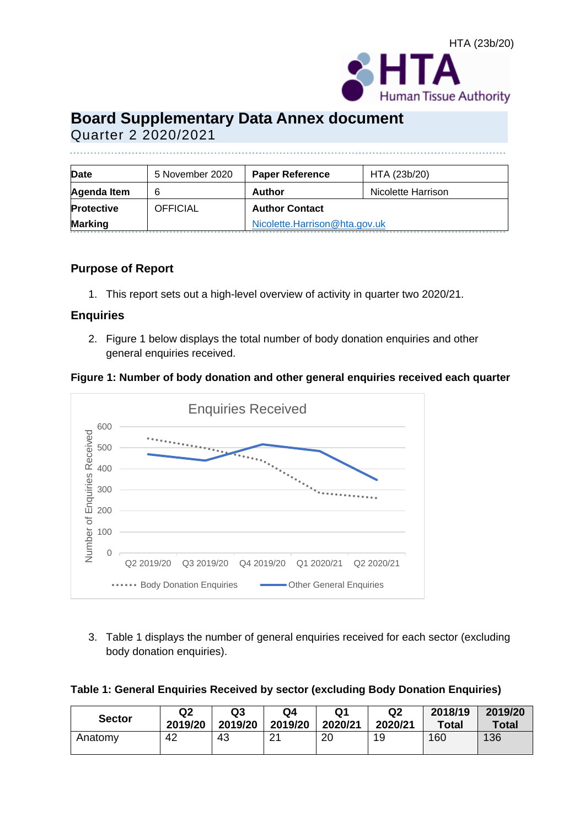# **Board Supplementary Data Annex document**  Quarter 2 2020/2021

| Date              | 5 November 2020 | <b>Paper Reference</b>        | HTA (23b/20)       |
|-------------------|-----------------|-------------------------------|--------------------|
| Agenda Item       | 6               | <b>Author</b>                 | Nicolette Harrison |
| <b>Protective</b> | OFFICIAL        | <b>Author Contact</b>         |                    |
| <b>Marking</b>    |                 | Nicolette.Harrison@hta.gov.uk |                    |

#### **Purpose of Report**

1. This report sets out a high-level overview of activity in quarter two 2020/21.

#### **Enquiries**

2. Figure 1 below displays the total number of body donation enquiries and other general enquiries received.

**Figure 1: Number of body donation and other general enquiries received each quarter**



3. Table 1 displays the number of general enquiries received for each sector (excluding body donation enquiries).

| Table 1: General Enquiries Received by sector (excluding Body Donation Enquiries) |  |  |  |
|-----------------------------------------------------------------------------------|--|--|--|
|-----------------------------------------------------------------------------------|--|--|--|

| <b>Sector</b> | Q2      | Q3      | Q4               | Q1      | Q2      | 2018/19 | 2019/20      |
|---------------|---------|---------|------------------|---------|---------|---------|--------------|
|               | 2019/20 | 2019/20 | 2019/20          | 2020/21 | 2020/21 | Total   | <b>Total</b> |
| Anatomy       | 42      | 43      | ົາ 1<br><u>.</u> | 20      | 19      | 160     | 136          |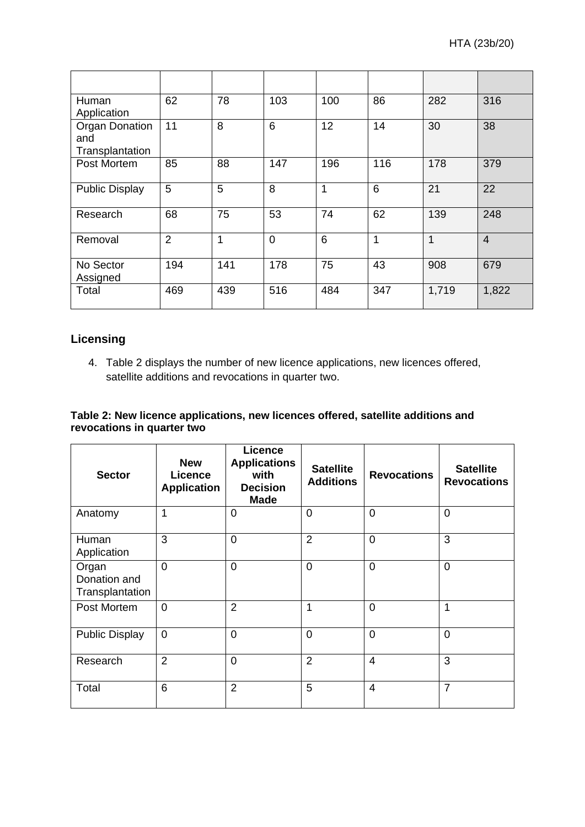| Human<br>Application                            | 62             | 78           | 103         | 100 | 86  | 282   | 316            |
|-------------------------------------------------|----------------|--------------|-------------|-----|-----|-------|----------------|
| <b>Organ Donation</b><br>and<br>Transplantation | 11             | 8            | 6           | 12  | 14  | 30    | 38             |
| Post Mortem                                     | 85             | 88           | 147         | 196 | 116 | 178   | 379            |
| <b>Public Display</b>                           | 5              | 5            | 8           | 1   | 6   | 21    | 22             |
| Research                                        | 68             | 75           | 53          | 74  | 62  | 139   | 248            |
| Removal                                         | $\overline{2}$ | $\mathbf{1}$ | $\mathbf 0$ | 6   | 1   | 1     | $\overline{4}$ |
| No Sector<br>Assigned                           | 194            | 141          | 178         | 75  | 43  | 908   | 679            |
| Total                                           | 469            | 439          | 516         | 484 | 347 | 1,719 | 1,822          |

#### **Licensing**

4. Table 2 displays the number of new licence applications, new licences offered, satellite additions and revocations in quarter two.

#### **Table 2: New licence applications, new licences offered, satellite additions and revocations in quarter two**

| <b>Sector</b>                            | <b>New</b><br><b>Licence</b><br><b>Application</b> | <b>Licence</b><br><b>Applications</b><br>with<br><b>Decision</b><br><b>Made</b> | <b>Satellite</b><br><b>Additions</b> | <b>Revocations</b> | <b>Satellite</b><br><b>Revocations</b> |
|------------------------------------------|----------------------------------------------------|---------------------------------------------------------------------------------|--------------------------------------|--------------------|----------------------------------------|
| Anatomy                                  | $\mathbf{1}$                                       | $\overline{0}$                                                                  | $\overline{0}$                       | $\Omega$           | $\overline{0}$                         |
| Human<br>Application                     | 3                                                  | $\overline{0}$                                                                  | $\overline{2}$                       | $\Omega$           | 3                                      |
| Organ<br>Donation and<br>Transplantation | $\Omega$                                           | $\overline{0}$                                                                  | $\mathbf 0$                          | $\Omega$           | $\overline{0}$                         |
| Post Mortem                              | $\Omega$                                           | $\overline{2}$                                                                  | 1                                    | $\Omega$           | 1                                      |
| <b>Public Display</b>                    | $\overline{0}$                                     | $\overline{0}$                                                                  | $\overline{0}$                       | $\Omega$           | $\overline{0}$                         |
| Research                                 | $\overline{2}$                                     | $\overline{0}$                                                                  | $\overline{2}$                       | $\overline{4}$     | 3                                      |
| Total                                    | 6                                                  | $\overline{2}$                                                                  | 5                                    | 4                  | $\overline{7}$                         |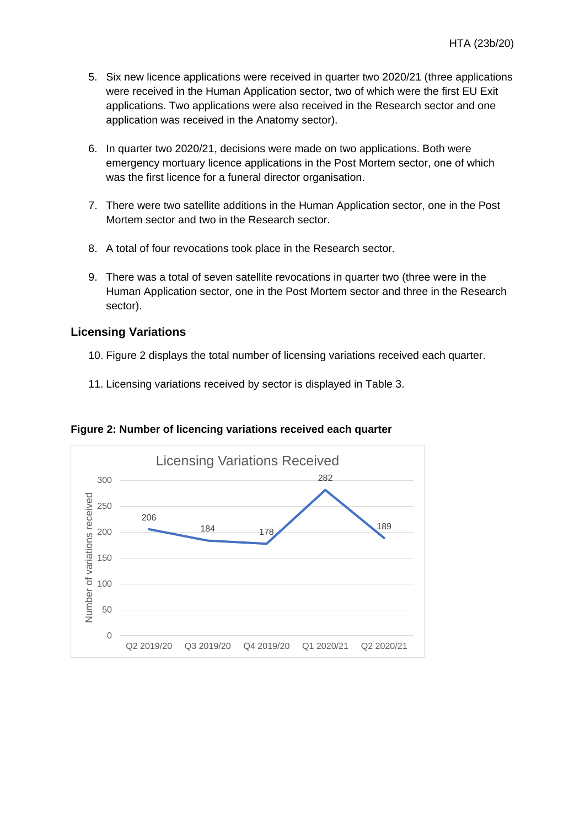- 5. Six new licence applications were received in quarter two 2020/21 (three applications were received in the Human Application sector, two of which were the first EU Exit applications. Two applications were also received in the Research sector and one application was received in the Anatomy sector).
- 6. In quarter two 2020/21, decisions were made on two applications. Both were emergency mortuary licence applications in the Post Mortem sector, one of which was the first licence for a funeral director organisation.
- 7. There were two satellite additions in the Human Application sector, one in the Post Mortem sector and two in the Research sector.
- 8. A total of four revocations took place in the Research sector.
- 9. There was a total of seven satellite revocations in quarter two (three were in the Human Application sector, one in the Post Mortem sector and three in the Research sector).

#### **Licensing Variations**

- 10. Figure 2 displays the total number of licensing variations received each quarter.
- 11. Licensing variations received by sector is displayed in Table 3.



**Figure 2: Number of licencing variations received each quarter**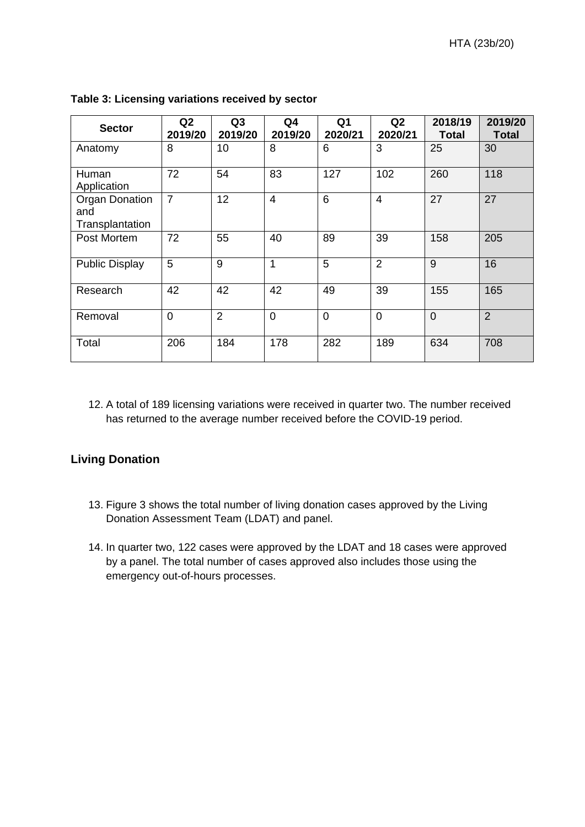| <b>Sector</b>                                   | Q2<br>2019/20  | Q3<br>2019/20  | Q <sub>4</sub><br>2019/20 | Q <sub>1</sub><br>2020/21 | Q2<br>2020/21  | 2018/19<br><b>Total</b> | 2019/20<br><b>Total</b> |
|-------------------------------------------------|----------------|----------------|---------------------------|---------------------------|----------------|-------------------------|-------------------------|
| Anatomy                                         | 8              | 10             | 8                         | 6                         | 3              | 25                      | 30                      |
| Human<br>Application                            | 72             | 54             | 83                        | 127                       | 102            | 260                     | 118                     |
| <b>Organ Donation</b><br>and<br>Transplantation | $\overline{7}$ | 12             | $\overline{4}$            | $6\phantom{1}$            | $\overline{4}$ | 27                      | 27                      |
| Post Mortem                                     | 72             | 55             | 40                        | 89                        | 39             | 158                     | 205                     |
| <b>Public Display</b>                           | 5              | 9              | 1                         | 5                         | $\overline{2}$ | 9                       | 16                      |
| Research                                        | 42             | 42             | 42                        | 49                        | 39             | 155                     | 165                     |
| Removal                                         | $\mathbf 0$    | $\overline{2}$ | $\Omega$                  | $\overline{0}$            | $\overline{0}$ | $\overline{0}$          | $\overline{2}$          |
| Total                                           | 206            | 184            | 178                       | 282                       | 189            | 634                     | 708                     |

**Table 3: Licensing variations received by sector** 

12. A total of 189 licensing variations were received in quarter two. The number received has returned to the average number received before the COVID-19 period.

#### **Living Donation**

- 13. Figure 3 shows the total number of living donation cases approved by the Living Donation Assessment Team (LDAT) and panel.
- 14. In quarter two, 122 cases were approved by the LDAT and 18 cases were approved by a panel. The total number of cases approved also includes those using the emergency out-of-hours processes.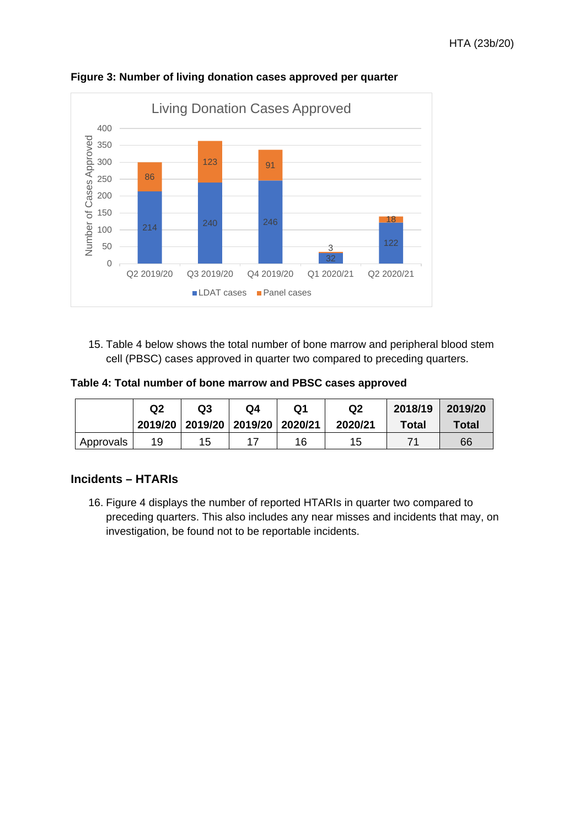

**Figure 3: Number of living donation cases approved per quarter** 

15. Table 4 below shows the total number of bone marrow and peripheral blood stem cell (PBSC) cases approved in quarter two compared to preceding quarters.

**Table 4: Total number of bone marrow and PBSC cases approved** 

|           | Q <sub>2</sub> | Q3<br>2019/20   2019/20   2019/20   2020/21 | Q4 | Q1 | Q2<br>2020/21 | 2018/19<br><b>Total</b> | 2019/20<br>Total |
|-----------|----------------|---------------------------------------------|----|----|---------------|-------------------------|------------------|
| Approvals | 19             | 15                                          |    | 16 | 15            |                         | 66               |

#### **Incidents – HTARIs**

16. Figure 4 displays the number of reported HTARIs in quarter two compared to preceding quarters. This also includes any near misses and incidents that may, on investigation, be found not to be reportable incidents.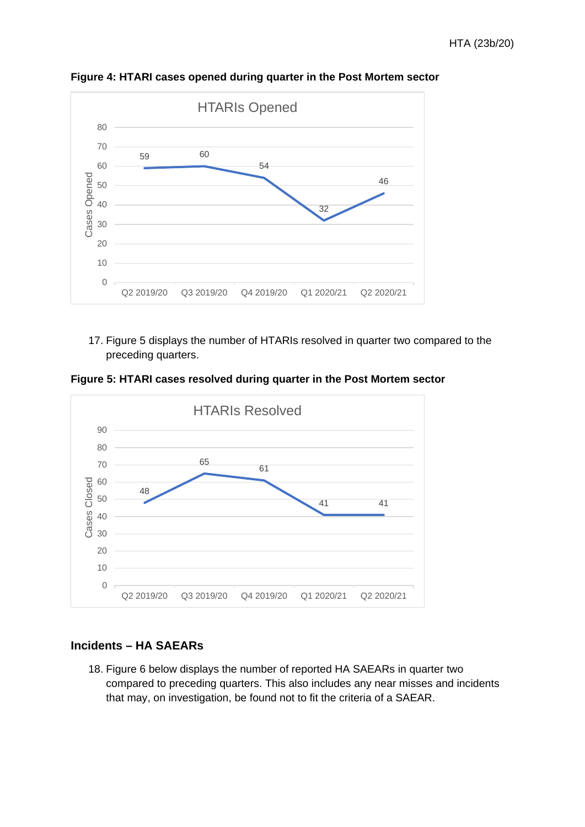

**Figure 4: HTARI cases opened during quarter in the Post Mortem sector** 

17. Figure 5 displays the number of HTARIs resolved in quarter two compared to the preceding quarters.

**Figure 5: HTARI cases resolved during quarter in the Post Mortem sector**



#### **Incidents – HA SAEARs**

18. Figure 6 below displays the number of reported HA SAEARs in quarter two compared to preceding quarters. This also includes any near misses and incidents that may, on investigation, be found not to fit the criteria of a SAEAR.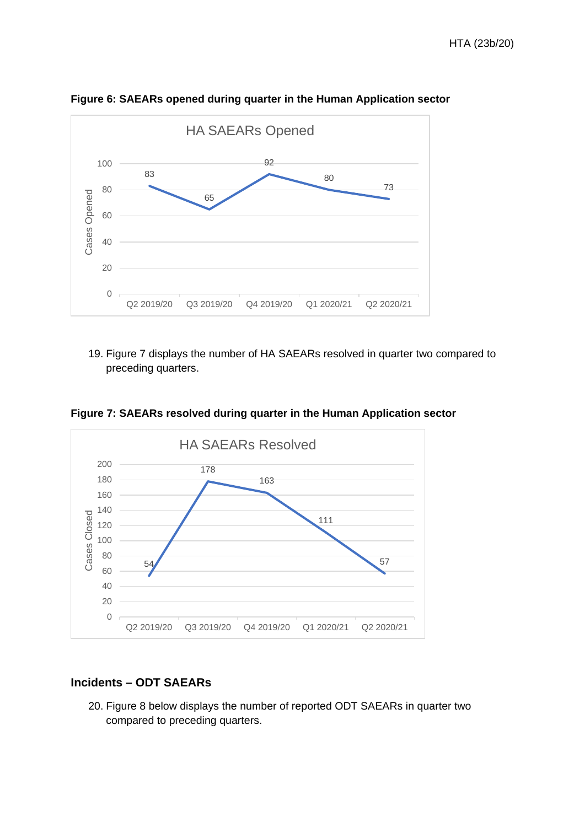

**Figure 6: SAEARs opened during quarter in the Human Application sector** 

19. Figure 7 displays the number of HA SAEARs resolved in quarter two compared to preceding quarters.



**Figure 7: SAEARs resolved during quarter in the Human Application sector** 

#### **Incidents – ODT SAEARs**

20. Figure 8 below displays the number of reported ODT SAEARs in quarter two compared to preceding quarters.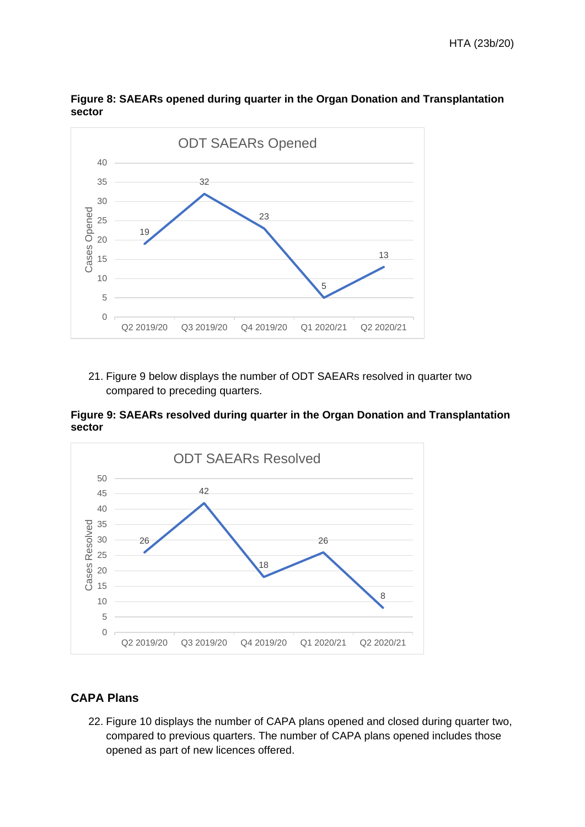

**Figure 8: SAEARs opened during quarter in the Organ Donation and Transplantation sector** 

21. Figure 9 below displays the number of ODT SAEARs resolved in quarter two compared to preceding quarters.

**Figure 9: SAEARs resolved during quarter in the Organ Donation and Transplantation sector**



#### **CAPA Plans**

22. Figure 10 displays the number of CAPA plans opened and closed during quarter two, compared to previous quarters. The number of CAPA plans opened includes those opened as part of new licences offered.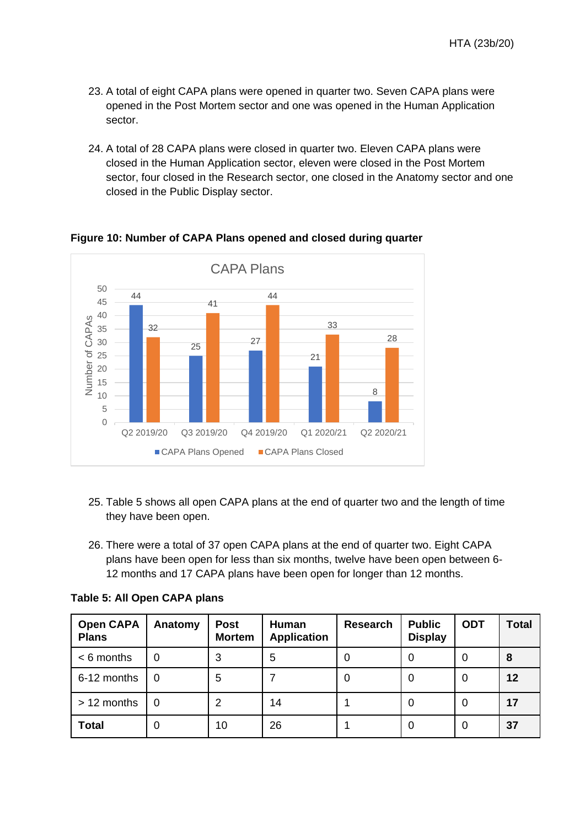- 23. A total of eight CAPA plans were opened in quarter two. Seven CAPA plans were opened in the Post Mortem sector and one was opened in the Human Application sector.
- 24. A total of 28 CAPA plans were closed in quarter two. Eleven CAPA plans were closed in the Human Application sector, eleven were closed in the Post Mortem sector, four closed in the Research sector, one closed in the Anatomy sector and one closed in the Public Display sector.



**Figure 10: Number of CAPA Plans opened and closed during quarter**

- 25. Table 5 shows all open CAPA plans at the end of quarter two and the length of time they have been open.
- 26. There were a total of 37 open CAPA plans at the end of quarter two. Eight CAPA plans have been open for less than six months, twelve have been open between 6- 12 months and 17 CAPA plans have been open for longer than 12 months.

| <b>Open CAPA</b><br><b>Plans</b> | Anatomy  | <b>Post</b><br><b>Mortem</b> | Human<br><b>Application</b> | <b>Research</b> | <b>Public</b><br><b>Display</b> | <b>ODT</b> | <b>Total</b> |
|----------------------------------|----------|------------------------------|-----------------------------|-----------------|---------------------------------|------------|--------------|
| $< 6$ months                     | 0        | 3                            | 5                           | 0               | 0                               | $\Omega$   | 8            |
| 6-12 months                      | $\Omega$ | 5                            |                             | 0               | 0                               | $\Omega$   | 12           |
| > 12 months                      | 0        | 2                            | 14                          |                 | 0                               | $\Omega$   | 17           |
| <b>Total</b>                     | 0        | 10                           | 26                          |                 | 0                               | $\Omega$   | 37           |

**Table 5: All Open CAPA plans**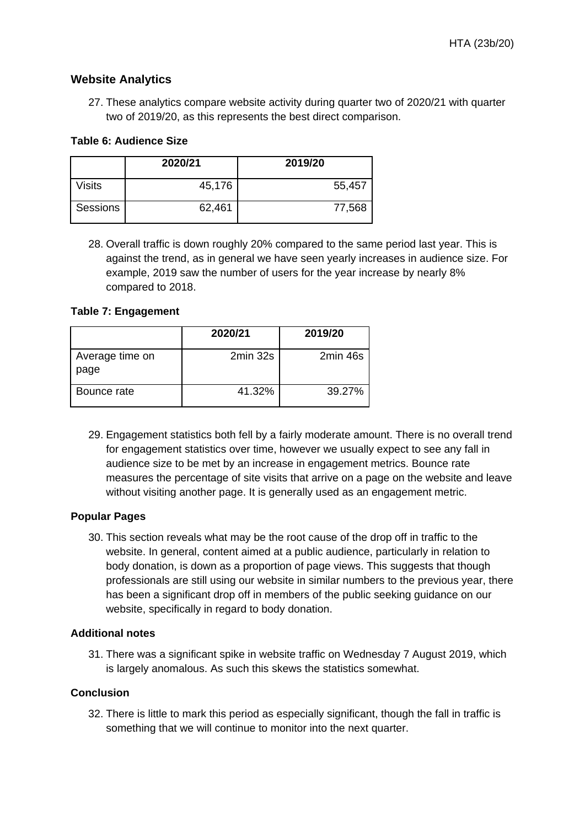#### **Website Analytics**

27. These analytics compare website activity during quarter two of 2020/21 with quarter two of 2019/20, as this represents the best direct comparison.

#### **Table 6: Audience Size**

|               | 2020/21 | 2019/20 |
|---------------|---------|---------|
| <b>Visits</b> | 45,176  | 55,457  |
| Sessions      | 62,461  | 77,568  |

28. Overall traffic is down roughly 20% compared to the same period last year. This is against the trend, as in general we have seen yearly increases in audience size. For example, 2019 saw the number of users for the year increase by nearly 8% compared to 2018.

#### **Table 7: Engagement**

|                         | 2020/21  | 2019/20  |
|-------------------------|----------|----------|
| Average time on<br>page | 2min 32s | 2min 46s |
| Bounce rate             | 41.32%   | 39.27%   |

29. Engagement statistics both fell by a fairly moderate amount. There is no overall trend for engagement statistics over time, however we usually expect to see any fall in audience size to be met by an increase in engagement metrics. Bounce rate measures the percentage of site visits that arrive on a page on the website and leave without visiting another page. It is generally used as an engagement metric.

#### **Popular Pages**

30. This section reveals what may be the root cause of the drop off in traffic to the website. In general, content aimed at a public audience, particularly in relation to body donation, is down as a proportion of page views. This suggests that though professionals are still using our website in similar numbers to the previous year, there has been a significant drop off in members of the public seeking guidance on our website, specifically in regard to body donation.

#### **Additional notes**

31. There was a significant spike in website traffic on Wednesday 7 August 2019, which is largely anomalous. As such this skews the statistics somewhat.

#### **Conclusion**

32. There is little to mark this period as especially significant, though the fall in traffic is something that we will continue to monitor into the next quarter.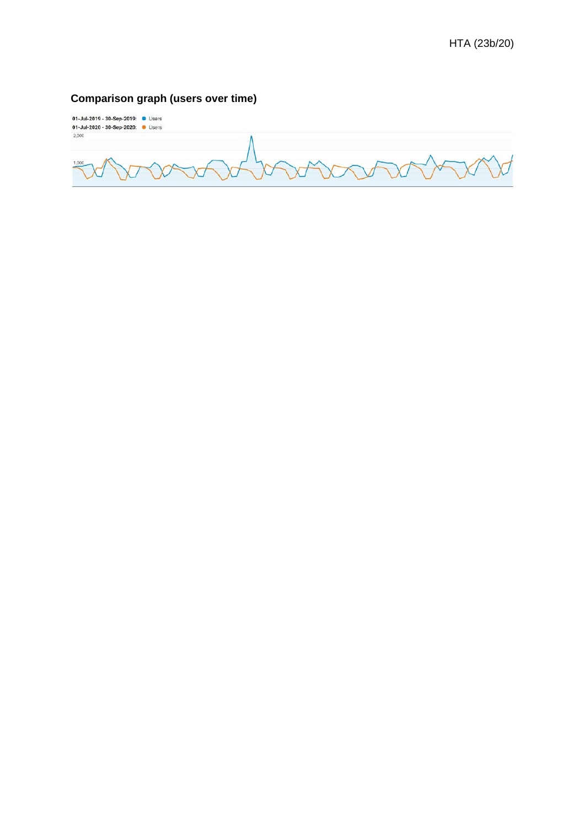# **Comparison graph (users over time)**

01-Jul-2019 - 30-Sep-2019: <br>01-Jul-2020 - 30-Sep-2020: 0 Users  $2,000$  $1,00$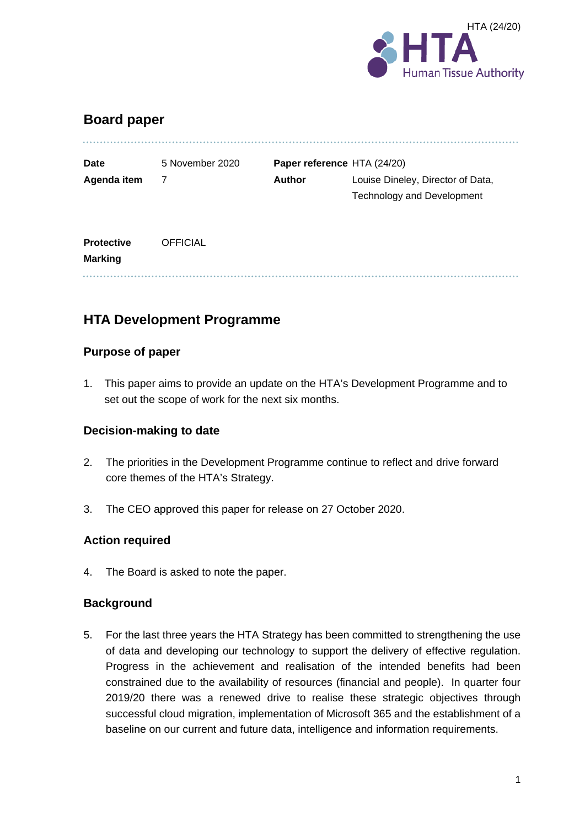

# **Board paper**

| Date        | 5 November 2020 |        | Paper reference HTA (24/20)       |
|-------------|-----------------|--------|-----------------------------------|
| Agenda item |                 | Author | Louise Dineley, Director of Data, |
|             |                 |        | <b>Technology and Development</b> |

| <b>Protective</b> | <b>OFFICIAL</b> |
|-------------------|-----------------|
| <b>Marking</b>    |                 |
|                   |                 |

# **HTA Development Programme**

#### **Purpose of paper**

1. This paper aims to provide an update on the HTA's Development Programme and to set out the scope of work for the next six months.

#### **Decision-making to date**

- 2. The priorities in the Development Programme continue to reflect and drive forward core themes of the HTA's Strategy.
- 3. The CEO approved this paper for release on 27 October 2020.

#### **Action required**

4. The Board is asked to note the paper.

#### **Background**

5. For the last three years the HTA Strategy has been committed to strengthening the use of data and developing our technology to support the delivery of effective regulation. Progress in the achievement and realisation of the intended benefits had been constrained due to the availability of resources (financial and people). In quarter four 2019/20 there was a renewed drive to realise these strategic objectives through successful cloud migration, implementation of Microsoft 365 and the establishment of a baseline on our current and future data, intelligence and information requirements.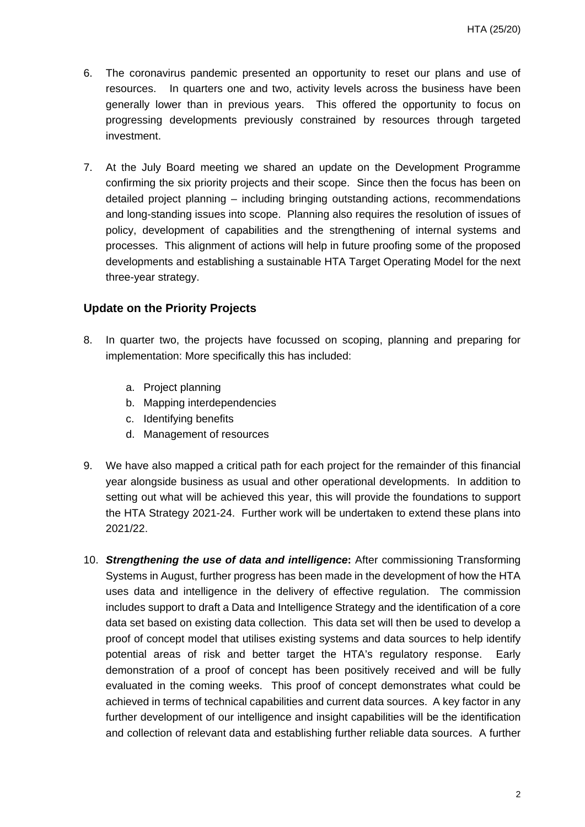- 6. The coronavirus pandemic presented an opportunity to reset our plans and use of resources. In quarters one and two, activity levels across the business have been generally lower than in previous years. This offered the opportunity to focus on progressing developments previously constrained by resources through targeted investment.
- 7. At the July Board meeting we shared an update on the Development Programme confirming the six priority projects and their scope. Since then the focus has been on detailed project planning – including bringing outstanding actions, recommendations and long-standing issues into scope. Planning also requires the resolution of issues of policy, development of capabilities and the strengthening of internal systems and processes. This alignment of actions will help in future proofing some of the proposed developments and establishing a sustainable HTA Target Operating Model for the next three-year strategy.

#### **Update on the Priority Projects**

- 8. In quarter two, the projects have focussed on scoping, planning and preparing for implementation: More specifically this has included:
	- a. Project planning
	- b. Mapping interdependencies
	- c. Identifying benefits
	- d. Management of resources
- 9. We have also mapped a critical path for each project for the remainder of this financial year alongside business as usual and other operational developments. In addition to setting out what will be achieved this year, this will provide the foundations to support the HTA Strategy 2021-24. Further work will be undertaken to extend these plans into 2021/22.
- 10. *Strengthening the use of data and intelligence***:** After commissioning Transforming Systems in August, further progress has been made in the development of how the HTA uses data and intelligence in the delivery of effective regulation. The commission includes support to draft a Data and Intelligence Strategy and the identification of a core data set based on existing data collection. This data set will then be used to develop a proof of concept model that utilises existing systems and data sources to help identify potential areas of risk and better target the HTA's regulatory response. Early demonstration of a proof of concept has been positively received and will be fully evaluated in the coming weeks. This proof of concept demonstrates what could be achieved in terms of technical capabilities and current data sources. A key factor in any further development of our intelligence and insight capabilities will be the identification and collection of relevant data and establishing further reliable data sources. A further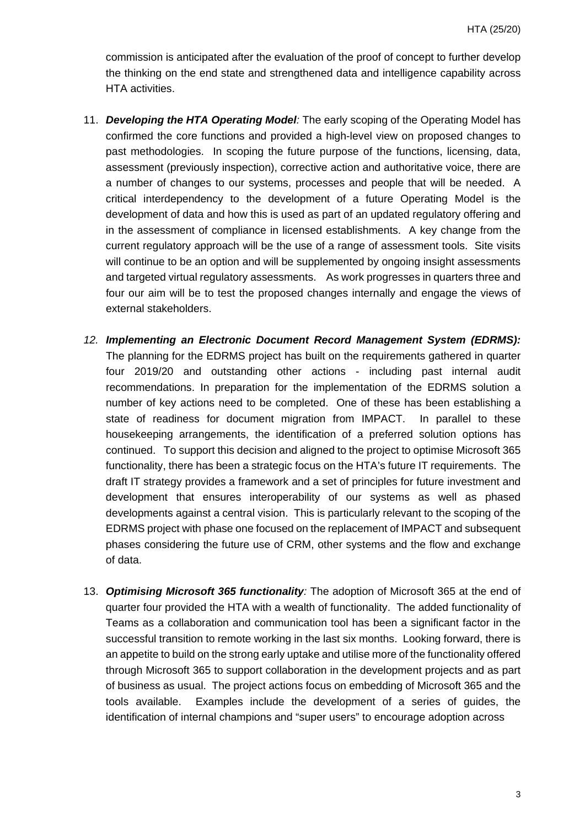commission is anticipated after the evaluation of the proof of concept to further develop the thinking on the end state and strengthened data and intelligence capability across HTA activities.

- 11. *Developing the HTA Operating Model:* The early scoping of the Operating Model has confirmed the core functions and provided a high-level view on proposed changes to past methodologies. In scoping the future purpose of the functions, licensing, data, assessment (previously inspection), corrective action and authoritative voice, there are a number of changes to our systems, processes and people that will be needed. A critical interdependency to the development of a future Operating Model is the development of data and how this is used as part of an updated regulatory offering and in the assessment of compliance in licensed establishments. A key change from the current regulatory approach will be the use of a range of assessment tools. Site visits will continue to be an option and will be supplemented by ongoing insight assessments and targeted virtual regulatory assessments. As work progresses in quarters three and four our aim will be to test the proposed changes internally and engage the views of external stakeholders.
- *12. Implementing an Electronic Document Record Management System (EDRMS):* The planning for the EDRMS project has built on the requirements gathered in quarter four 2019/20 and outstanding other actions - including past internal audit recommendations. In preparation for the implementation of the EDRMS solution a number of key actions need to be completed. One of these has been establishing a state of readiness for document migration from IMPACT. In parallel to these housekeeping arrangements, the identification of a preferred solution options has continued. To support this decision and aligned to the project to optimise Microsoft 365 functionality, there has been a strategic focus on the HTA's future IT requirements. The draft IT strategy provides a framework and a set of principles for future investment and development that ensures interoperability of our systems as well as phased developments against a central vision. This is particularly relevant to the scoping of the EDRMS project with phase one focused on the replacement of IMPACT and subsequent phases considering the future use of CRM, other systems and the flow and exchange of data.
- 13. *Optimising Microsoft 365 functionality:* The adoption of Microsoft 365 at the end of quarter four provided the HTA with a wealth of functionality. The added functionality of Teams as a collaboration and communication tool has been a significant factor in the successful transition to remote working in the last six months. Looking forward, there is an appetite to build on the strong early uptake and utilise more of the functionality offered through Microsoft 365 to support collaboration in the development projects and as part of business as usual. The project actions focus on embedding of Microsoft 365 and the tools available. Examples include the development of a series of guides, the identification of internal champions and "super users" to encourage adoption across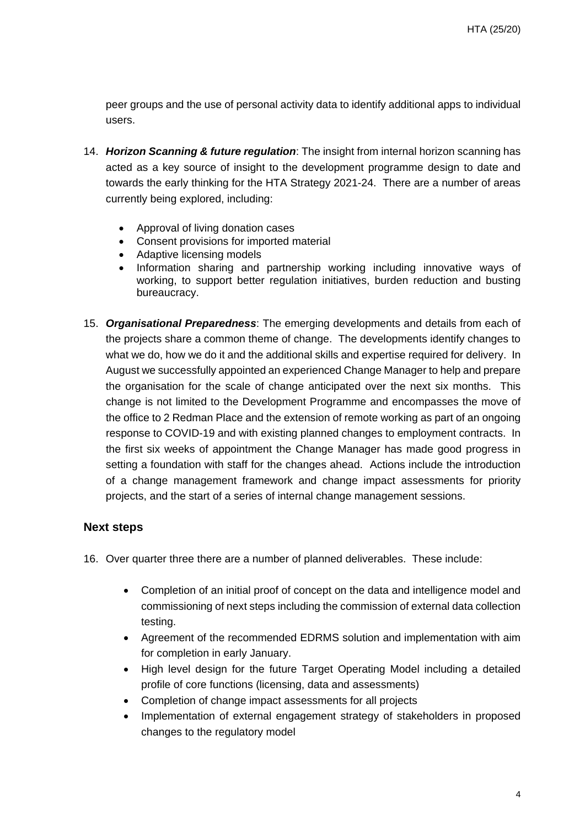peer groups and the use of personal activity data to identify additional apps to individual users.

- 14. *Horizon Scanning & future regulation*: The insight from internal horizon scanning has acted as a key source of insight to the development programme design to date and towards the early thinking for the HTA Strategy 2021-24. There are a number of areas currently being explored, including:
	- Approval of living donation cases
	- Consent provisions for imported material
	- Adaptive licensing models
	- Information sharing and partnership working including innovative ways of working, to support better regulation initiatives, burden reduction and busting bureaucracy.
- 15. *Organisational Preparedness*: The emerging developments and details from each of the projects share a common theme of change. The developments identify changes to what we do, how we do it and the additional skills and expertise required for delivery. In August we successfully appointed an experienced Change Manager to help and prepare the organisation for the scale of change anticipated over the next six months. This change is not limited to the Development Programme and encompasses the move of the office to 2 Redman Place and the extension of remote working as part of an ongoing response to COVID-19 and with existing planned changes to employment contracts. In the first six weeks of appointment the Change Manager has made good progress in setting a foundation with staff for the changes ahead. Actions include the introduction of a change management framework and change impact assessments for priority projects, and the start of a series of internal change management sessions.

#### **Next steps**

- 16. Over quarter three there are a number of planned deliverables. These include:
	- Completion of an initial proof of concept on the data and intelligence model and commissioning of next steps including the commission of external data collection testing.
	- Agreement of the recommended EDRMS solution and implementation with aim for completion in early January.
	- High level design for the future Target Operating Model including a detailed profile of core functions (licensing, data and assessments)
	- Completion of change impact assessments for all projects
	- Implementation of external engagement strategy of stakeholders in proposed changes to the regulatory model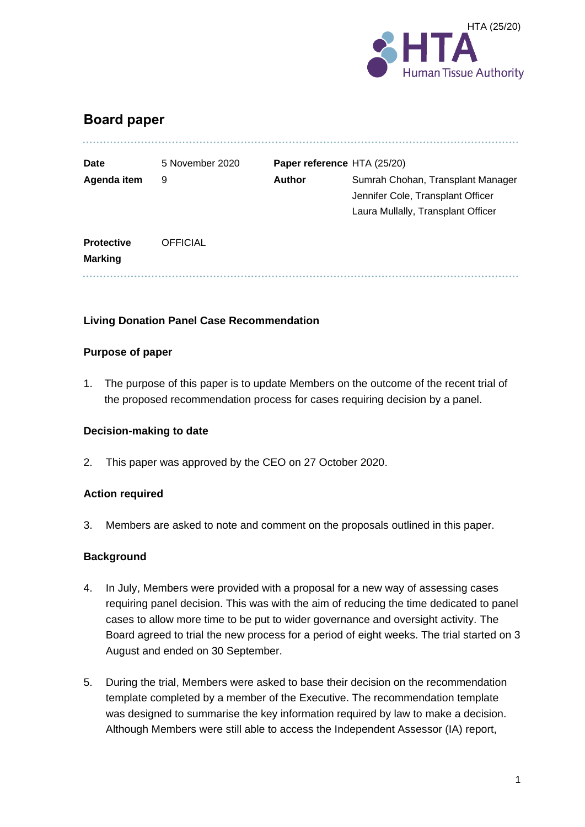

# **Board paper**

| <b>Date</b>                         | 5 November 2020 |               | Paper reference HTA (25/20)                                                                                  |
|-------------------------------------|-----------------|---------------|--------------------------------------------------------------------------------------------------------------|
| Agenda item                         | 9               | <b>Author</b> | Sumrah Chohan, Transplant Manager<br>Jennifer Cole, Transplant Officer<br>Laura Mullally, Transplant Officer |
| <b>Protective</b><br><b>Marking</b> | <b>OFFICIAL</b> |               |                                                                                                              |

#### **Living Donation Panel Case Recommendation**

#### **Purpose of paper**

1. The purpose of this paper is to update Members on the outcome of the recent trial of the proposed recommendation process for cases requiring decision by a panel.

#### **Decision-making to date**

2. This paper was approved by the CEO on 27 October 2020.

#### **Action required**

3. Members are asked to note and comment on the proposals outlined in this paper.

#### **Background**

- 4. In July, Members were provided with a proposal for a new way of assessing cases requiring panel decision. This was with the aim of reducing the time dedicated to panel cases to allow more time to be put to wider governance and oversight activity. The Board agreed to trial the new process for a period of eight weeks. The trial started on 3 August and ended on 30 September.
- 5. During the trial, Members were asked to base their decision on the recommendation template completed by a member of the Executive. The recommendation template was designed to summarise the key information required by law to make a decision. Although Members were still able to access the Independent Assessor (IA) report,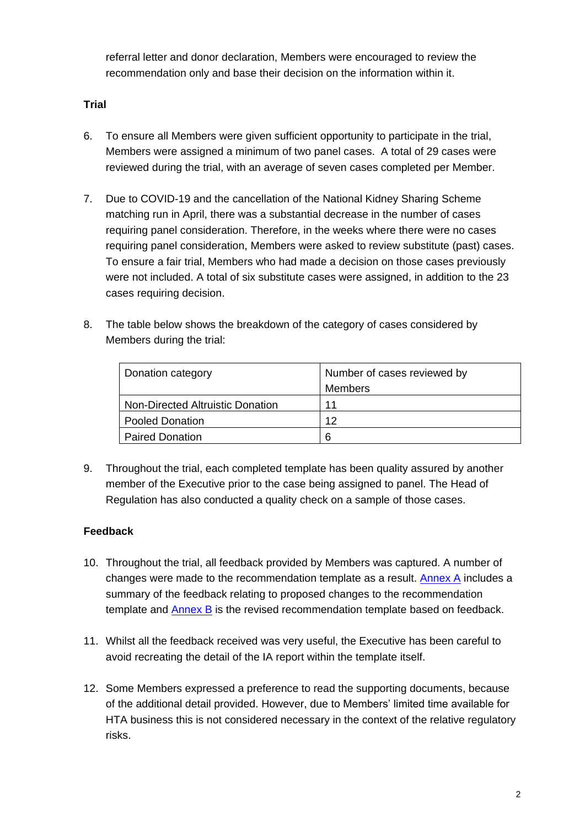referral letter and donor declaration, Members were encouraged to review the recommendation only and base their decision on the information within it.

#### **Trial**

- 6. To ensure all Members were given sufficient opportunity to participate in the trial, Members were assigned a minimum of two panel cases. A total of 29 cases were reviewed during the trial, with an average of seven cases completed per Member.
- 7. Due to COVID-19 and the cancellation of the National Kidney Sharing Scheme matching run in April, there was a substantial decrease in the number of cases requiring panel consideration. Therefore, in the weeks where there were no cases requiring panel consideration, Members were asked to review substitute (past) cases. To ensure a fair trial, Members who had made a decision on those cases previously were not included. A total of six substitute cases were assigned, in addition to the 23 cases requiring decision.
- 8. The table below shows the breakdown of the category of cases considered by Members during the trial:

| Donation category                | Number of cases reviewed by |  |
|----------------------------------|-----------------------------|--|
|                                  | <b>Members</b>              |  |
| Non-Directed Altruistic Donation | 11                          |  |
| <b>Pooled Donation</b>           | 12                          |  |
| <b>Paired Donation</b>           | 6                           |  |

9. Throughout the trial, each completed template has been quality assured by another member of the Executive prior to the case being assigned to panel. The Head of Regulation has also conducted a quality check on a sample of those cases.

#### **Feedback**

- 10. Throughout the trial, all feedback provided by Members was captured. A number of changes were made to the recommendation template as a result. [Annex A](#page-49-0) includes a summary of the feedback relating to proposed changes to the recommendation template and [Annex B](#page-51-0) is the revised recommendation template based on feedback.
- 11. Whilst all the feedback received was very useful, the Executive has been careful to avoid recreating the detail of the IA report within the template itself.
- 12. Some Members expressed a preference to read the supporting documents, because of the additional detail provided. However, due to Members' limited time available for HTA business this is not considered necessary in the context of the relative regulatory risks.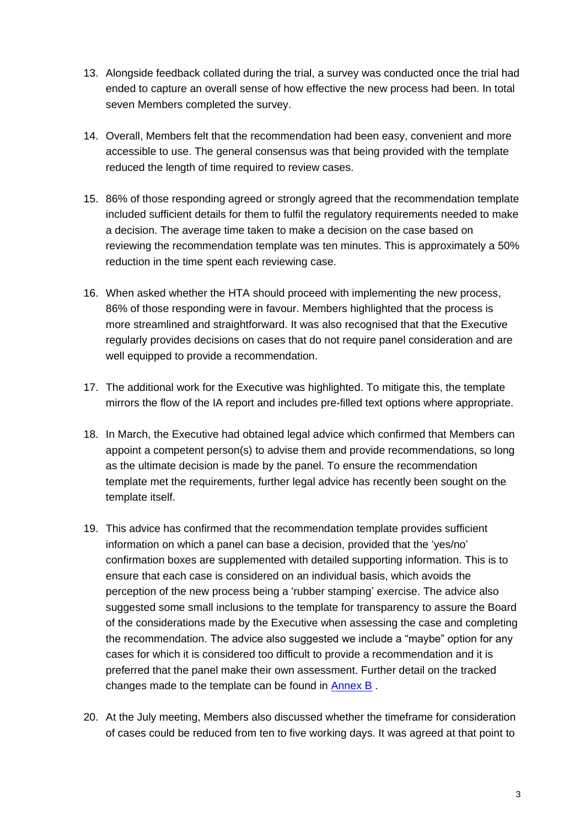- 13. Alongside feedback collated during the trial, a survey was conducted once the trial had ended to capture an overall sense of how effective the new process had been. In total seven Members completed the survey.
- 14. Overall, Members felt that the recommendation had been easy, convenient and more accessible to use. The general consensus was that being provided with the template reduced the length of time required to review cases.
- 15. 86% of those responding agreed or strongly agreed that the recommendation template included sufficient details for them to fulfil the regulatory requirements needed to make a decision. The average time taken to make a decision on the case based on reviewing the recommendation template was ten minutes. This is approximately a 50% reduction in the time spent each reviewing case.
- 16. When asked whether the HTA should proceed with implementing the new process, 86% of those responding were in favour. Members highlighted that the process is more streamlined and straightforward. It was also recognised that that the Executive regularly provides decisions on cases that do not require panel consideration and are well equipped to provide a recommendation.
- 17. The additional work for the Executive was highlighted. To mitigate this, the template mirrors the flow of the IA report and includes pre-filled text options where appropriate.
- 18. In March, the Executive had obtained legal advice which confirmed that Members can appoint a competent person(s) to advise them and provide recommendations, so long as the ultimate decision is made by the panel. To ensure the recommendation template met the requirements, further legal advice has recently been sought on the template itself.
- 19. This advice has confirmed that the recommendation template provides sufficient information on which a panel can base a decision, provided that the 'yes/no' confirmation boxes are supplemented with detailed supporting information. This is to ensure that each case is considered on an individual basis, which avoids the perception of the new process being a 'rubber stamping' exercise. The advice also suggested some small inclusions to the template for transparency to assure the Board of the considerations made by the Executive when assessing the case and completing the recommendation. The advice also suggested we include a "maybe" option for any cases for which it is considered too difficult to provide a recommendation and it is preferred that the panel make their own assessment. Further detail on the tracked changes made to the template can be found in [Annex B](#page-51-0) .
- 20. At the July meeting, Members also discussed whether the timeframe for consideration of cases could be reduced from ten to five working days. It was agreed at that point to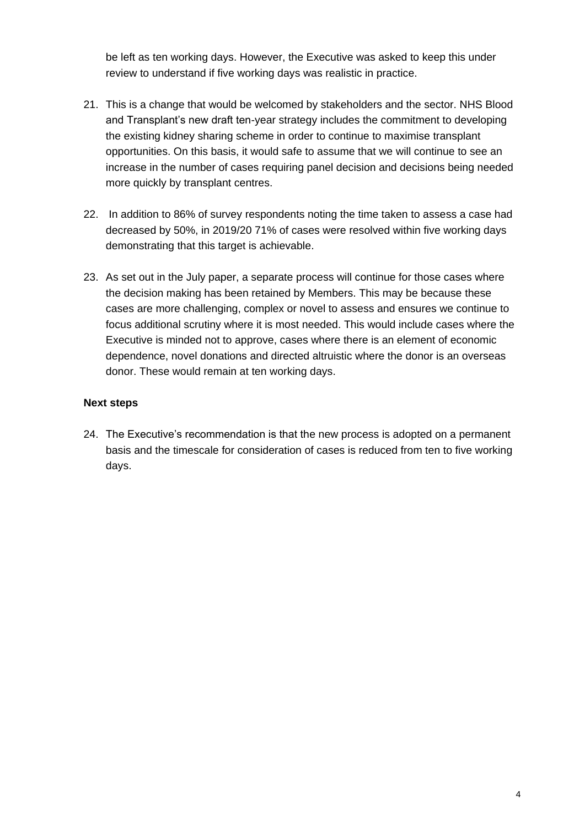be left as ten working days. However, the Executive was asked to keep this under review to understand if five working days was realistic in practice.

- 21. This is a change that would be welcomed by stakeholders and the sector. NHS Blood and Transplant's new draft ten-year strategy includes the commitment to developing the existing kidney sharing scheme in order to continue to maximise transplant opportunities. On this basis, it would safe to assume that we will continue to see an increase in the number of cases requiring panel decision and decisions being needed more quickly by transplant centres.
- 22. In addition to 86% of survey respondents noting the time taken to assess a case had decreased by 50%, in 2019/20 71% of cases were resolved within five working days demonstrating that this target is achievable.
- 23. As set out in the July paper, a separate process will continue for those cases where the decision making has been retained by Members. This may be because these cases are more challenging, complex or novel to assess and ensures we continue to focus additional scrutiny where it is most needed. This would include cases where the Executive is minded not to approve, cases where there is an element of economic dependence, novel donations and directed altruistic where the donor is an overseas donor. These would remain at ten working days.

#### **Next steps**

24. The Executive's recommendation is that the new process is adopted on a permanent basis and the timescale for consideration of cases is reduced from ten to five working days.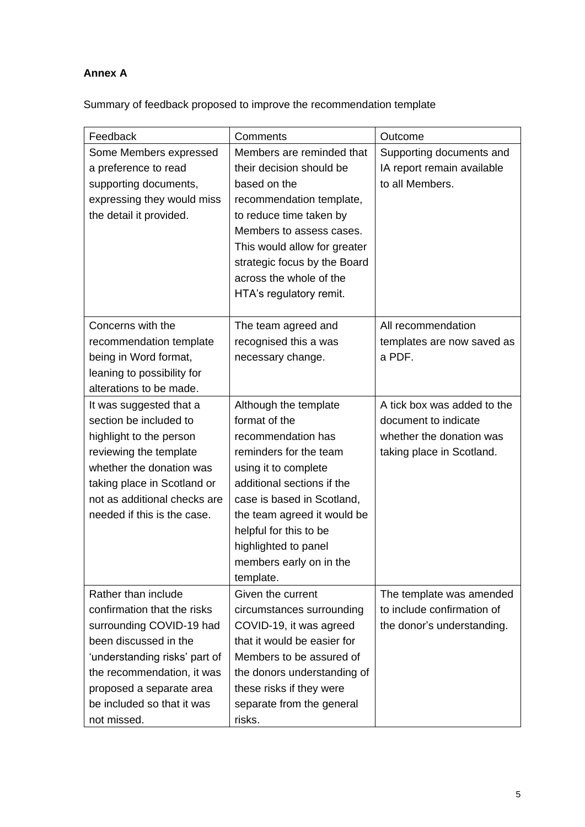## <span id="page-49-0"></span>**Annex A**

Summary of feedback proposed to improve the recommendation template

| Feedback                      | Comments                     | Outcome                     |
|-------------------------------|------------------------------|-----------------------------|
| Some Members expressed        | Members are reminded that    | Supporting documents and    |
| a preference to read          | their decision should be     | IA report remain available  |
| supporting documents,         | based on the                 | to all Members.             |
| expressing they would miss    | recommendation template,     |                             |
| the detail it provided.       | to reduce time taken by      |                             |
|                               | Members to assess cases.     |                             |
|                               | This would allow for greater |                             |
|                               | strategic focus by the Board |                             |
|                               | across the whole of the      |                             |
|                               | HTA's regulatory remit.      |                             |
|                               |                              |                             |
| Concerns with the             | The team agreed and          | All recommendation          |
| recommendation template       | recognised this a was        | templates are now saved as  |
| being in Word format,         | necessary change.            | a PDF.                      |
| leaning to possibility for    |                              |                             |
| alterations to be made.       |                              |                             |
| It was suggested that a       | Although the template        | A tick box was added to the |
| section be included to        | format of the                | document to indicate        |
| highlight to the person       | recommendation has           | whether the donation was    |
| reviewing the template        | reminders for the team       | taking place in Scotland.   |
| whether the donation was      | using it to complete         |                             |
| taking place in Scotland or   | additional sections if the   |                             |
| not as additional checks are  | case is based in Scotland,   |                             |
| needed if this is the case.   | the team agreed it would be  |                             |
|                               | helpful for this to be       |                             |
|                               | highlighted to panel         |                             |
|                               | members early on in the      |                             |
|                               | template.                    |                             |
| Rather than include           | Given the current            | The template was amended    |
| confirmation that the risks   | circumstances surrounding    | to include confirmation of  |
| surrounding COVID-19 had      | COVID-19, it was agreed      | the donor's understanding.  |
| been discussed in the         | that it would be easier for  |                             |
| 'understanding risks' part of | Members to be assured of     |                             |
| the recommendation, it was    | the donors understanding of  |                             |
| proposed a separate area      | these risks if they were     |                             |
| be included so that it was    | separate from the general    |                             |
| not missed.                   | risks.                       |                             |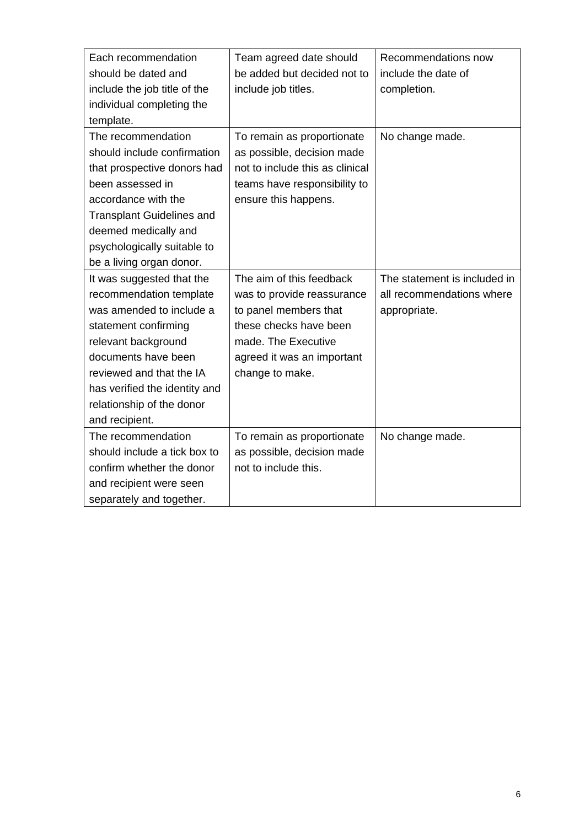| Each recommendation              | Team agreed date should         | Recommendations now          |
|----------------------------------|---------------------------------|------------------------------|
| should be dated and              | be added but decided not to     | include the date of          |
| include the job title of the     | include job titles.             | completion.                  |
| individual completing the        |                                 |                              |
| template.                        |                                 |                              |
| The recommendation               | To remain as proportionate      | No change made.              |
| should include confirmation      | as possible, decision made      |                              |
| that prospective donors had      | not to include this as clinical |                              |
| been assessed in                 | teams have responsibility to    |                              |
| accordance with the              | ensure this happens.            |                              |
| <b>Transplant Guidelines and</b> |                                 |                              |
| deemed medically and             |                                 |                              |
| psychologically suitable to      |                                 |                              |
| be a living organ donor.         |                                 |                              |
| It was suggested that the        | The aim of this feedback        | The statement is included in |
| recommendation template          | was to provide reassurance      | all recommendations where    |
| was amended to include a         | to panel members that           | appropriate.                 |
| statement confirming             | these checks have been          |                              |
| relevant background              | made. The Executive             |                              |
| documents have been              | agreed it was an important      |                              |
| reviewed and that the IA         | change to make.                 |                              |
| has verified the identity and    |                                 |                              |
| relationship of the donor        |                                 |                              |
| and recipient.                   |                                 |                              |
| The recommendation               | To remain as proportionate      | No change made.              |
| should include a tick box to     | as possible, decision made      |                              |
| confirm whether the donor        | not to include this.            |                              |
| and recipient were seen          |                                 |                              |
| separately and together.         |                                 |                              |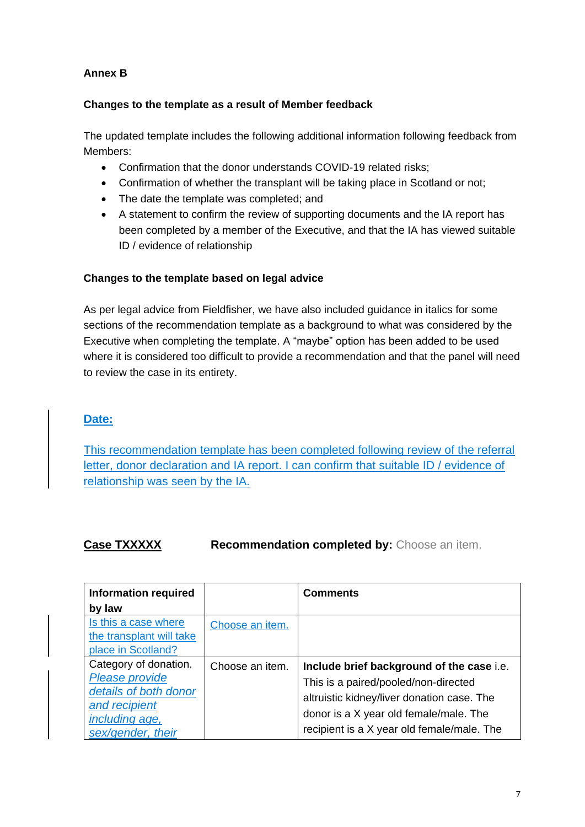#### <span id="page-51-0"></span>**Annex B**

#### **Changes to the template as a result of Member feedback**

The updated template includes the following additional information following feedback from Members:

- Confirmation that the donor understands COVID-19 related risks;
- Confirmation of whether the transplant will be taking place in Scotland or not;
- The date the template was completed; and
- A statement to confirm the review of supporting documents and the IA report has been completed by a member of the Executive, and that the IA has viewed suitable ID / evidence of relationship

#### **Changes to the template based on legal advice**

As per legal advice from Fieldfisher, we have also included guidance in italics for some sections of the recommendation template as a background to what was considered by the Executive when completing the template. A "maybe" option has been added to be used where it is considered too difficult to provide a recommendation and that the panel will need to review the case in its entirety.

#### **Date:**

This recommendation template has been completed following review of the referral letter, donor declaration and IA report. I can confirm that suitable ID / evidence of relationship was seen by the IA.

#### **Case TXXXXX Recommendation completed by:** Choose an item.

| <b>Information required</b> |                 | <b>Comments</b>                            |
|-----------------------------|-----------------|--------------------------------------------|
| by law                      |                 |                                            |
| Is this a case where        | Choose an item. |                                            |
| the transplant will take    |                 |                                            |
| place in Scotland?          |                 |                                            |
| Category of donation.       | Choose an item. | Include brief background of the case i.e.  |
| Please provide              |                 | This is a paired/pooled/non-directed       |
| details of both donor       |                 | altruistic kidney/liver donation case. The |
| and recipient               |                 |                                            |
| <i>including age,</i>       |                 | donor is a X year old female/male. The     |
| sex/gender, their           |                 | recipient is a X year old female/male. The |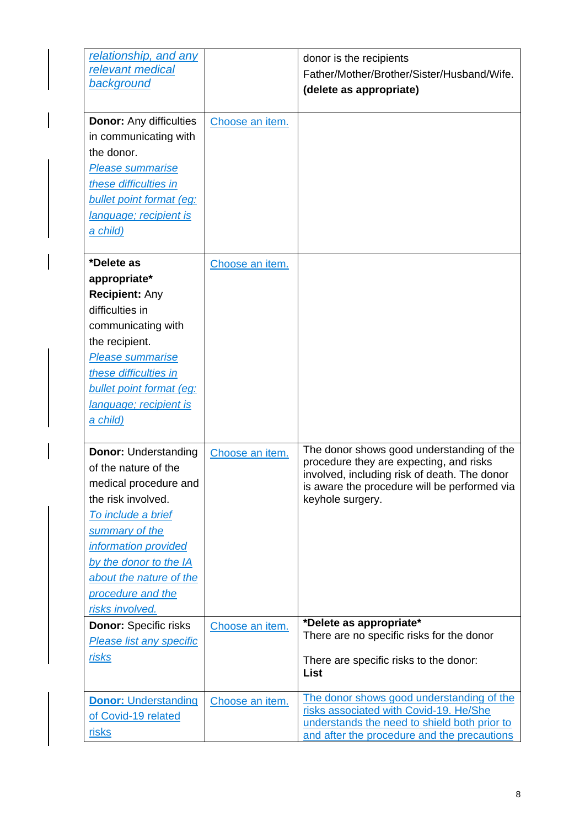| relationship, and any<br>relevant medical<br><b>background</b>                                                                                                                                                                                                  |                 | donor is the recipients<br>Father/Mother/Brother/Sister/Husband/Wife.<br>(delete as appropriate)                                                                                                         |
|-----------------------------------------------------------------------------------------------------------------------------------------------------------------------------------------------------------------------------------------------------------------|-----------------|----------------------------------------------------------------------------------------------------------------------------------------------------------------------------------------------------------|
| <b>Donor:</b> Any difficulties<br>in communicating with<br>the donor.<br><b>Please summarise</b><br>these difficulties in<br>bullet point format (eg:<br>language; recipient is<br><u>a child)</u>                                                              | Choose an item. |                                                                                                                                                                                                          |
| *Delete as<br>appropriate*<br><b>Recipient: Any</b><br>difficulties in<br>communicating with<br>the recipient.<br><b>Please summarise</b><br>these difficulties in<br>bullet point format (eg:<br>lanquage; recipient is<br><u>a child)</u>                     | Choose an item. |                                                                                                                                                                                                          |
| <b>Donor: Understanding</b><br>of the nature of the<br>medical procedure and<br>the risk involved.<br>To include a brief<br>summary of the<br>information provided<br>by the donor to the IA<br>about the nature of the<br>procedure and the<br>risks involved. | Choose an item. | The donor shows good understanding of the<br>procedure they are expecting, and risks<br>involved, including risk of death. The donor<br>is aware the procedure will be performed via<br>keyhole surgery. |
| <b>Donor: Specific risks</b><br><b>Please list any specific</b><br>risks                                                                                                                                                                                        | Choose an item. | *Delete as appropriate*<br>There are no specific risks for the donor<br>There are specific risks to the donor:<br>List                                                                                   |
| <b>Donor: Understanding</b><br>of Covid-19 related<br>risks                                                                                                                                                                                                     | Choose an item. | The donor shows good understanding of the<br>risks associated with Covid-19. He/She<br>understands the need to shield both prior to<br>and after the procedure and the precautions                       |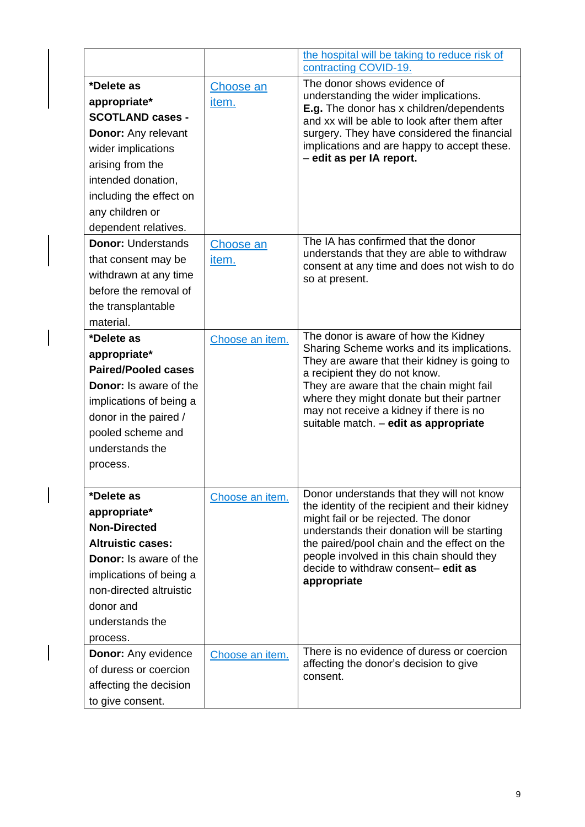|                                                                                                                                                                                                                           |                    | the hospital will be taking to reduce risk of<br>contracting COVID-19.                                                                                                                                                                                                                                                                           |
|---------------------------------------------------------------------------------------------------------------------------------------------------------------------------------------------------------------------------|--------------------|--------------------------------------------------------------------------------------------------------------------------------------------------------------------------------------------------------------------------------------------------------------------------------------------------------------------------------------------------|
| *Delete as<br>appropriate*<br><b>SCOTLAND cases -</b><br><b>Donor:</b> Any relevant<br>wider implications<br>arising from the<br>intended donation,<br>including the effect on<br>any children or<br>dependent relatives. | Choose an<br>item. | The donor shows evidence of<br>understanding the wider implications.<br>E.g. The donor has x children/dependents<br>and xx will be able to look after them after<br>surgery. They have considered the financial<br>implications and are happy to accept these.<br>- edit as per IA report.                                                       |
| <b>Donor: Understands</b><br>that consent may be<br>withdrawn at any time<br>before the removal of<br>the transplantable<br>material.                                                                                     | Choose an<br>item. | The IA has confirmed that the donor<br>understands that they are able to withdraw<br>consent at any time and does not wish to do<br>so at present.                                                                                                                                                                                               |
| *Delete as<br>appropriate*<br><b>Paired/Pooled cases</b><br><b>Donor:</b> Is aware of the<br>implications of being a<br>donor in the paired /<br>pooled scheme and<br>understands the<br>process.                         | Choose an item.    | The donor is aware of how the Kidney<br>Sharing Scheme works and its implications.<br>They are aware that their kidney is going to<br>a recipient they do not know.<br>They are aware that the chain might fail<br>where they might donate but their partner<br>may not receive a kidney if there is no<br>suitable match. - edit as appropriate |
| *Delete as<br>appropriate*<br><b>Non-Directed</b><br><b>Altruistic cases:</b><br><b>Donor:</b> Is aware of the<br>implications of being a<br>non-directed altruistic<br>donor and<br>understands the<br>process.          | Choose an item.    | Donor understands that they will not know<br>the identity of the recipient and their kidney<br>might fail or be rejected. The donor<br>understands their donation will be starting<br>the paired/pool chain and the effect on the<br>people involved in this chain should they<br>decide to withdraw consent-edit as<br>appropriate              |
| <b>Donor:</b> Any evidence<br>of duress or coercion<br>affecting the decision<br>to give consent.                                                                                                                         | Choose an item.    | There is no evidence of duress or coercion<br>affecting the donor's decision to give<br>consent.                                                                                                                                                                                                                                                 |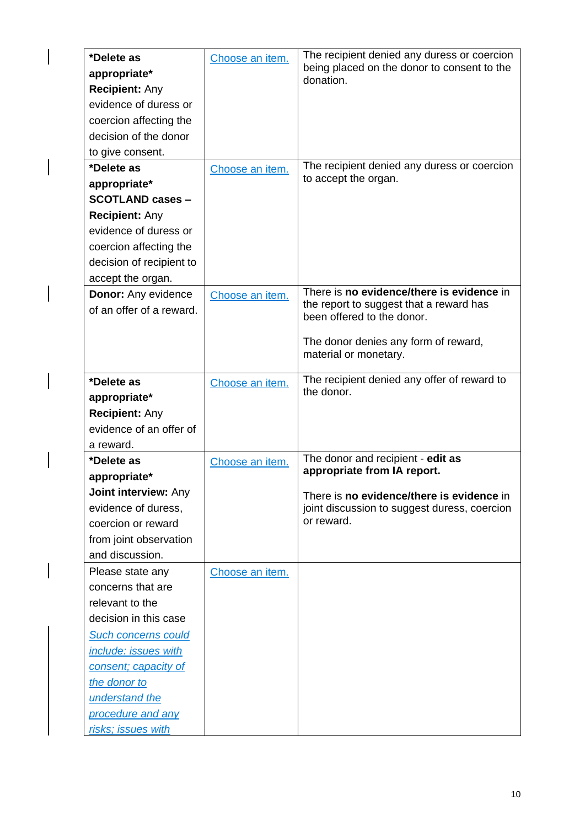| *Delete as<br>appropriate* | Choose an item. | The recipient denied any duress or coercion<br>being placed on the donor to consent to the |
|----------------------------|-----------------|--------------------------------------------------------------------------------------------|
| <b>Recipient: Any</b>      |                 | donation.                                                                                  |
| evidence of duress or      |                 |                                                                                            |
| coercion affecting the     |                 |                                                                                            |
| decision of the donor      |                 |                                                                                            |
| to give consent.           |                 |                                                                                            |
| *Delete as                 | Choose an item. | The recipient denied any duress or coercion                                                |
| appropriate*               |                 | to accept the organ.                                                                       |
| <b>SCOTLAND cases -</b>    |                 |                                                                                            |
| <b>Recipient: Any</b>      |                 |                                                                                            |
| evidence of duress or      |                 |                                                                                            |
| coercion affecting the     |                 |                                                                                            |
| decision of recipient to   |                 |                                                                                            |
| accept the organ.          |                 |                                                                                            |
| <b>Donor: Any evidence</b> | Choose an item. | There is no evidence/there is evidence in                                                  |
| of an offer of a reward.   |                 | the report to suggest that a reward has<br>been offered to the donor.                      |
|                            |                 |                                                                                            |
|                            |                 | The donor denies any form of reward,                                                       |
|                            |                 | material or monetary.                                                                      |
| *Delete as                 |                 | The recipient denied any offer of reward to                                                |
| appropriate*               | Choose an item. | the donor.                                                                                 |
| <b>Recipient: Any</b>      |                 |                                                                                            |
| evidence of an offer of    |                 |                                                                                            |
| a reward.                  |                 |                                                                                            |
| *Delete as                 | Choose an item. | The donor and recipient - edit as                                                          |
| appropriate*               |                 | appropriate from IA report.                                                                |
| Joint interview: Any       |                 | There is no evidence/there is evidence in                                                  |
| evidence of duress,        |                 | joint discussion to suggest duress, coercion                                               |
| coercion or reward         |                 | or reward.                                                                                 |
| from joint observation     |                 |                                                                                            |
| and discussion.            |                 |                                                                                            |
| Please state any           | Choose an item. |                                                                                            |
| concerns that are          |                 |                                                                                            |
| relevant to the            |                 |                                                                                            |
| decision in this case      |                 |                                                                                            |
| <b>Such concerns could</b> |                 |                                                                                            |
| include: issues with       |                 |                                                                                            |
| consent; capacity of       |                 |                                                                                            |
| the donor to               |                 |                                                                                            |
| understand the             |                 |                                                                                            |
| procedure and any          |                 |                                                                                            |
| risks; issues with         |                 |                                                                                            |

 $\overline{\phantom{a}}$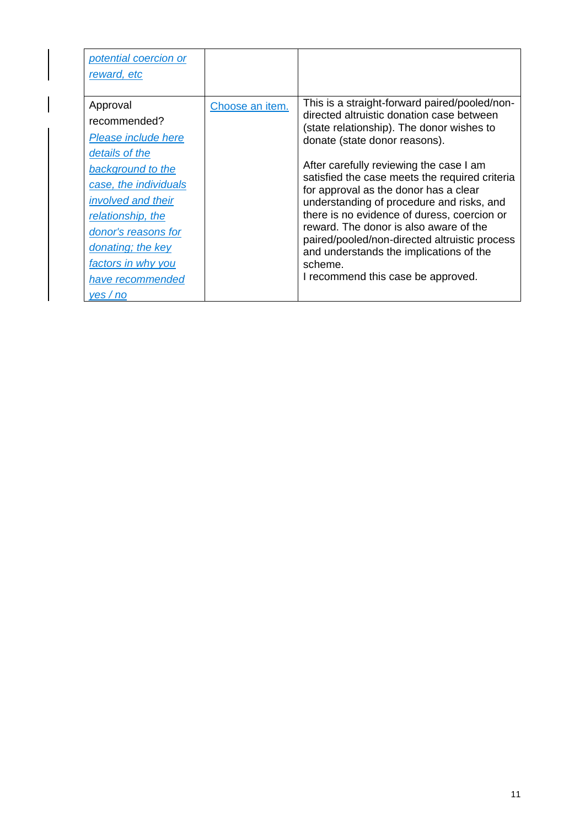| potential coercion or<br>reward, etc |                 |                                                                                          |
|--------------------------------------|-----------------|------------------------------------------------------------------------------------------|
|                                      |                 |                                                                                          |
| Approval                             | Choose an item. | This is a straight-forward paired/pooled/non-                                            |
| recommended?                         |                 | directed altruistic donation case between<br>(state relationship). The donor wishes to   |
| Please include here                  |                 | donate (state donor reasons).                                                            |
| details of the                       |                 |                                                                                          |
| background to the                    |                 | After carefully reviewing the case I am                                                  |
| case, the individuals                |                 | satisfied the case meets the required criteria<br>for approval as the donor has a clear  |
| <i>involved and their</i>            |                 | understanding of procedure and risks, and                                                |
| relationship, the                    |                 | there is no evidence of duress, coercion or                                              |
| donor's reasons for                  |                 | reward. The donor is also aware of the                                                   |
| donating; the key                    |                 | paired/pooled/non-directed altruistic process<br>and understands the implications of the |
| factors in why you                   |                 | scheme.                                                                                  |
| have recommended                     |                 | I recommend this case be approved.                                                       |
| ves/no                               |                 |                                                                                          |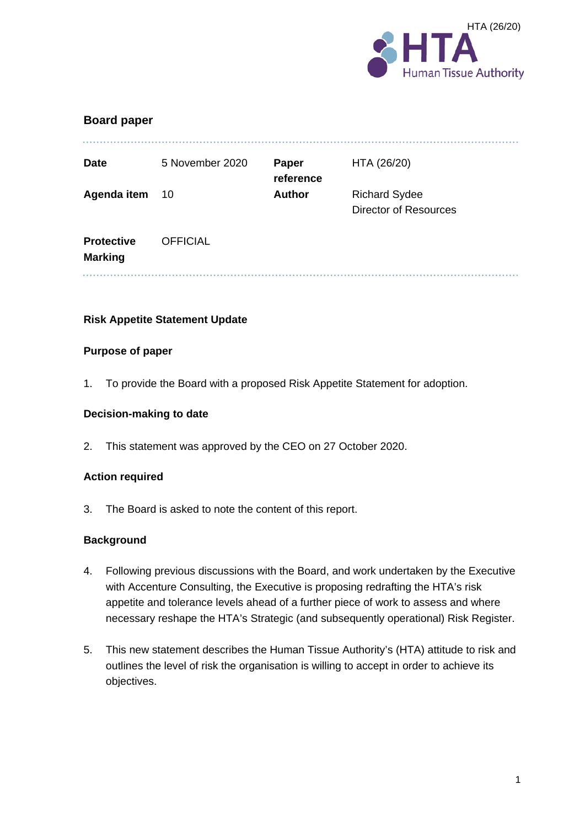

| <b>Board paper</b>                  |                 |                           |                                                      |
|-------------------------------------|-----------------|---------------------------|------------------------------------------------------|
| <b>Date</b>                         | 5 November 2020 | <b>Paper</b><br>reference | HTA (26/20)                                          |
| Agenda item                         | 10              | <b>Author</b>             | <b>Richard Sydee</b><br><b>Director of Resources</b> |
| <b>Protective</b><br><b>Marking</b> | <b>OFFICIAL</b> |                           |                                                      |
|                                     |                 |                           |                                                      |

#### **Risk Appetite Statement Update**

#### **Purpose of paper**

1. To provide the Board with a proposed Risk Appetite Statement for adoption.

#### **Decision-making to date**

2. This statement was approved by the CEO on 27 October 2020.

#### **Action required**

3. The Board is asked to note the content of this report.

#### **Background**

- 4. Following previous discussions with the Board, and work undertaken by the Executive with Accenture Consulting, the Executive is proposing redrafting the HTA's risk appetite and tolerance levels ahead of a further piece of work to assess and where necessary reshape the HTA's Strategic (and subsequently operational) Risk Register.
- 5. This new statement describes the Human Tissue Authority's (HTA) attitude to risk and outlines the level of risk the organisation is willing to accept in order to achieve its objectives.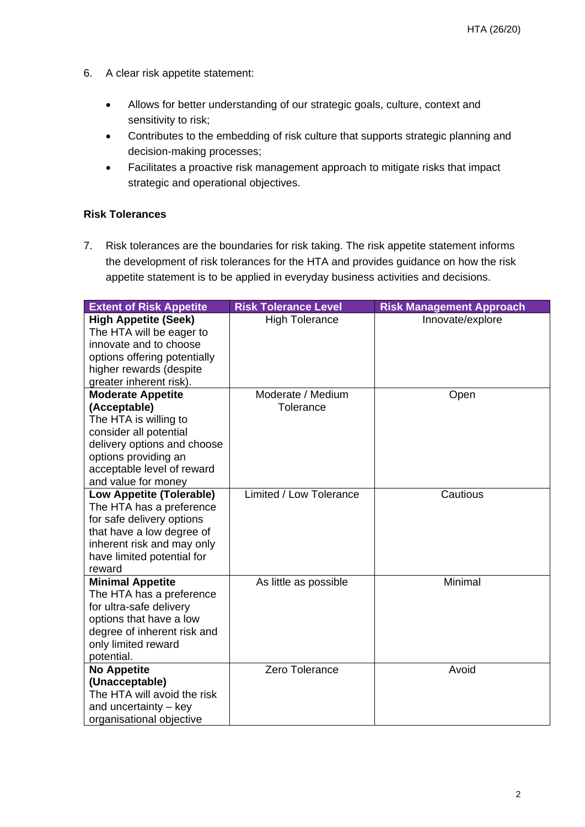- 6. A clear risk appetite statement:
	- Allows for better understanding of our strategic goals, culture, context and sensitivity to risk;
	- Contributes to the embedding of risk culture that supports strategic planning and decision-making processes;
	- Facilitates a proactive risk management approach to mitigate risks that impact strategic and operational objectives.

#### **Risk Tolerances**

7. Risk tolerances are the boundaries for risk taking. The risk appetite statement informs the development of risk tolerances for the HTA and provides guidance on how the risk appetite statement is to be applied in everyday business activities and decisions.

| <b>Extent of Risk Appetite</b>                              | <b>Risk Tolerance Level</b> | <b>Risk Management Approach</b> |
|-------------------------------------------------------------|-----------------------------|---------------------------------|
| <b>High Appetite (Seek)</b>                                 | <b>High Tolerance</b>       | Innovate/explore                |
| The HTA will be eager to                                    |                             |                                 |
| innovate and to choose                                      |                             |                                 |
| options offering potentially                                |                             |                                 |
| higher rewards (despite                                     |                             |                                 |
| greater inherent risk).                                     |                             |                                 |
| <b>Moderate Appetite</b>                                    | Moderate / Medium           | Open                            |
| (Acceptable)                                                | Tolerance                   |                                 |
| The HTA is willing to                                       |                             |                                 |
| consider all potential                                      |                             |                                 |
| delivery options and choose                                 |                             |                                 |
| options providing an                                        |                             |                                 |
| acceptable level of reward                                  |                             |                                 |
| and value for money                                         | Limited / Low Tolerance     | Cautious                        |
| <b>Low Appetite (Tolerable)</b><br>The HTA has a preference |                             |                                 |
| for safe delivery options                                   |                             |                                 |
| that have a low degree of                                   |                             |                                 |
| inherent risk and may only                                  |                             |                                 |
| have limited potential for                                  |                             |                                 |
| reward                                                      |                             |                                 |
| <b>Minimal Appetite</b>                                     | As little as possible       | Minimal                         |
| The HTA has a preference                                    |                             |                                 |
| for ultra-safe delivery                                     |                             |                                 |
| options that have a low                                     |                             |                                 |
| degree of inherent risk and                                 |                             |                                 |
| only limited reward                                         |                             |                                 |
| potential.                                                  |                             |                                 |
| <b>No Appetite</b>                                          | Zero Tolerance              | Avoid                           |
| (Unacceptable)                                              |                             |                                 |
| The HTA will avoid the risk                                 |                             |                                 |
| and uncertainty - key                                       |                             |                                 |
| organisational objective                                    |                             |                                 |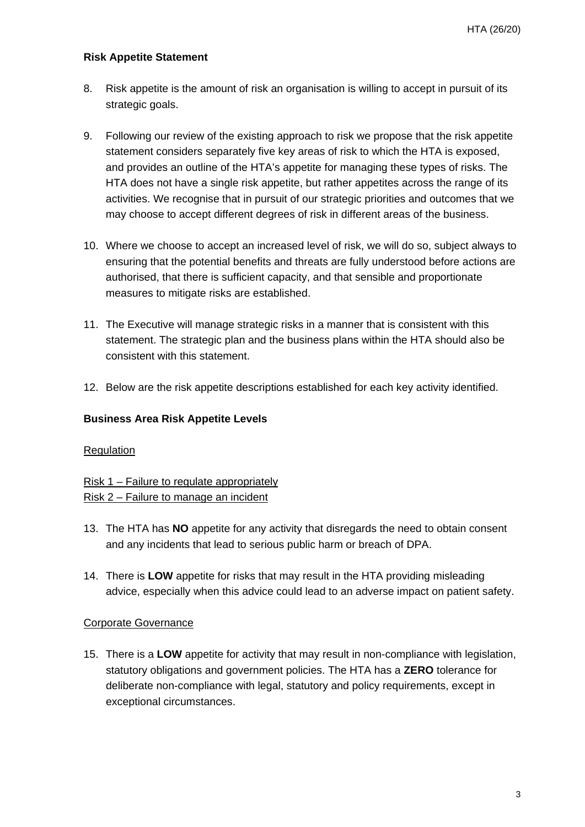#### **Risk Appetite Statement**

- 8. Risk appetite is the amount of risk an organisation is willing to accept in pursuit of its strategic goals.
- 9. Following our review of the existing approach to risk we propose that the risk appetite statement considers separately five key areas of risk to which the HTA is exposed, and provides an outline of the HTA's appetite for managing these types of risks. The HTA does not have a single risk appetite, but rather appetites across the range of its activities. We recognise that in pursuit of our strategic priorities and outcomes that we may choose to accept different degrees of risk in different areas of the business.
- 10. Where we choose to accept an increased level of risk, we will do so, subject always to ensuring that the potential benefits and threats are fully understood before actions are authorised, that there is sufficient capacity, and that sensible and proportionate measures to mitigate risks are established.
- 11. The Executive will manage strategic risks in a manner that is consistent with this statement. The strategic plan and the business plans within the HTA should also be consistent with this statement.
- 12. Below are the risk appetite descriptions established for each key activity identified.

#### **Business Area Risk Appetite Levels**

#### **Regulation**

Risk 1 – Failure to regulate appropriately Risk 2 – Failure to manage an incident

- 13. The HTA has **NO** appetite for any activity that disregards the need to obtain consent and any incidents that lead to serious public harm or breach of DPA.
- 14. There is **LOW** appetite for risks that may result in the HTA providing misleading advice, especially when this advice could lead to an adverse impact on patient safety.

#### Corporate Governance

15. There is a **LOW** appetite for activity that may result in non-compliance with legislation, statutory obligations and government policies. The HTA has a **ZERO** tolerance for deliberate non-compliance with legal, statutory and policy requirements, except in exceptional circumstances.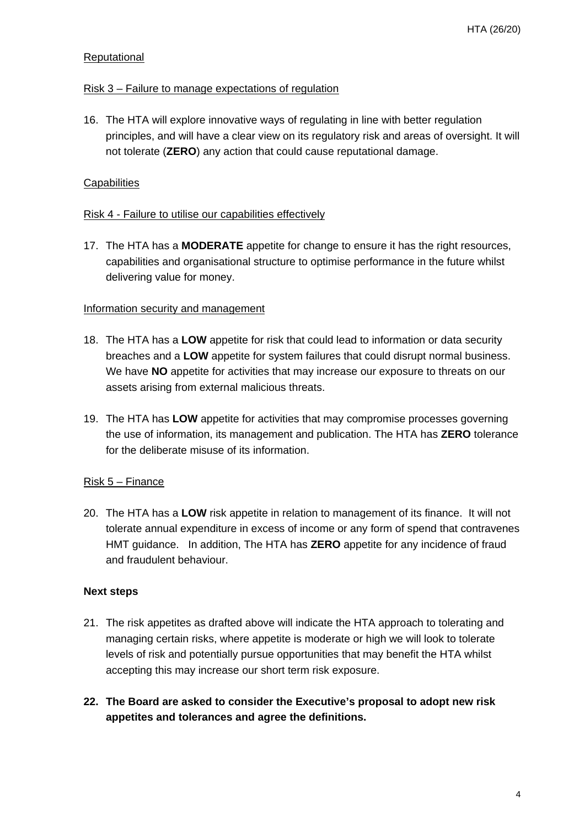#### **Reputational**

#### Risk 3 – Failure to manage expectations of regulation

16. The HTA will explore innovative ways of regulating in line with better regulation principles, and will have a clear view on its regulatory risk and areas of oversight. It will not tolerate (**ZERO**) any action that could cause reputational damage.

#### **Capabilities**

#### Risk 4 - Failure to utilise our capabilities effectively

17. The HTA has a **MODERATE** appetite for change to ensure it has the right resources, capabilities and organisational structure to optimise performance in the future whilst delivering value for money.

#### Information security and management

- 18. The HTA has a **LOW** appetite for risk that could lead to information or data security breaches and a **LOW** appetite for system failures that could disrupt normal business. We have **NO** appetite for activities that may increase our exposure to threats on our assets arising from external malicious threats.
- 19. The HTA has **LOW** appetite for activities that may compromise processes governing the use of information, its management and publication. The HTA has **ZERO** tolerance for the deliberate misuse of its information.

#### Risk 5 – Finance

20. The HTA has a **LOW** risk appetite in relation to management of its finance. It will not tolerate annual expenditure in excess of income or any form of spend that contravenes HMT guidance. In addition, The HTA has **ZERO** appetite for any incidence of fraud and fraudulent behaviour.

#### **Next steps**

- 21. The risk appetites as drafted above will indicate the HTA approach to tolerating and managing certain risks, where appetite is moderate or high we will look to tolerate levels of risk and potentially pursue opportunities that may benefit the HTA whilst accepting this may increase our short term risk exposure.
- **22. The Board are asked to consider the Executive's proposal to adopt new risk appetites and tolerances and agree the definitions.**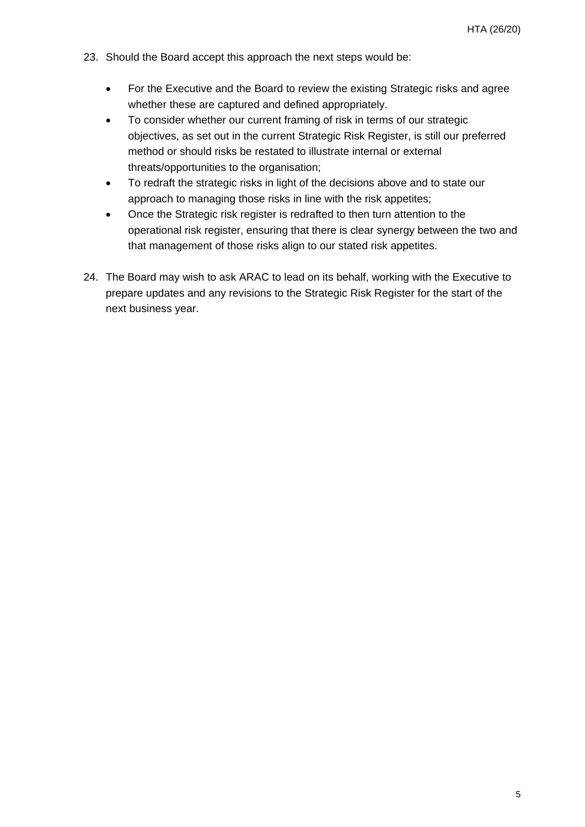- 23. Should the Board accept this approach the next steps would be:
	- For the Executive and the Board to review the existing Strategic risks and agree whether these are captured and defined appropriately.
	- To consider whether our current framing of risk in terms of our strategic objectives, as set out in the current Strategic Risk Register, is still our preferred method or should risks be restated to illustrate internal or external threats/opportunities to the organisation;
	- To redraft the strategic risks in light of the decisions above and to state our approach to managing those risks in line with the risk appetites;
	- Once the Strategic risk register is redrafted to then turn attention to the operational risk register, ensuring that there is clear synergy between the two and that management of those risks align to our stated risk appetites.
- 24. The Board may wish to ask ARAC to lead on its behalf, working with the Executive to prepare updates and any revisions to the Strategic Risk Register for the start of the next business year.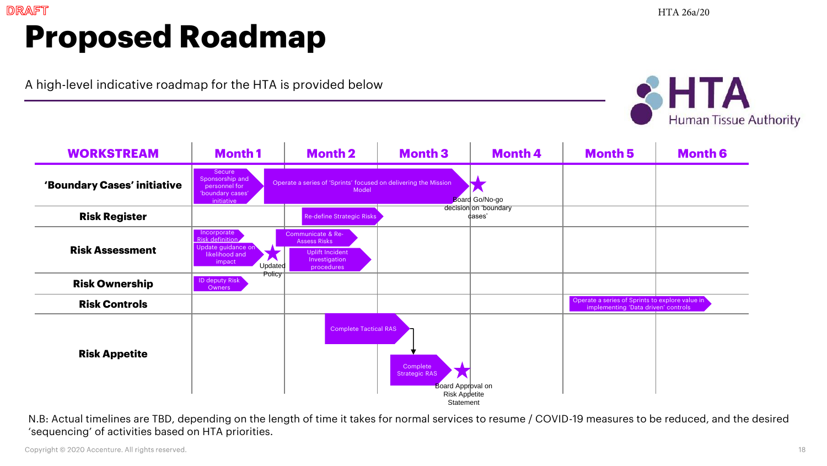# **Proposed Roadmap**

A high-level indicative roadmap for the HTA is provided below



| <b>Month1</b>                                                                    | <b>Month 2</b>                                                               | <b>Month 3</b>                   | <b>Month 4</b>                                                                                  | <b>Month 5</b>                                                                          | <b>Month 6</b>                                                                         |
|----------------------------------------------------------------------------------|------------------------------------------------------------------------------|----------------------------------|-------------------------------------------------------------------------------------------------|-----------------------------------------------------------------------------------------|----------------------------------------------------------------------------------------|
| Secure<br>Sponsorship and<br>personnel for<br>'boundary cases'<br>initiative     | Model                                                                        |                                  |                                                                                                 |                                                                                         |                                                                                        |
|                                                                                  | <b>Re-define Strategic Risks</b>                                             |                                  |                                                                                                 |                                                                                         |                                                                                        |
| Incorporate<br>Risk definition<br>Update guidance on<br>likelihood and<br>impact | <b>Assess Risks</b><br><b>Uplift Incident</b><br>Investigation<br>procedures |                                  |                                                                                                 |                                                                                         |                                                                                        |
| ID deputy Risk<br>Owners                                                         |                                                                              |                                  |                                                                                                 |                                                                                         |                                                                                        |
|                                                                                  |                                                                              |                                  |                                                                                                 |                                                                                         |                                                                                        |
|                                                                                  |                                                                              | Complete<br><b>Strategic RAS</b> |                                                                                                 |                                                                                         |                                                                                        |
|                                                                                  | Policy                                                                       | Communicate & Re-<br>Updated     | Operate a series of 'Sprints' focused on delivering the Mission<br><b>Complete Tactical RAS</b> | Board Go/No-go<br>decision on 'boundary<br>dases'<br>Board Approval on<br>Risk Appetite | Operate a series of Sprints to explore value in<br>implementing 'Data driven' controls |

N.B: Actual timelines are TBD, depending on the length of time it takes for normal services to resume / COVID-19 measures to be reduced, and the desired 'sequencing' of activities based on HTA priorities.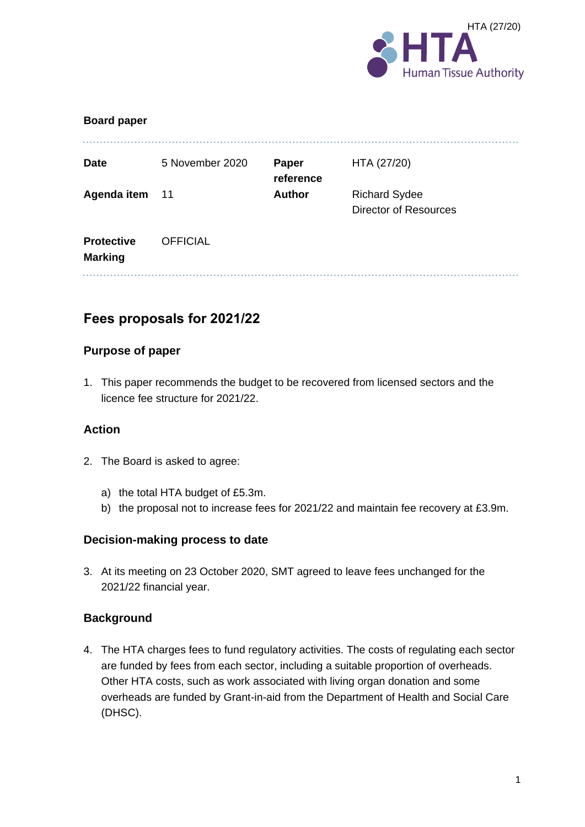

| <b>Board paper</b>                  |                 |                    |                                                      |
|-------------------------------------|-----------------|--------------------|------------------------------------------------------|
| <b>Date</b>                         | 5 November 2020 | Paper<br>reference | HTA (27/20)                                          |
| Agenda item 11                      |                 | <b>Author</b>      | <b>Richard Sydee</b><br><b>Director of Resources</b> |
| <b>Protective</b><br><b>Marking</b> | <b>OFFICIAL</b> |                    |                                                      |
|                                     |                 |                    |                                                      |

# **Fees proposals for 2021/22**

#### **Purpose of paper**

1. This paper recommends the budget to be recovered from licensed sectors and the licence fee structure for 2021/22.

#### **Action**

- 2. The Board is asked to agree:
	- a) the total HTA budget of £5.3m.
	- b) the proposal not to increase fees for 2021/22 and maintain fee recovery at £3.9m.

#### **Decision-making process to date**

3. At its meeting on 23 October 2020, SMT agreed to leave fees unchanged for the 2021/22 financial year.

#### **Background**

4. The HTA charges fees to fund regulatory activities. The costs of regulating each sector are funded by fees from each sector, including a suitable proportion of overheads. Other HTA costs, such as work associated with living organ donation and some overheads are funded by Grant-in-aid from the Department of Health and Social Care (DHSC).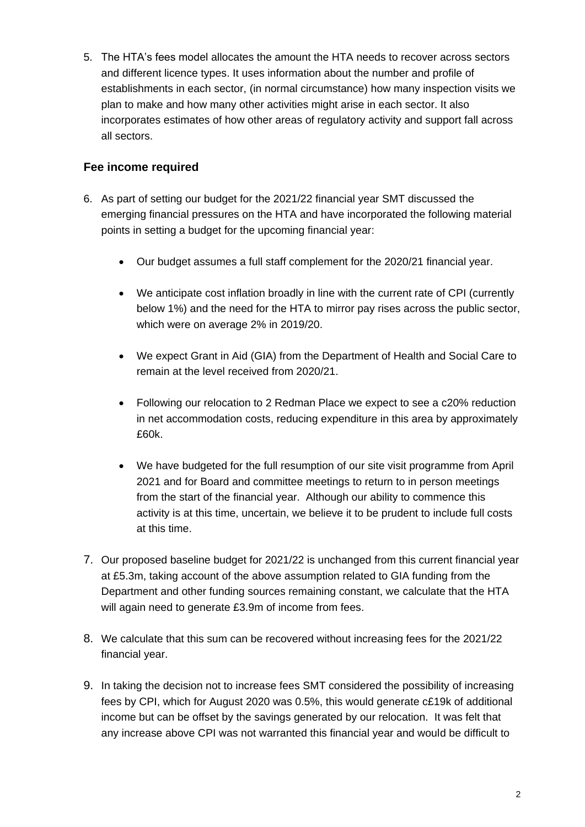5. The HTA's fees model allocates the amount the HTA needs to recover across sectors and different licence types. It uses information about the number and profile of establishments in each sector, (in normal circumstance) how many inspection visits we plan to make and how many other activities might arise in each sector. It also incorporates estimates of how other areas of regulatory activity and support fall across all sectors.

#### **Fee income required**

- 6. As part of setting our budget for the 2021/22 financial year SMT discussed the emerging financial pressures on the HTA and have incorporated the following material points in setting a budget for the upcoming financial year:
	- Our budget assumes a full staff complement for the 2020/21 financial year.
	- We anticipate cost inflation broadly in line with the current rate of CPI (currently below 1%) and the need for the HTA to mirror pay rises across the public sector, which were on average 2% in 2019/20.
	- We expect Grant in Aid (GIA) from the Department of Health and Social Care to remain at the level received from 2020/21.
	- Following our relocation to 2 Redman Place we expect to see a c20% reduction in net accommodation costs, reducing expenditure in this area by approximately £60k.
	- We have budgeted for the full resumption of our site visit programme from April 2021 and for Board and committee meetings to return to in person meetings from the start of the financial year. Although our ability to commence this activity is at this time, uncertain, we believe it to be prudent to include full costs at this time.
- 7. Our proposed baseline budget for 2021/22 is unchanged from this current financial year at £5.3m, taking account of the above assumption related to GIA funding from the Department and other funding sources remaining constant, we calculate that the HTA will again need to generate £3.9m of income from fees.
- 8. We calculate that this sum can be recovered without increasing fees for the 2021/22 financial year.
- 9. In taking the decision not to increase fees SMT considered the possibility of increasing fees by CPI, which for August 2020 was 0.5%, this would generate c£19k of additional income but can be offset by the savings generated by our relocation. It was felt that any increase above CPI was not warranted this financial year and would be difficult to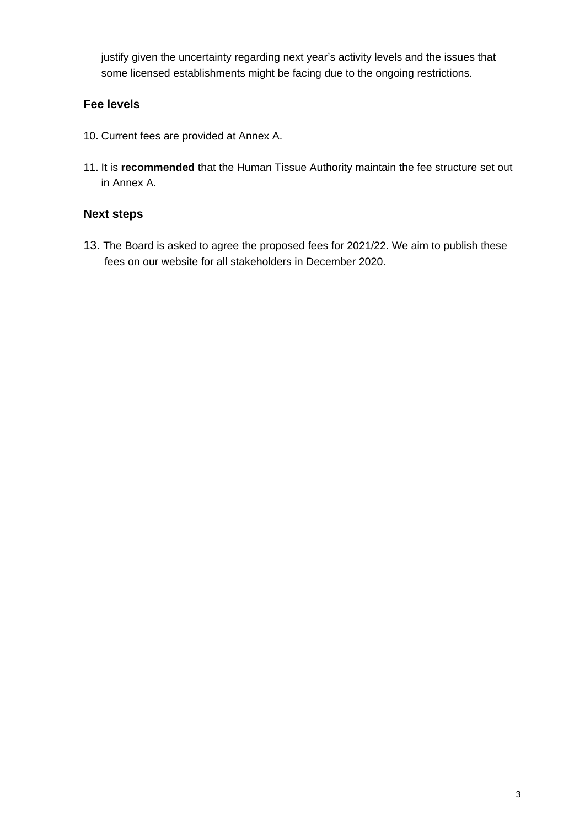justify given the uncertainty regarding next year's activity levels and the issues that some licensed establishments might be facing due to the ongoing restrictions.

#### **Fee levels**

- 10. Current fees are provided at Annex A.
- 11. It is **recommended** that the Human Tissue Authority maintain the fee structure set out in Annex A.

#### **Next steps**

13. The Board is asked to agree the proposed fees for 2021/22. We aim to publish these fees on our website for all stakeholders in December 2020.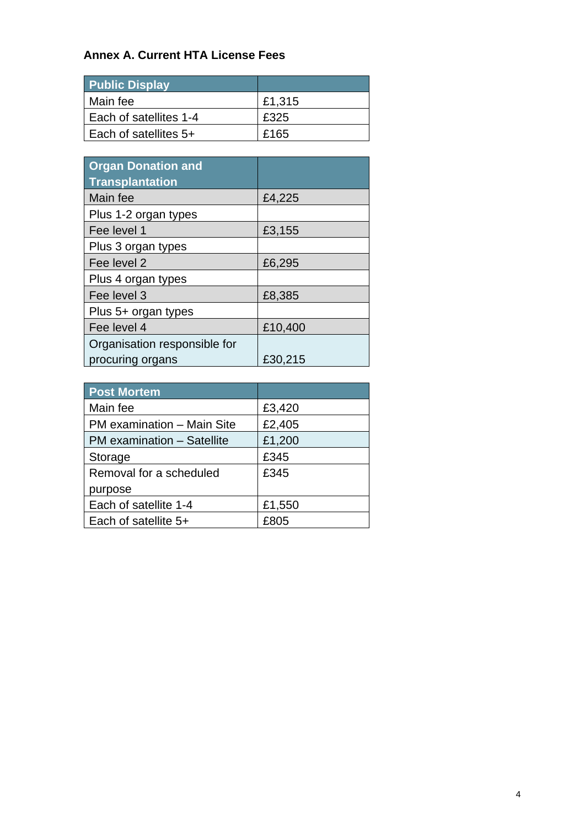# **Annex A. Current HTA License Fees**

| <b>Public Display</b>  |        |
|------------------------|--------|
| Main fee               | £1,315 |
| Each of satellites 1-4 | £325   |
| Each of satellites 5+  | £165   |

| <b>Organ Donation and</b><br><b>Transplantation</b> |         |
|-----------------------------------------------------|---------|
| Main fee                                            | £4,225  |
| Plus 1-2 organ types                                |         |
| Fee level 1                                         | £3,155  |
| Plus 3 organ types                                  |         |
| Fee level 2                                         | £6,295  |
| Plus 4 organ types                                  |         |
| Fee level 3                                         | £8,385  |
| Plus 5+ organ types                                 |         |
| Fee level 4                                         | £10,400 |
| Organisation responsible for                        |         |
| procuring organs                                    | £30,215 |

| <b>Post Mortem</b>         |        |
|----------------------------|--------|
| Main fee                   | £3,420 |
| PM examination - Main Site | £2,405 |
| PM examination - Satellite | £1,200 |
| Storage                    | £345   |
| Removal for a scheduled    | £345   |
| purpose                    |        |
| Each of satellite 1-4      | £1,550 |
| Each of satellite 5+       | £805   |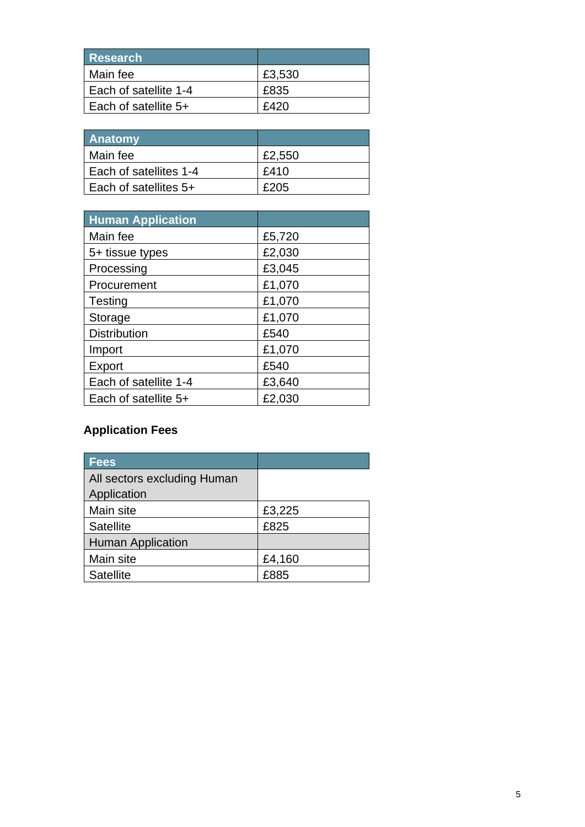| Research              |        |
|-----------------------|--------|
| Main fee              | £3,530 |
| Each of satellite 1-4 | £835   |
| Each of satellite 5+  | £420   |

| <b>Anatomy</b>         |        |
|------------------------|--------|
| Main fee               | £2,550 |
| Each of satellites 1-4 | £410   |
| Each of satellites 5+  | £205   |

| <b>Human Application</b> |        |
|--------------------------|--------|
| Main fee                 | £5,720 |
| 5+ tissue types          | £2,030 |
| Processing               | £3,045 |
| Procurement              | £1,070 |
| Testing                  | £1,070 |
| Storage                  | £1,070 |
| <b>Distribution</b>      | £540   |
| Import                   | £1,070 |
| Export                   | £540   |
| Each of satellite 1-4    | £3,640 |
| Each of satellite 5+     | £2,030 |

# **Application Fees**

| <b>Fees</b>                 |        |
|-----------------------------|--------|
| All sectors excluding Human |        |
| Application                 |        |
| Main site                   | £3,225 |
| <b>Satellite</b>            | £825   |
| <b>Human Application</b>    |        |
| Main site                   | £4,160 |
| <b>Satellite</b>            | £885   |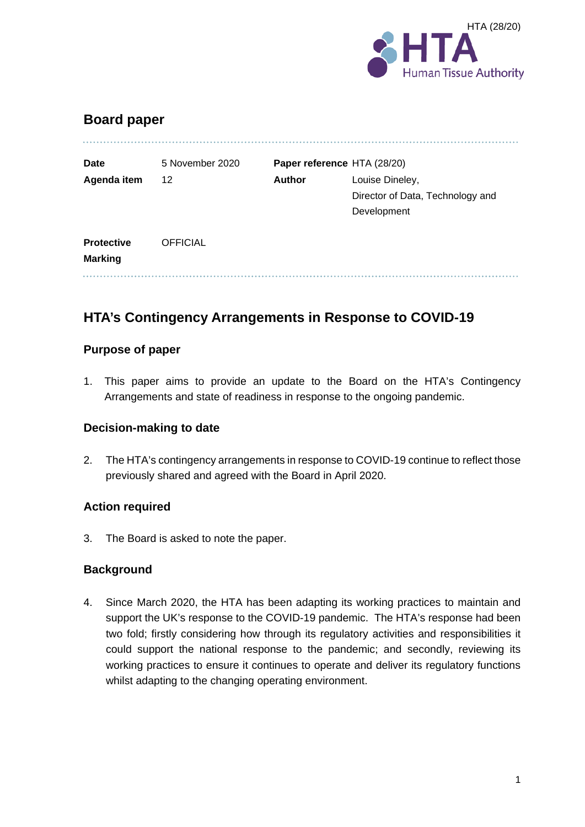

# **Board paper**

| <b>Date</b>                         | 5 November 2020 |               | Paper reference HTA (28/20)      |
|-------------------------------------|-----------------|---------------|----------------------------------|
| Agenda item                         | 12              | <b>Author</b> | Louise Dineley,                  |
|                                     |                 |               | Director of Data, Technology and |
|                                     |                 |               | Development                      |
| <b>Protective</b><br><b>Marking</b> | <b>OFFICIAL</b> |               |                                  |
|                                     |                 |               |                                  |

# **HTA's Contingency Arrangements in Response to COVID-19**

#### **Purpose of paper**

1. This paper aims to provide an update to the Board on the HTA's Contingency Arrangements and state of readiness in response to the ongoing pandemic.

#### **Decision-making to date**

2. The HTA's contingency arrangements in response to COVID-19 continue to reflect those previously shared and agreed with the Board in April 2020.

#### **Action required**

3. The Board is asked to note the paper.

#### **Background**

4. Since March 2020, the HTA has been adapting its working practices to maintain and support the UK's response to the COVID-19 pandemic. The HTA's response had been two fold; firstly considering how through its regulatory activities and responsibilities it could support the national response to the pandemic; and secondly, reviewing its working practices to ensure it continues to operate and deliver its regulatory functions whilst adapting to the changing operating environment.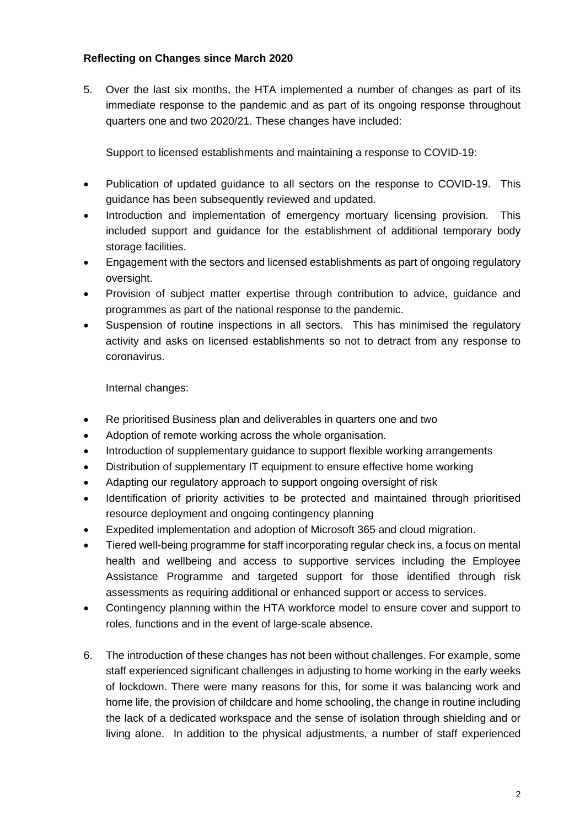#### **Reflecting on Changes since March 2020**

5. Over the last six months, the HTA implemented a number of changes as part of its immediate response to the pandemic and as part of its ongoing response throughout quarters one and two 2020/21. These changes have included:

Support to licensed establishments and maintaining a response to COVID-19:

- Publication of updated guidance to all sectors on the response to COVID-19. This guidance has been subsequently reviewed and updated.
- Introduction and implementation of emergency mortuary licensing provision. This included support and guidance for the establishment of additional temporary body storage facilities.
- Engagement with the sectors and licensed establishments as part of ongoing regulatory oversight.
- Provision of subject matter expertise through contribution to advice, guidance and programmes as part of the national response to the pandemic.
- Suspension of routine inspections in all sectors. This has minimised the regulatory activity and asks on licensed establishments so not to detract from any response to coronavirus.

Internal changes:

- Re prioritised Business plan and deliverables in quarters one and two
- Adoption of remote working across the whole organisation.
- Introduction of supplementary guidance to support flexible working arrangements
- Distribution of supplementary IT equipment to ensure effective home working
- Adapting our regulatory approach to support ongoing oversight of risk
- Identification of priority activities to be protected and maintained through prioritised resource deployment and ongoing contingency planning
- Expedited implementation and adoption of Microsoft 365 and cloud migration.
- Tiered well-being programme for staff incorporating regular check ins, a focus on mental health and wellbeing and access to supportive services including the Employee Assistance Programme and targeted support for those identified through risk assessments as requiring additional or enhanced support or access to services.
- Contingency planning within the HTA workforce model to ensure cover and support to roles, functions and in the event of large-scale absence.
- 6. The introduction of these changes has not been without challenges. For example, some staff experienced significant challenges in adjusting to home working in the early weeks of lockdown. There were many reasons for this, for some it was balancing work and home life, the provision of childcare and home schooling, the change in routine including the lack of a dedicated workspace and the sense of isolation through shielding and or living alone. In addition to the physical adjustments, a number of staff experienced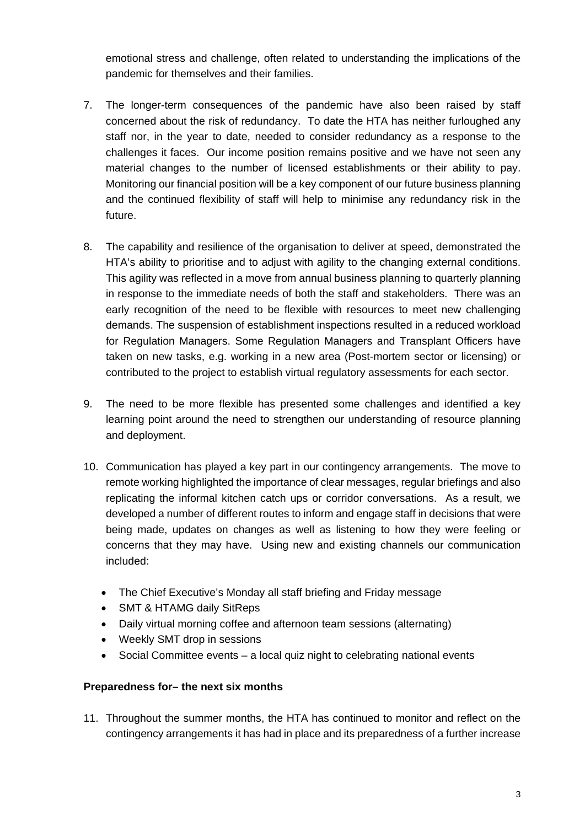emotional stress and challenge, often related to understanding the implications of the pandemic for themselves and their families.

- 7. The longer-term consequences of the pandemic have also been raised by staff concerned about the risk of redundancy. To date the HTA has neither furloughed any staff nor, in the year to date, needed to consider redundancy as a response to the challenges it faces. Our income position remains positive and we have not seen any material changes to the number of licensed establishments or their ability to pay. Monitoring our financial position will be a key component of our future business planning and the continued flexibility of staff will help to minimise any redundancy risk in the future.
- 8. The capability and resilience of the organisation to deliver at speed, demonstrated the HTA's ability to prioritise and to adjust with agility to the changing external conditions. This agility was reflected in a move from annual business planning to quarterly planning in response to the immediate needs of both the staff and stakeholders. There was an early recognition of the need to be flexible with resources to meet new challenging demands. The suspension of establishment inspections resulted in a reduced workload for Regulation Managers. Some Regulation Managers and Transplant Officers have taken on new tasks, e.g. working in a new area (Post-mortem sector or licensing) or contributed to the project to establish virtual regulatory assessments for each sector.
- 9. The need to be more flexible has presented some challenges and identified a key learning point around the need to strengthen our understanding of resource planning and deployment.
- 10. Communication has played a key part in our contingency arrangements. The move to remote working highlighted the importance of clear messages, regular briefings and also replicating the informal kitchen catch ups or corridor conversations. As a result, we developed a number of different routes to inform and engage staff in decisions that were being made, updates on changes as well as listening to how they were feeling or concerns that they may have. Using new and existing channels our communication included:
	- The Chief Executive's Monday all staff briefing and Friday message
	- SMT & HTAMG daily SitReps
	- Daily virtual morning coffee and afternoon team sessions (alternating)
	- Weekly SMT drop in sessions
	- Social Committee events a local quiz night to celebrating national events

#### **Preparedness for– the next six months**

11. Throughout the summer months, the HTA has continued to monitor and reflect on the contingency arrangements it has had in place and its preparedness of a further increase